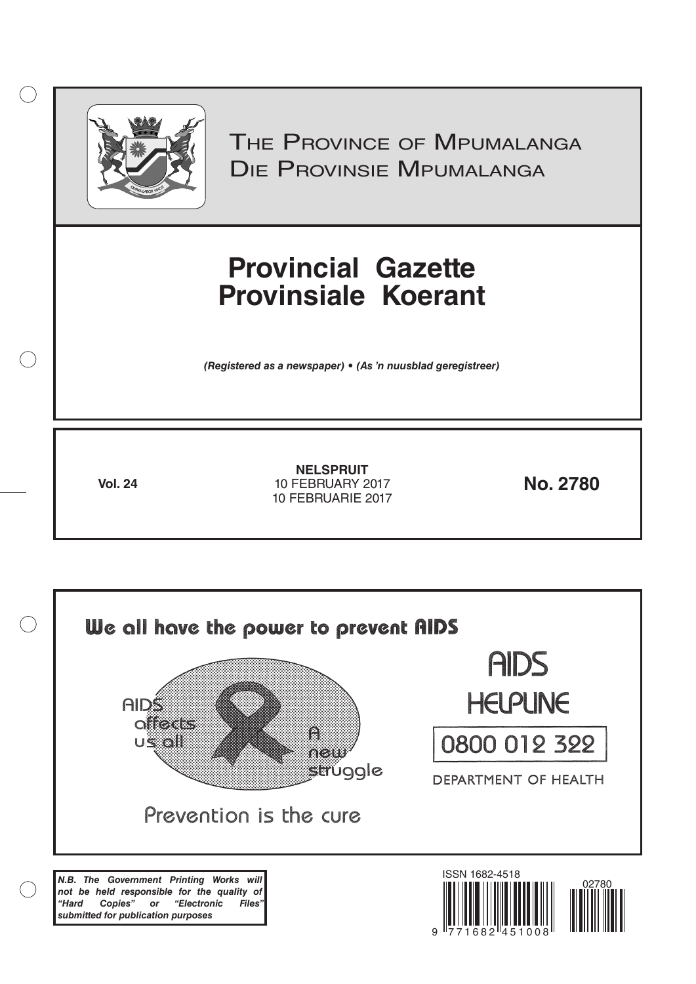

 $( )$ 

THE PROVINCE OF MPUMALANGA Die Provinsie Mpumalanga

# **Provincial Gazette Provinsiale Koerant**

*(Registered as a newspaper) • (As 'n nuusblad geregistreer)*

**Vol. 24 No. 2780** 10 FEBRUARY 2017 **NELSPRUIT** 10 FEBRUARIE 2017

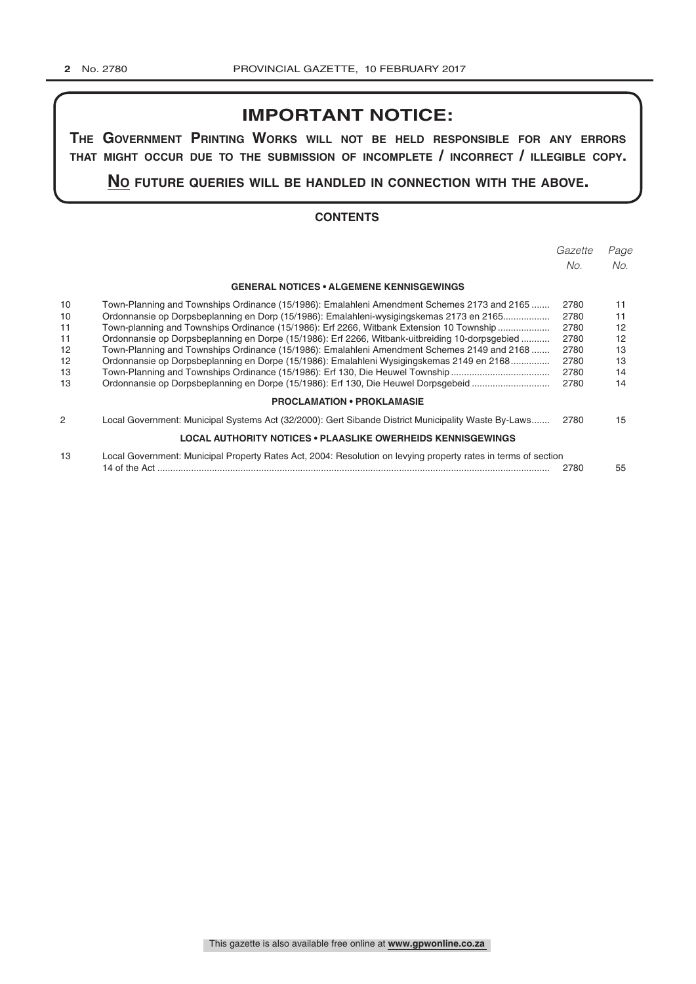# **IMPORTANT NOTICE:**

**The GovernmenT PrinTinG Works Will noT be held resPonsible for any errors ThaT miGhT occur due To The submission of incomPleTe / incorrecT / illeGible coPy.**

**no fuTure queries Will be handled in connecTion WiTh The above.**

# **CONTENTS**

|                 |                                                                                                                | Gazette | Page |
|-----------------|----------------------------------------------------------------------------------------------------------------|---------|------|
|                 |                                                                                                                | No.     | No.  |
|                 | <b>GENERAL NOTICES • ALGEMENE KENNISGEWINGS</b>                                                                |         |      |
| 10 <sup>1</sup> | Town-Planning and Townships Ordinance (15/1986): Emalahleni Amendment Schemes 2173 and 2165                    | 2780    | 11   |
| 10              | Ordonnansie op Dorpsbeplanning en Dorp (15/1986): Emalahleni-wysigingskemas 2173 en 2165                       | 2780    | 11   |
| 11              | Town-planning and Townships Ordinance (15/1986): Erf 2266, Witbank Extension 10 Township                       | 2780    | 12   |
| 11              | Ordonnansie op Dorpsbeplanning en Dorpe (15/1986): Erf 2266, Witbank-uitbreiding 10-dorpsgebied                | 2780    | 12   |
| 12              | Town-Planning and Townships Ordinance (15/1986): Emalahleni Amendment Schemes 2149 and 2168                    | 2780    | 13   |
| 12              | Ordonnansie op Dorpsbeplanning en Dorpe (15/1986): Emalahleni Wysigingskemas 2149 en 2168                      | 2780    | 13   |
| 13              | Town-Planning and Townships Ordinance (15/1986): Erf 130, Die Heuwel Township                                  | 2780    | 14   |
| 13              | Ordonnansie op Dorpsbeplanning en Dorpe (15/1986): Erf 130, Die Heuwel Dorpsgebeid                             | 2780    | 14   |
|                 | <b>PROCLAMATION • PROKLAMASIE</b>                                                                              |         |      |
| 2               | Local Government: Municipal Systems Act (32/2000): Gert Sibande District Municipality Waste By-Laws            | 2780    | 15   |
|                 | LOCAL AUTHORITY NOTICES • PLAASLIKE OWERHEIDS KENNISGEWINGS                                                    |         |      |
| 13              | Local Government: Municipal Property Rates Act, 2004: Resolution on levying property rates in terms of section | 2780    | 55   |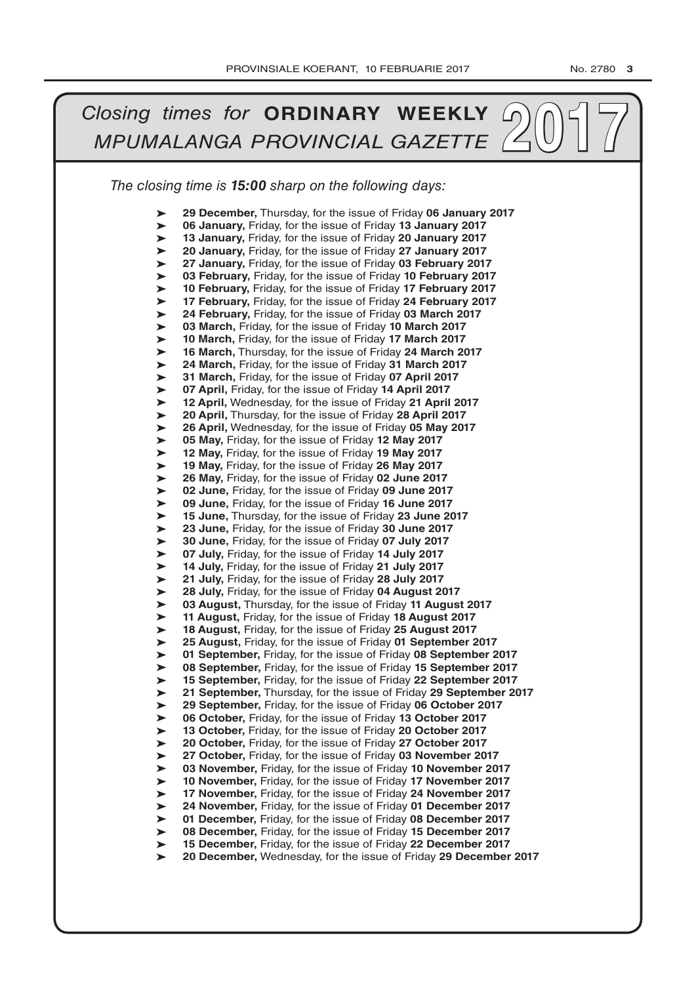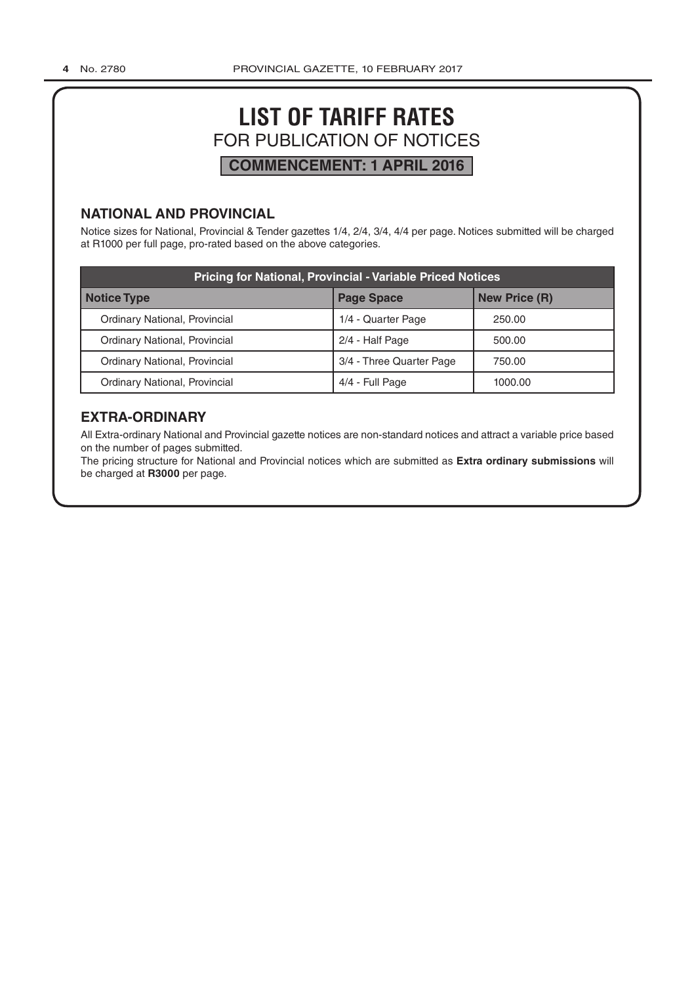# **LIST OF TARIFF RATES** FOR PUBLICATION OF NOTICES **COMMENCEMENT: 1 APRIL 2016**

# **NATIONAL AND PROVINCIAL**

Notice sizes for National, Provincial & Tender gazettes 1/4, 2/4, 3/4, 4/4 per page. Notices submitted will be charged at R1000 per full page, pro-rated based on the above categories.

| <b>Pricing for National, Provincial - Variable Priced Notices</b> |                          |                      |  |
|-------------------------------------------------------------------|--------------------------|----------------------|--|
| Notice Type                                                       | <b>Page Space</b>        | <b>New Price (R)</b> |  |
| Ordinary National, Provincial                                     | 1/4 - Quarter Page       | 250.00               |  |
| Ordinary National, Provincial                                     | 2/4 - Half Page          | 500.00               |  |
| Ordinary National, Provincial                                     | 3/4 - Three Quarter Page | 750.00               |  |
| Ordinary National, Provincial                                     | 4/4 - Full Page          | 1000.00              |  |

# **EXTRA-ORDINARY**

All Extra-ordinary National and Provincial gazette notices are non-standard notices and attract a variable price based on the number of pages submitted.

The pricing structure for National and Provincial notices which are submitted as **Extra ordinary submissions** will be charged at **R3000** per page.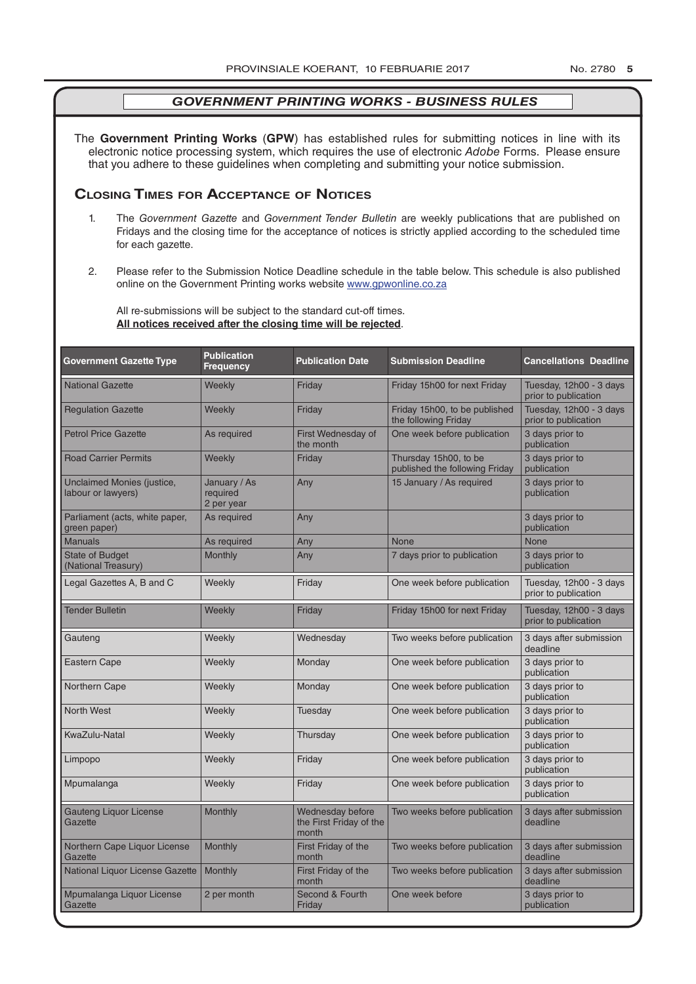The **Government Printing Works** (**GPW**) has established rules for submitting notices in line with its electronic notice processing system, which requires the use of electronic *Adobe* Forms. Please ensure that you adhere to these guidelines when completing and submitting your notice submission.

# **Closing Times for ACCepTAnCe of noTiCes**

- 1. The *Government Gazette* and *Government Tender Bulletin* are weekly publications that are published on Fridays and the closing time for the acceptance of notices is strictly applied according to the scheduled time for each gazette.
- 2. Please refer to the Submission Notice Deadline schedule in the table below. This schedule is also published online on the Government Printing works website www.gpwonline.co.za

All re-submissions will be subject to the standard cut-off times. **All notices received after the closing time will be rejected**.

| <b>Government Gazette Type</b>                   | <b>Publication</b><br><b>Frequency</b> | <b>Publication Date</b>                              | <b>Submission Deadline</b>                              | <b>Cancellations Deadline</b>                   |
|--------------------------------------------------|----------------------------------------|------------------------------------------------------|---------------------------------------------------------|-------------------------------------------------|
| <b>National Gazette</b>                          | Weekly                                 | Friday                                               | Friday 15h00 for next Friday                            | Tuesday, 12h00 - 3 days<br>prior to publication |
| <b>Regulation Gazette</b>                        | Weekly                                 | Friday                                               | Friday 15h00, to be published<br>the following Friday   | Tuesday, 12h00 - 3 days<br>prior to publication |
| <b>Petrol Price Gazette</b>                      | As required                            | First Wednesday of<br>the month                      | One week before publication                             | 3 days prior to<br>publication                  |
| <b>Road Carrier Permits</b>                      | Weekly                                 | Friday                                               | Thursday 15h00, to be<br>published the following Friday | 3 days prior to<br>publication                  |
| Unclaimed Monies (justice,<br>labour or lawyers) | January / As<br>required<br>2 per year | Any                                                  | 15 January / As required                                | 3 days prior to<br>publication                  |
| Parliament (acts, white paper,<br>green paper)   | As required                            | Any                                                  |                                                         | 3 days prior to<br>publication                  |
| <b>Manuals</b>                                   | As required                            | Any                                                  | <b>None</b>                                             | <b>None</b>                                     |
| <b>State of Budget</b><br>(National Treasury)    | Monthly                                | Any                                                  | 7 days prior to publication                             | 3 days prior to<br>publication                  |
| Legal Gazettes A, B and C                        | Weekly                                 | Friday                                               | One week before publication                             | Tuesday, 12h00 - 3 days<br>prior to publication |
| <b>Tender Bulletin</b>                           | Weekly                                 | Friday                                               | Friday 15h00 for next Friday                            | Tuesday, 12h00 - 3 days<br>prior to publication |
| Gauteng                                          | Weekly                                 | Wednesday                                            | Two weeks before publication                            | 3 days after submission<br>deadline             |
| <b>Eastern Cape</b>                              | Weekly                                 | Monday                                               | One week before publication                             | 3 days prior to<br>publication                  |
| Northern Cape                                    | Weekly                                 | Monday                                               | One week before publication                             | 3 days prior to<br>publication                  |
| <b>North West</b>                                | Weekly                                 | Tuesday                                              | One week before publication                             | 3 days prior to<br>publication                  |
| KwaZulu-Natal                                    | Weekly                                 | Thursday                                             | One week before publication                             | 3 days prior to<br>publication                  |
| Limpopo                                          | Weekly                                 | Friday                                               | One week before publication                             | 3 days prior to<br>publication                  |
| Mpumalanga                                       | Weekly                                 | Friday                                               | One week before publication                             | 3 days prior to<br>publication                  |
| <b>Gauteng Liquor License</b><br>Gazette         | Monthly                                | Wednesday before<br>the First Friday of the<br>month | Two weeks before publication                            | 3 days after submission<br>deadline             |
| Northern Cape Liquor License<br>Gazette          | Monthly                                | First Friday of the<br>month                         | Two weeks before publication                            | 3 days after submission<br>deadline             |
| National Liquor License Gazette                  | Monthly                                | First Friday of the<br>month                         | Two weeks before publication                            | 3 days after submission<br>deadline             |
| Mpumalanga Liquor License<br>Gazette             | 2 per month                            | Second & Fourth<br>Friday                            | One week before                                         | 3 days prior to<br>publication                  |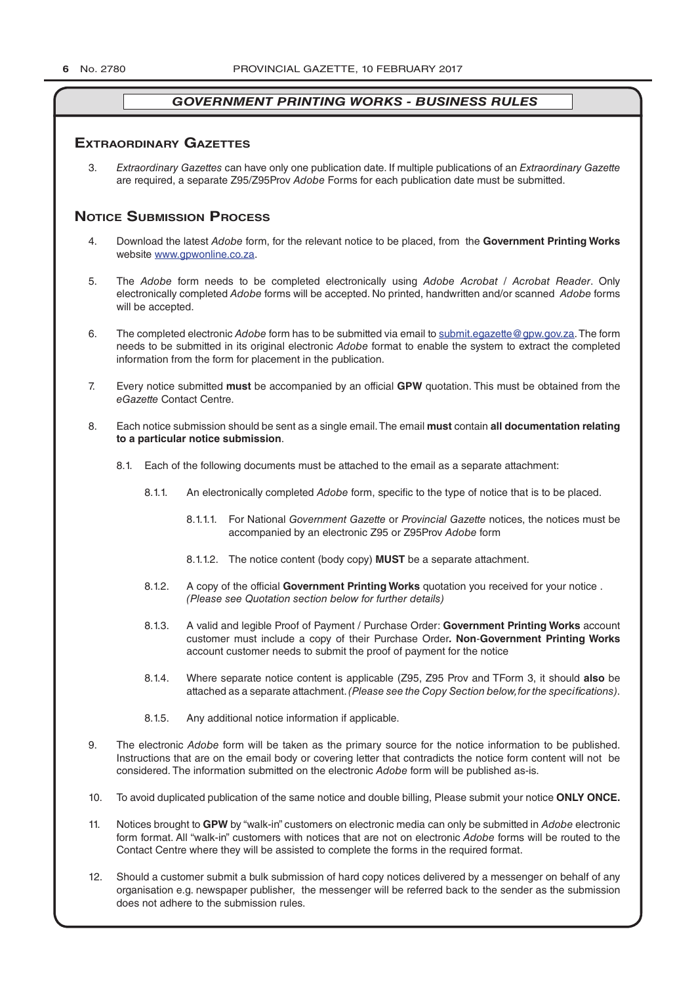#### **exTrAordinAry gAzeTTes**

3. *Extraordinary Gazettes* can have only one publication date. If multiple publications of an *Extraordinary Gazette* are required, a separate Z95/Z95Prov *Adobe* Forms for each publication date must be submitted.

# **NOTICE SUBMISSION PROCESS**

- 4. Download the latest *Adobe* form, for the relevant notice to be placed, from the **Government Printing Works** website www.gpwonline.co.za.
- 5. The *Adobe* form needs to be completed electronically using *Adobe Acrobat* / *Acrobat Reader*. Only electronically completed *Adobe* forms will be accepted. No printed, handwritten and/or scanned *Adobe* forms will be accepted.
- 6. The completed electronic *Adobe* form has to be submitted via email to submit.egazette@gpw.gov.za. The form needs to be submitted in its original electronic *Adobe* format to enable the system to extract the completed information from the form for placement in the publication.
- 7. Every notice submitted **must** be accompanied by an official **GPW** quotation. This must be obtained from the *eGazette* Contact Centre.
- 8. Each notice submission should be sent as a single email. The email **must** contain **all documentation relating to a particular notice submission**.
	- 8.1. Each of the following documents must be attached to the email as a separate attachment:
		- 8.1.1. An electronically completed *Adobe* form, specific to the type of notice that is to be placed.
			- 8.1.1.1. For National *Government Gazette* or *Provincial Gazette* notices, the notices must be accompanied by an electronic Z95 or Z95Prov *Adobe* form
			- 8.1.1.2. The notice content (body copy) **MUST** be a separate attachment.
		- 8.1.2. A copy of the official **Government Printing Works** quotation you received for your notice . *(Please see Quotation section below for further details)*
		- 8.1.3. A valid and legible Proof of Payment / Purchase Order: **Government Printing Works** account customer must include a copy of their Purchase Order*.* **Non**-**Government Printing Works** account customer needs to submit the proof of payment for the notice
		- 8.1.4. Where separate notice content is applicable (Z95, Z95 Prov and TForm 3, it should **also** be attached as a separate attachment. *(Please see the Copy Section below, for the specifications)*.
		- 8.1.5. Any additional notice information if applicable.
- 9. The electronic *Adobe* form will be taken as the primary source for the notice information to be published. Instructions that are on the email body or covering letter that contradicts the notice form content will not be considered. The information submitted on the electronic *Adobe* form will be published as-is.
- 10. To avoid duplicated publication of the same notice and double billing, Please submit your notice **ONLY ONCE.**
- 11. Notices brought to **GPW** by "walk-in" customers on electronic media can only be submitted in *Adobe* electronic form format. All "walk-in" customers with notices that are not on electronic *Adobe* forms will be routed to the Contact Centre where they will be assisted to complete the forms in the required format.
- 12. Should a customer submit a bulk submission of hard copy notices delivered by a messenger on behalf of any organisation e.g. newspaper publisher, the messenger will be referred back to the sender as the submission does not adhere to the submission rules.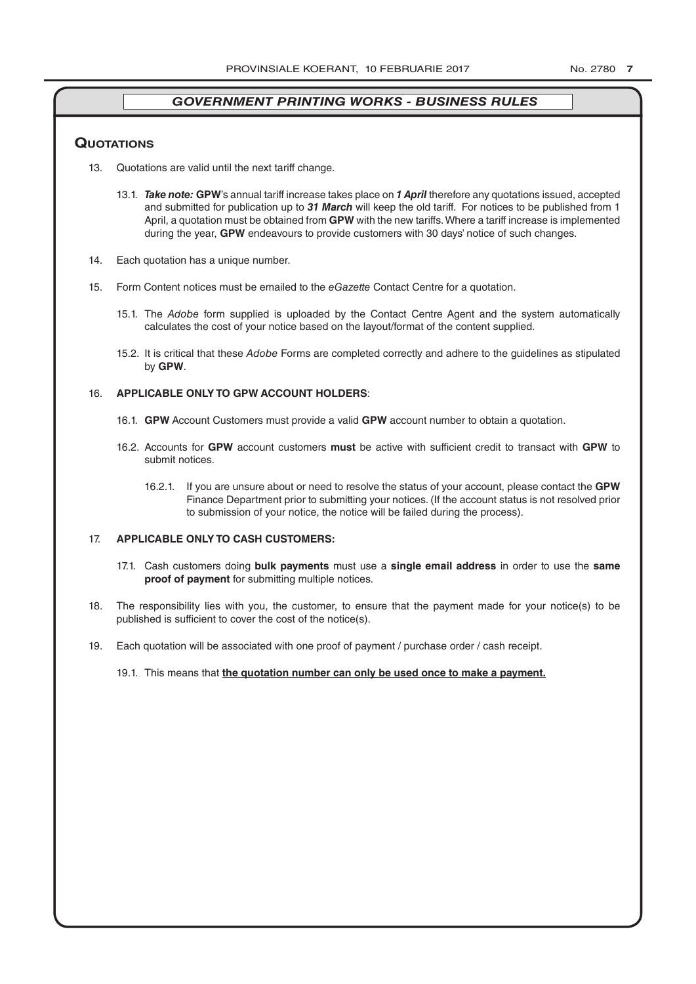#### **QuoTATions**

- 13. Quotations are valid until the next tariff change.
	- 13.1. *Take note:* **GPW**'s annual tariff increase takes place on *1 April* therefore any quotations issued, accepted and submitted for publication up to *31 March* will keep the old tariff. For notices to be published from 1 April, a quotation must be obtained from **GPW** with the new tariffs. Where a tariff increase is implemented during the year, **GPW** endeavours to provide customers with 30 days' notice of such changes.
- 14. Each quotation has a unique number.
- 15. Form Content notices must be emailed to the *eGazette* Contact Centre for a quotation.
	- 15.1. The *Adobe* form supplied is uploaded by the Contact Centre Agent and the system automatically calculates the cost of your notice based on the layout/format of the content supplied.
	- 15.2. It is critical that these *Adobe* Forms are completed correctly and adhere to the guidelines as stipulated by **GPW**.

#### 16. **APPLICABLE ONLY TO GPW ACCOUNT HOLDERS**:

- 16.1. **GPW** Account Customers must provide a valid **GPW** account number to obtain a quotation.
- 16.2. Accounts for **GPW** account customers **must** be active with sufficient credit to transact with **GPW** to submit notices.
	- 16.2.1. If you are unsure about or need to resolve the status of your account, please contact the **GPW** Finance Department prior to submitting your notices. (If the account status is not resolved prior to submission of your notice, the notice will be failed during the process).

#### 17. **APPLICABLE ONLY TO CASH CUSTOMERS:**

- 17.1. Cash customers doing **bulk payments** must use a **single email address** in order to use the **same proof of payment** for submitting multiple notices.
- 18. The responsibility lies with you, the customer, to ensure that the payment made for your notice(s) to be published is sufficient to cover the cost of the notice(s).
- 19. Each quotation will be associated with one proof of payment / purchase order / cash receipt.
	- 19.1. This means that **the quotation number can only be used once to make a payment.**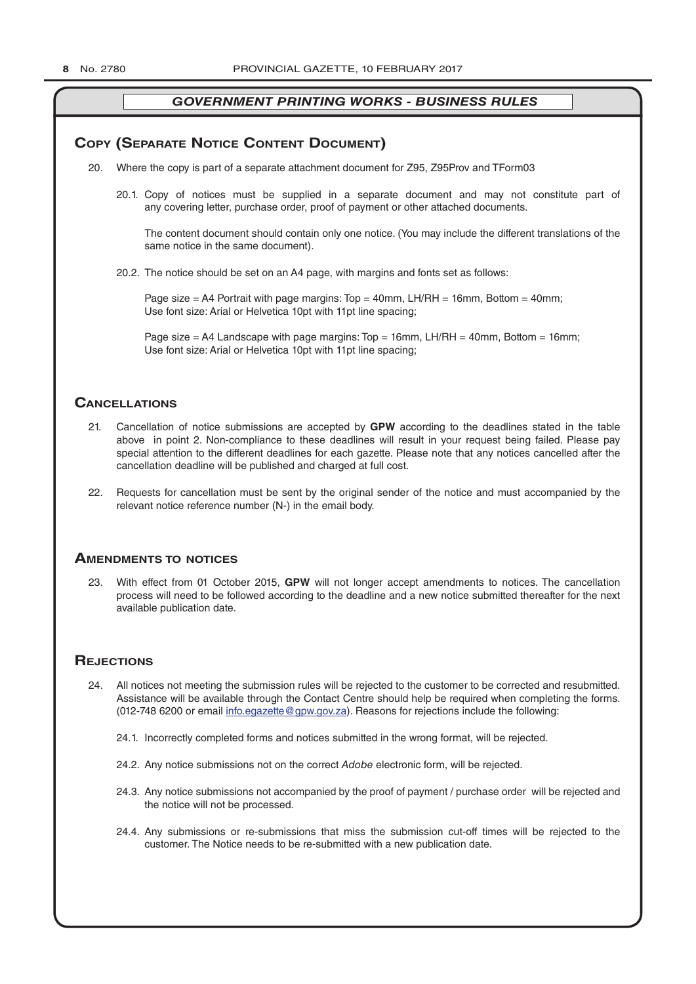# **COPY (SEPARATE NOTICE CONTENT DOCUMENT)**

- 20. Where the copy is part of a separate attachment document for Z95, Z95Prov and TForm03
	- 20.1. Copy of notices must be supplied in a separate document and may not constitute part of any covering letter, purchase order, proof of payment or other attached documents.

The content document should contain only one notice. (You may include the different translations of the same notice in the same document).

20.2. The notice should be set on an A4 page, with margins and fonts set as follows:

Page size  $=$  A4 Portrait with page margins: Top  $=$  40mm, LH/RH  $=$  16mm, Bottom  $=$  40mm; Use font size: Arial or Helvetica 10pt with 11pt line spacing;

Page size = A4 Landscape with page margins: Top = 16mm, LH/RH = 40mm, Bottom = 16mm; Use font size: Arial or Helvetica 10pt with 11pt line spacing;

# **CAnCellATions**

- 21. Cancellation of notice submissions are accepted by **GPW** according to the deadlines stated in the table above in point 2. Non-compliance to these deadlines will result in your request being failed. Please pay special attention to the different deadlines for each gazette. Please note that any notices cancelled after the cancellation deadline will be published and charged at full cost.
- 22. Requests for cancellation must be sent by the original sender of the notice and must accompanied by the relevant notice reference number (N-) in the email body.

# **AmendmenTs To noTiCes**

23. With effect from 01 October 2015, **GPW** will not longer accept amendments to notices. The cancellation process will need to be followed according to the deadline and a new notice submitted thereafter for the next available publication date.

# **REJECTIONS**

- 24. All notices not meeting the submission rules will be rejected to the customer to be corrected and resubmitted. Assistance will be available through the Contact Centre should help be required when completing the forms. (012-748 6200 or email info.egazette@gpw.gov.za). Reasons for rejections include the following:
	- 24.1. Incorrectly completed forms and notices submitted in the wrong format, will be rejected.
	- 24.2. Any notice submissions not on the correct *Adobe* electronic form, will be rejected.
	- 24.3. Any notice submissions not accompanied by the proof of payment / purchase order will be rejected and the notice will not be processed.
	- 24.4. Any submissions or re-submissions that miss the submission cut-off times will be rejected to the customer. The Notice needs to be re-submitted with a new publication date.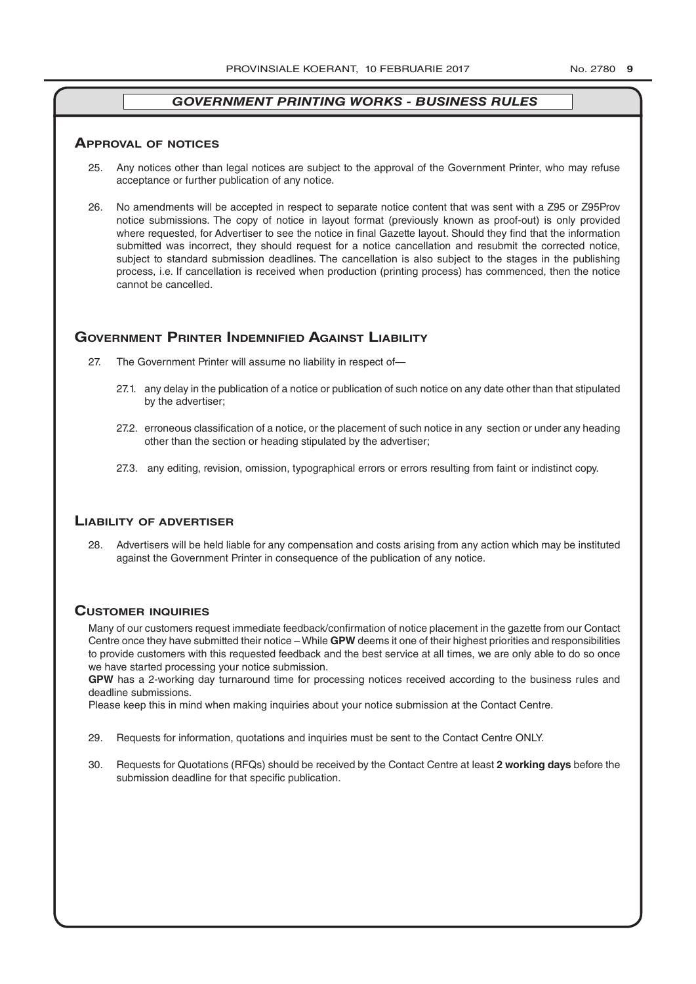#### **ApprovAl of noTiCes**

- 25. Any notices other than legal notices are subject to the approval of the Government Printer, who may refuse acceptance or further publication of any notice.
- 26. No amendments will be accepted in respect to separate notice content that was sent with a Z95 or Z95Prov notice submissions. The copy of notice in layout format (previously known as proof-out) is only provided where requested, for Advertiser to see the notice in final Gazette layout. Should they find that the information submitted was incorrect, they should request for a notice cancellation and resubmit the corrected notice, subject to standard submission deadlines. The cancellation is also subject to the stages in the publishing process, i.e. If cancellation is received when production (printing process) has commenced, then the notice cannot be cancelled.

# **governmenT prinTer indemnified AgAinsT liAbiliTy**

- 27. The Government Printer will assume no liability in respect of—
	- 27.1. any delay in the publication of a notice or publication of such notice on any date other than that stipulated by the advertiser;
	- 27.2. erroneous classification of a notice, or the placement of such notice in any section or under any heading other than the section or heading stipulated by the advertiser;
	- 27.3. any editing, revision, omission, typographical errors or errors resulting from faint or indistinct copy.

## **liAbiliTy of AdverTiser**

28. Advertisers will be held liable for any compensation and costs arising from any action which may be instituted against the Government Printer in consequence of the publication of any notice.

## **CusTomer inQuiries**

Many of our customers request immediate feedback/confirmation of notice placement in the gazette from our Contact Centre once they have submitted their notice – While **GPW** deems it one of their highest priorities and responsibilities to provide customers with this requested feedback and the best service at all times, we are only able to do so once we have started processing your notice submission.

**GPW** has a 2-working day turnaround time for processing notices received according to the business rules and deadline submissions.

Please keep this in mind when making inquiries about your notice submission at the Contact Centre.

- 29. Requests for information, quotations and inquiries must be sent to the Contact Centre ONLY.
- 30. Requests for Quotations (RFQs) should be received by the Contact Centre at least **2 working days** before the submission deadline for that specific publication.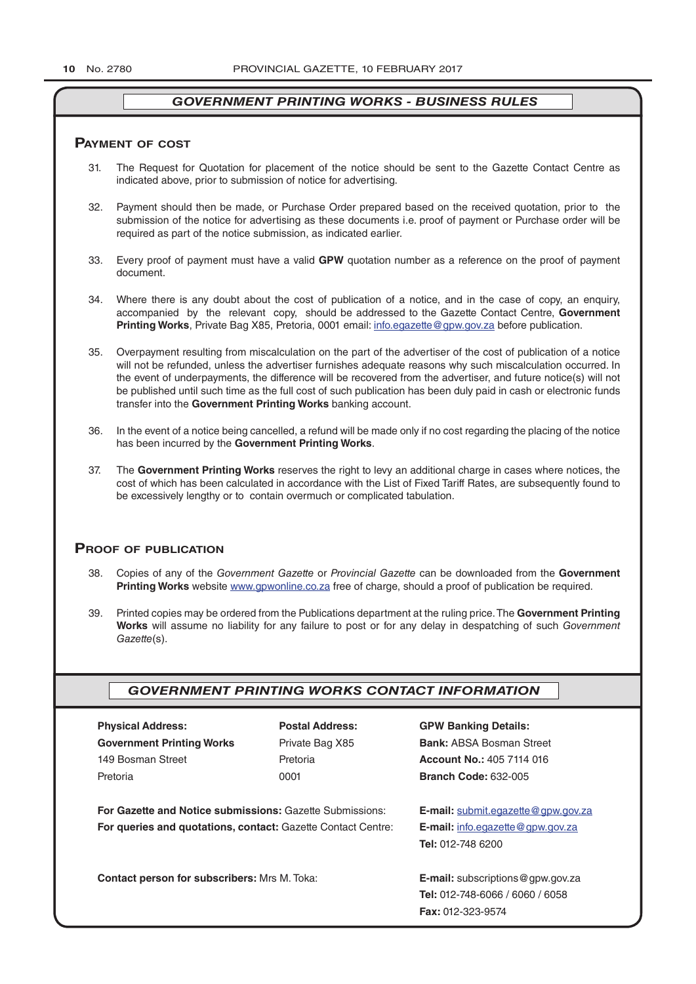#### **pAymenT of CosT**

- 31. The Request for Quotation for placement of the notice should be sent to the Gazette Contact Centre as indicated above, prior to submission of notice for advertising.
- 32. Payment should then be made, or Purchase Order prepared based on the received quotation, prior to the submission of the notice for advertising as these documents i.e. proof of payment or Purchase order will be required as part of the notice submission, as indicated earlier.
- 33. Every proof of payment must have a valid **GPW** quotation number as a reference on the proof of payment document.
- 34. Where there is any doubt about the cost of publication of a notice, and in the case of copy, an enquiry, accompanied by the relevant copy, should be addressed to the Gazette Contact Centre, **Government Printing Works**, Private Bag X85, Pretoria, 0001 email: info.egazette@gpw.gov.za before publication.
- 35. Overpayment resulting from miscalculation on the part of the advertiser of the cost of publication of a notice will not be refunded, unless the advertiser furnishes adequate reasons why such miscalculation occurred. In the event of underpayments, the difference will be recovered from the advertiser, and future notice(s) will not be published until such time as the full cost of such publication has been duly paid in cash or electronic funds transfer into the **Government Printing Works** banking account.
- 36. In the event of a notice being cancelled, a refund will be made only if no cost regarding the placing of the notice has been incurred by the **Government Printing Works**.
- 37. The **Government Printing Works** reserves the right to levy an additional charge in cases where notices, the cost of which has been calculated in accordance with the List of Fixed Tariff Rates, are subsequently found to be excessively lengthy or to contain overmuch or complicated tabulation.

## **proof of publiCATion**

- 38. Copies of any of the *Government Gazette* or *Provincial Gazette* can be downloaded from the **Government Printing Works** website www.gpwonline.co.za free of charge, should a proof of publication be required.
- 39. Printed copies may be ordered from the Publications department at the ruling price. The **Government Printing Works** will assume no liability for any failure to post or for any delay in despatching of such *Government Gazette*(s).

# *GOVERNMENT PRINTING WORKS CONTACT INFORMATION*

| <b>Physical Address:</b>                                            | <b>Postal Address:</b> | <b>GPW Banking Details:</b>                 |
|---------------------------------------------------------------------|------------------------|---------------------------------------------|
| <b>Government Printing Works</b>                                    | Private Bag X85        | <b>Bank: ABSA Bosman Street</b>             |
| 149 Bosman Street                                                   | Pretoria               | <b>Account No.: 405 7114 016</b>            |
| Pretoria                                                            | 0001                   | <b>Branch Code: 632-005</b>                 |
| For Gazette and Notice submissions: Gazette Submissions:            |                        | <b>E-mail:</b> submit.eqazette@gpw.gov.za   |
| <b>For queries and quotations, contact: Gazette Contact Centre:</b> |                        | E-mail: info.egazette@gpw.gov.za            |
|                                                                     |                        | <b>Tel: 012-748 6200</b>                    |
| <b>Contact person for subscribers: Mrs M. Toka:</b>                 |                        | <b>E-mail:</b> subscriptions $@$ gpw.gov.za |
|                                                                     |                        | <b>Tel: 012-748-6066 / 6060 / 6058</b>      |
|                                                                     |                        | <b>Fax: 012-323-9574</b>                    |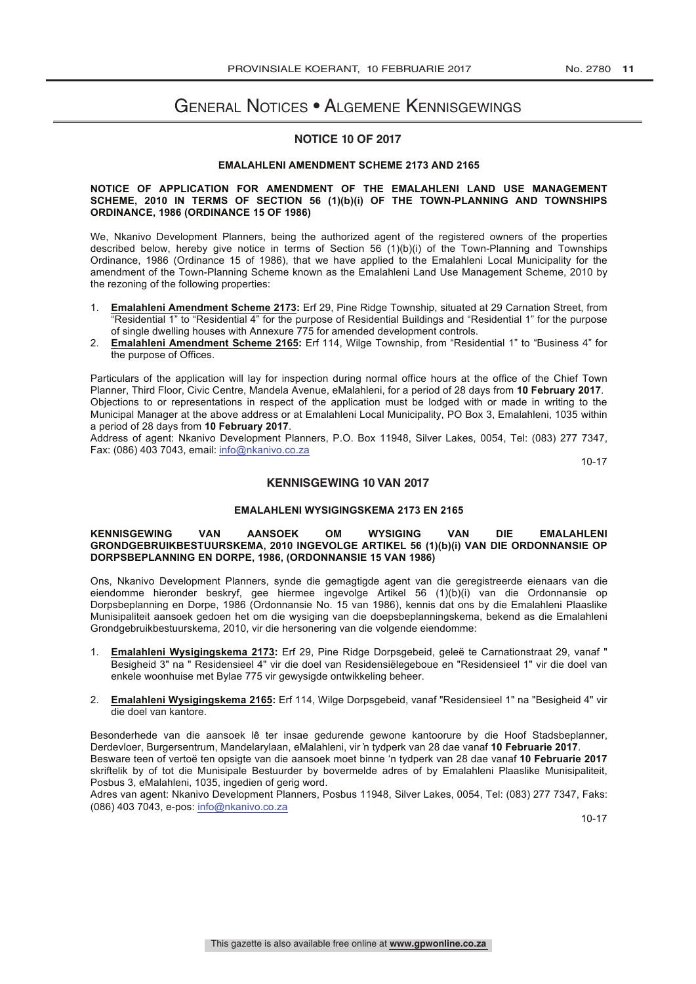# General Notices • Algemene Kennisgewings

### **NOTICE 10 OF 2017**

#### **EMALAHLENI AMENDMENT SCHEME 2173 AND 2165**

#### **NOTICE OF APPLICATION FOR AMENDMENT OF THE EMALAHLENI LAND USE MANAGEMENT SCHEME, 2010 IN TERMS OF SECTION 56 (1)(b)(i) OF THE TOWN-PLANNING AND TOWNSHIPS ORDINANCE, 1986 (ORDINANCE 15 OF 1986)**

We, Nkanivo Development Planners, being the authorized agent of the registered owners of the properties described below, hereby give notice in terms of Section 56 (1)(b)(i) of the Town-Planning and Townships Ordinance, 1986 (Ordinance 15 of 1986), that we have applied to the Emalahleni Local Municipality for the amendment of the Town-Planning Scheme known as the Emalahleni Land Use Management Scheme, 2010 by the rezoning of the following properties:

- 1. **Emalahleni Amendment Scheme 2173:** Erf 29, Pine Ridge Township, situated at 29 Carnation Street, from "Residential 1" to "Residential 4" for the purpose of Residential Buildings and "Residential 1" for the purpose of single dwelling houses with Annexure 775 for amended development controls.
- 2. **Emalahleni Amendment Scheme 2165:** Erf 114, Wilge Township, from "Residential 1" to "Business 4" for the purpose of Offices.

Particulars of the application will lay for inspection during normal office hours at the office of the Chief Town Planner, Third Floor, Civic Centre, Mandela Avenue, eMalahleni, for a period of 28 days from **10 February 2017**. Objections to or representations in respect of the application must be lodged with or made in writing to the Municipal Manager at the above address or at Emalahleni Local Municipality, PO Box 3, Emalahleni, 1035 within a period of 28 days from **10 February 2017**.

Address of agent: Nkanivo Development Planners, P.O. Box 11948, Silver Lakes, 0054, Tel: (083) 277 7347, Fax: (086) 403 7043, email: info@nkanivo.co.za

10-17

#### **KENNISGEWING 10 VAN 2017**

#### **EMALAHLENI WYSIGINGSKEMA 2173 EN 2165**

#### **KENNISGEWING VAN AANSOEK OM WYSIGING VAN DIE EMALAHLENI GRONDGEBRUIKBESTUURSKEMA, 2010 INGEVOLGE ARTIKEL 56 (1)(b)(i) VAN DIE ORDONNANSIE OP DORPSBEPLANNING EN DORPE, 1986, (ORDONNANSIE 15 VAN 1986)**

Ons, Nkanivo Development Planners, synde die gemagtigde agent van die geregistreerde eienaars van die eiendomme hieronder beskryf, gee hiermee ingevolge Artikel 56 (1)(b)(i) van die Ordonnansie op Dorpsbeplanning en Dorpe, 1986 (Ordonnansie No. 15 van 1986), kennis dat ons by die Emalahleni Plaaslike Munisipaliteit aansoek gedoen het om die wysiging van die doepsbeplanningskema, bekend as die Emalahleni Grondgebruikbestuurskema, 2010, vir die hersonering van die volgende eiendomme:

- 1. **Emalahleni Wysigingskema 2173:** Erf 29, Pine Ridge Dorpsgebeid, geleë te Carnationstraat 29, vanaf " Besigheid 3" na " Residensieel 4" vir die doel van Residensiëlegeboue en "Residensieel 1" vir die doel van enkele woonhuise met Bylae 775 vir gewysigde ontwikkeling beheer.
- 2. **Emalahleni Wysigingskema 2165:** Erf 114, Wilge Dorpsgebeid, vanaf "Residensieel 1" na "Besigheid 4" vir die doel van kantore.

Besonderhede van die aansoek lê ter insae gedurende gewone kantoorure by die Hoof Stadsbeplanner, Derdevloer, Burgersentrum, Mandelarylaan, eMalahleni, vir 'n tydperk van 28 dae vanaf **10 Februarie 2017**. Besware teen of vertoë ten opsigte van die aansoek moet binne 'n tydperk van 28 dae vanaf **10 Februarie 2017**  skriftelik by of tot die Munisipale Bestuurder by bovermelde adres of by Emalahleni Plaaslike Munisipaliteit, Posbus 3, eMalahleni, 1035, ingedien of gerig word.

Adres van agent: Nkanivo Development Planners, Posbus 11948, Silver Lakes, 0054, Tel: (083) 277 7347, Faks: (086) 403 7043, e-pos: info@nkanivo.co.za

10-17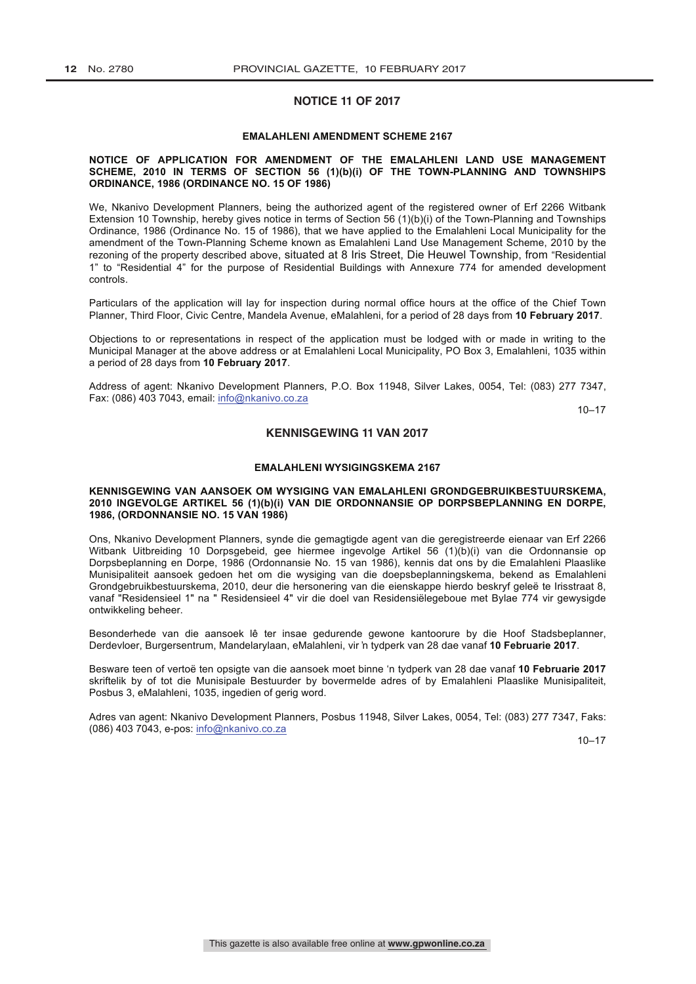#### **NOTICE 11 OF 2017**

#### **EMALAHLENI AMENDMENT SCHEME 2167**

#### **NOTICE OF APPLICATION FOR AMENDMENT OF THE EMALAHLENI LAND USE MANAGEMENT SCHEME, 2010 IN TERMS OF SECTION 56 (1)(b)(i) OF THE TOWN-PLANNING AND TOWNSHIPS ORDINANCE, 1986 (ORDINANCE NO. 15 OF 1986)**

We, Nkanivo Development Planners, being the authorized agent of the registered owner of Erf 2266 Witbank Extension 10 Township, hereby gives notice in terms of Section 56 (1)(b)(i) of the Town-Planning and Townships Ordinance, 1986 (Ordinance No. 15 of 1986), that we have applied to the Emalahleni Local Municipality for the amendment of the Town-Planning Scheme known as Emalahleni Land Use Management Scheme, 2010 by the rezoning of the property described above, situated at 8 Iris Street, Die Heuwel Township, from "Residential 1" to "Residential 4" for the purpose of Residential Buildings with Annexure 774 for amended development controls.

Particulars of the application will lay for inspection during normal office hours at the office of the Chief Town Planner, Third Floor, Civic Centre, Mandela Avenue, eMalahleni, for a period of 28 days from **10 February 2017**.

Objections to or representations in respect of the application must be lodged with or made in writing to the Municipal Manager at the above address or at Emalahleni Local Municipality, PO Box 3, Emalahleni, 1035 within a period of 28 days from **10 February 2017**.

Address of agent: Nkanivo Development Planners, P.O. Box 11948, Silver Lakes, 0054, Tel: (083) 277 7347, Fax: (086) 403 7043, email: info@nkanivo.co.za

10–17

#### **KENNISGEWING 11 VAN 2017**

#### **EMALAHLENI WYSIGINGSKEMA 2167**

#### **KENNISGEWING VAN AANSOEK OM WYSIGING VAN EMALAHLENI GRONDGEBRUIKBESTUURSKEMA, 2010 INGEVOLGE ARTIKEL 56 (1)(b)(i) VAN DIE ORDONNANSIE OP DORPSBEPLANNING EN DORPE, 1986, (ORDONNANSIE NO. 15 VAN 1986)**

Ons, Nkanivo Development Planners, synde die gemagtigde agent van die geregistreerde eienaar van Erf 2266 Witbank Uitbreiding 10 Dorpsgebeid, gee hiermee ingevolge Artikel 56 (1)(b)(i) van die Ordonnansie op Dorpsbeplanning en Dorpe, 1986 (Ordonnansie No. 15 van 1986), kennis dat ons by die Emalahleni Plaaslike Munisipaliteit aansoek gedoen het om die wysiging van die doepsbeplanningskema, bekend as Emalahleni Grondgebruikbestuurskema, 2010, deur die hersonering van die eienskappe hierdo beskryf geleë te Irisstraat 8, vanaf "Residensieel 1" na " Residensieel 4" vir die doel van Residensiëlegeboue met Bylae 774 vir gewysigde ontwikkeling beheer.

Besonderhede van die aansoek lê ter insae gedurende gewone kantoorure by die Hoof Stadsbeplanner, Derdevloer, Burgersentrum, Mandelarylaan, eMalahleni, vir 'n tydperk van 28 dae vanaf **10 Februarie 2017**.

Besware teen of vertoë ten opsigte van die aansoek moet binne 'n tydperk van 28 dae vanaf **10 Februarie 2017** skriftelik by of tot die Munisipale Bestuurder by bovermelde adres of by Emalahleni Plaaslike Munisipaliteit, Posbus 3, eMalahleni, 1035, ingedien of gerig word.

Adres van agent: Nkanivo Development Planners, Posbus 11948, Silver Lakes, 0054, Tel: (083) 277 7347, Faks: (086) 403 7043, e-pos: info@nkanivo.co.za

10–17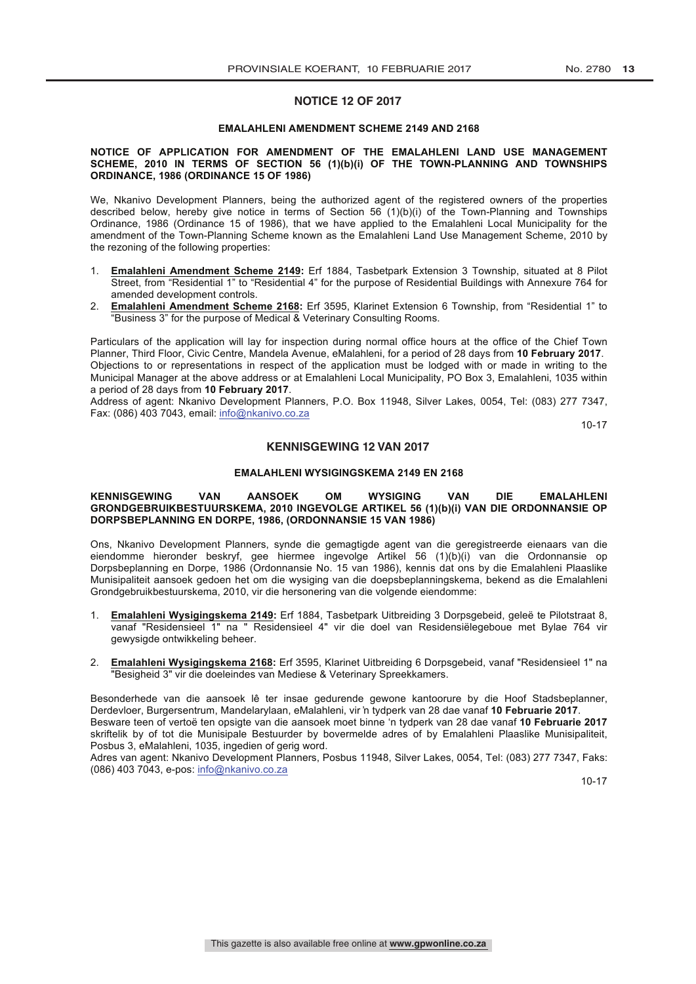#### **NOTICE 12 OF 2017**

#### **EMALAHLENI AMENDMENT SCHEME 2149 AND 2168**

#### **NOTICE OF APPLICATION FOR AMENDMENT OF THE EMALAHLENI LAND USE MANAGEMENT SCHEME, 2010 IN TERMS OF SECTION 56 (1)(b)(i) OF THE TOWN-PLANNING AND TOWNSHIPS ORDINANCE, 1986 (ORDINANCE 15 OF 1986)**

We, Nkanivo Development Planners, being the authorized agent of the registered owners of the properties described below, hereby give notice in terms of Section 56 (1)(b)(i) of the Town-Planning and Townships Ordinance, 1986 (Ordinance 15 of 1986), that we have applied to the Emalahleni Local Municipality for the amendment of the Town-Planning Scheme known as the Emalahleni Land Use Management Scheme, 2010 by the rezoning of the following properties:

- 1. **Emalahleni Amendment Scheme 2149:** Erf 1884, Tasbetpark Extension 3 Township, situated at 8 Pilot Street, from "Residential 1" to "Residential 4" for the purpose of Residential Buildings with Annexure 764 for amended development controls.
- 2. **Emalahleni Amendment Scheme 2168:** Erf 3595, Klarinet Extension 6 Township, from "Residential 1" to "Business 3" for the purpose of Medical & Veterinary Consulting Rooms.

Particulars of the application will lay for inspection during normal office hours at the office of the Chief Town Planner, Third Floor, Civic Centre, Mandela Avenue, eMalahleni, for a period of 28 days from **10 February 2017**. Objections to or representations in respect of the application must be lodged with or made in writing to the Municipal Manager at the above address or at Emalahleni Local Municipality, PO Box 3, Emalahleni, 1035 within a period of 28 days from **10 February 2017**.

Address of agent: Nkanivo Development Planners, P.O. Box 11948, Silver Lakes, 0054, Tel: (083) 277 7347, Fax: (086) 403 7043, email: info@nkanivo.co.za

10-17

#### **KENNISGEWING 12 VAN 2017**

#### **EMALAHLENI WYSIGINGSKEMA 2149 EN 2168**

#### **KENNISGEWING VAN AANSOEK OM WYSIGING VAN DIE EMALAHLENI GRONDGEBRUIKBESTUURSKEMA, 2010 INGEVOLGE ARTIKEL 56 (1)(b)(i) VAN DIE ORDONNANSIE OP DORPSBEPLANNING EN DORPE, 1986, (ORDONNANSIE 15 VAN 1986)**

Ons, Nkanivo Development Planners, synde die gemagtigde agent van die geregistreerde eienaars van die eiendomme hieronder beskryf, gee hiermee ingevolge Artikel 56 (1)(b)(i) van die Ordonnansie op Dorpsbeplanning en Dorpe, 1986 (Ordonnansie No. 15 van 1986), kennis dat ons by die Emalahleni Plaaslike Munisipaliteit aansoek gedoen het om die wysiging van die doepsbeplanningskema, bekend as die Emalahleni Grondgebruikbestuurskema, 2010, vir die hersonering van die volgende eiendomme:

- 1. **Emalahleni Wysigingskema 2149:** Erf 1884, Tasbetpark Uitbreiding 3 Dorpsgebeid, geleë te Pilotstraat 8, vanaf "Residensieel 1" na " Residensieel 4" vir die doel van Residensiëlegeboue met Bylae 764 vir gewysigde ontwikkeling beheer.
- 2. **Emalahleni Wysigingskema 2168:** Erf 3595, Klarinet Uitbreiding 6 Dorpsgebeid, vanaf "Residensieel 1" na "Besigheid 3" vir die doeleindes van Mediese & Veterinary Spreekkamers.

Besonderhede van die aansoek lê ter insae gedurende gewone kantoorure by die Hoof Stadsbeplanner, Derdevloer, Burgersentrum, Mandelarylaan, eMalahleni, vir 'n tydperk van 28 dae vanaf **10 Februarie 2017**. Besware teen of vertoë ten opsigte van die aansoek moet binne 'n tydperk van 28 dae vanaf **10 Februarie 2017**  skriftelik by of tot die Munisipale Bestuurder by bovermelde adres of by Emalahleni Plaaslike Munisipaliteit, Posbus 3, eMalahleni, 1035, ingedien of gerig word.

Adres van agent: Nkanivo Development Planners, Posbus 11948, Silver Lakes, 0054, Tel: (083) 277 7347, Faks: (086) 403 7043, e-pos: info@nkanivo.co.za

10-17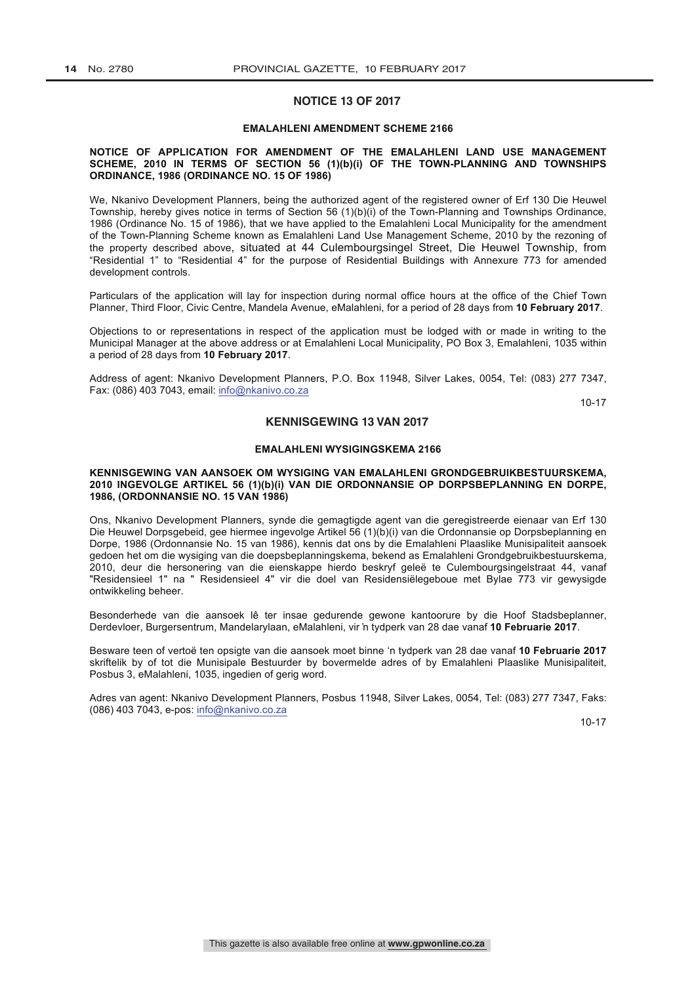#### **NOTICE 13 OF 2017**

#### **EMALAHLENI AMENDMENT SCHEME 2166**

#### **NOTICE OF APPLICATION FOR AMENDMENT OF THE EMALAHLENI LAND USE MANAGEMENT SCHEME, 2010 IN TERMS OF SECTION 56 (1)(b)(i) OF THE TOWN-PLANNING AND TOWNSHIPS ORDINANCE, 1986 (ORDINANCE NO. 15 OF 1986)**

We, Nkanivo Development Planners, being the authorized agent of the registered owner of Erf 130 Die Heuwel Township, hereby gives notice in terms of Section 56 (1)(b)(i) of the Town-Planning and Townships Ordinance, 1986 (Ordinance No. 15 of 1986), that we have applied to the Emalahleni Local Municipality for the amendment of the Town-Planning Scheme known as Emalahleni Land Use Management Scheme, 2010 by the rezoning of the property described above, situated at 44 Culembourgsingel Street, Die Heuwel Township, from "Residential 1" to "Residential 4" for the purpose of Residential Buildings with Annexure 773 for amended development controls.

Particulars of the application will lay for inspection during normal office hours at the office of the Chief Town Planner, Third Floor, Civic Centre, Mandela Avenue, eMalahleni, for a period of 28 days from **10 February 2017**.

Objections to or representations in respect of the application must be lodged with or made in writing to the Municipal Manager at the above address or at Emalahleni Local Municipality, PO Box 3, Emalahleni, 1035 within a period of 28 days from **10 February 2017**.

Address of agent: Nkanivo Development Planners, P.O. Box 11948, Silver Lakes, 0054, Tel: (083) 277 7347, Fax: (086) 403 7043, email: info@nkanivo.co.za

10-17

#### **KENNISGEWING 13 VAN 2017**

#### **EMALAHLENI WYSIGINGSKEMA 2166**

#### **KENNISGEWING VAN AANSOEK OM WYSIGING VAN EMALAHLENI GRONDGEBRUIKBESTUURSKEMA, 2010 INGEVOLGE ARTIKEL 56 (1)(b)(i) VAN DIE ORDONNANSIE OP DORPSBEPLANNING EN DORPE, 1986, (ORDONNANSIE NO. 15 VAN 1986)**

Ons, Nkanivo Development Planners, synde die gemagtigde agent van die geregistreerde eienaar van Erf 130 Die Heuwel Dorpsgebeid, gee hiermee ingevolge Artikel 56 (1)(b)(i) van die Ordonnansie op Dorpsbeplanning en Dorpe, 1986 (Ordonnansie No. 15 van 1986), kennis dat ons by die Emalahleni Plaaslike Munisipaliteit aansoek gedoen het om die wysiging van die doepsbeplanningskema, bekend as Emalahleni Grondgebruikbestuurskema, 2010, deur die hersonering van die eienskappe hierdo beskryf geleë te Culembourgsingelstraat 44, vanaf "Residensieel 1" na " Residensieel 4" vir die doel van Residensiëlegeboue met Bylae 773 vir gewysigde ontwikkeling beheer.

Besonderhede van die aansoek lê ter insae gedurende gewone kantoorure by die Hoof Stadsbeplanner, Derdevloer, Burgersentrum, Mandelarylaan, eMalahleni, vir 'n tydperk van 28 dae vanaf **10 Februarie 2017**.

Besware teen of vertoë ten opsigte van die aansoek moet binne 'n tydperk van 28 dae vanaf **10 Februarie 2017** skriftelik by of tot die Munisipale Bestuurder by bovermelde adres of by Emalahleni Plaaslike Munisipaliteit, Posbus 3, eMalahleni, 1035, ingedien of gerig word.

Adres van agent: Nkanivo Development Planners, Posbus 11948, Silver Lakes, 0054, Tel: (083) 277 7347, Faks: (086) 403 7043, e-pos: info@nkanivo.co.za

10-17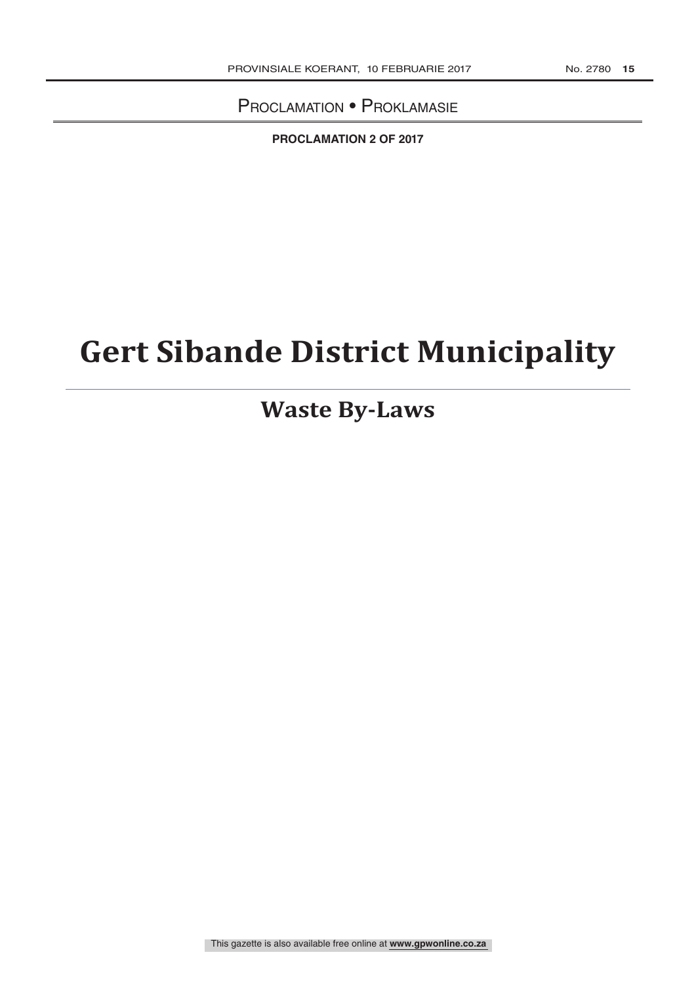Proclamation • Proklamasie

**PROCLAMATION 2 OF 2017** 

# **Gert Sibande District Municipality**

# **Waste By-Laws**

This gazette is also available free online at **www.gpwonline.co.za**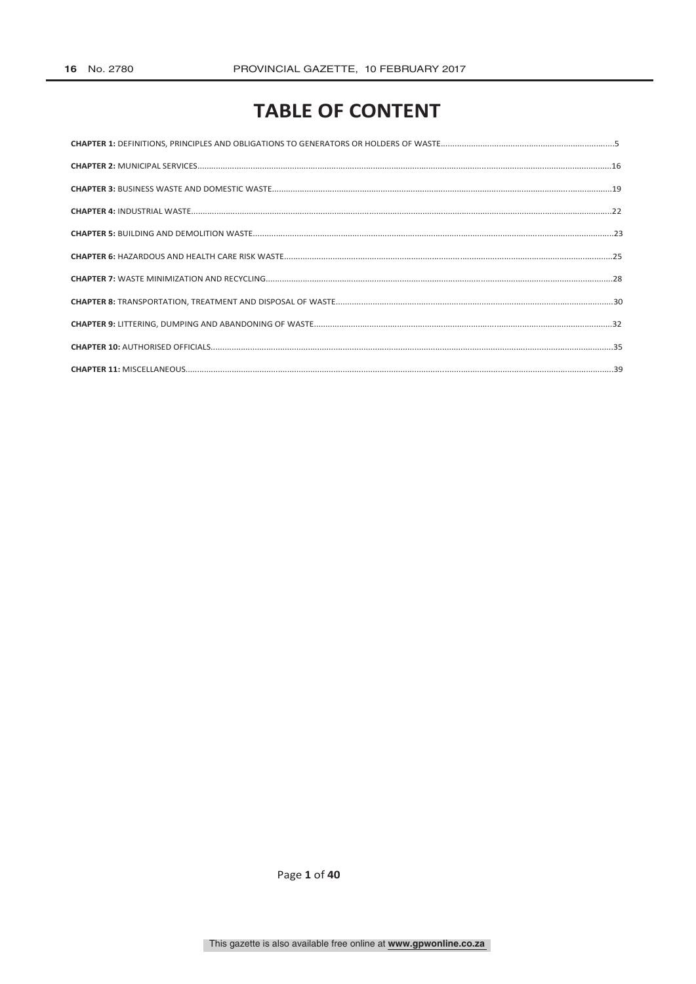# **TABLE OF CONTENT**

Page 1 of 40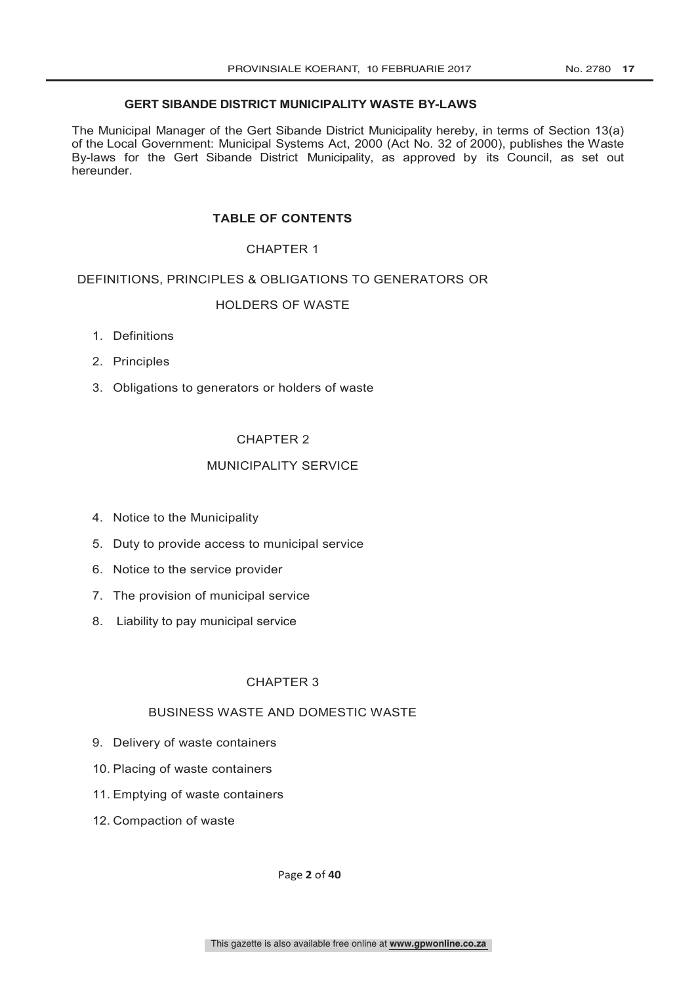# **GERT SIBANDE DISTRICT MUNICIPALITY WASTE BY-LAWS**

The Municipal Manager of the Gert Sibande District Municipality hereby, in terms of Section 13(a) of the Local Government: Municipal Systems Act, 2000 (Act No. 32 of 2000), publishes the Waste By-laws for the Gert Sibande District Municipality, as approved by its Council, as set out hereunder.

# **TABLE OF CONTENTS**

# CHAPTER 1

# DEFINITIONS, PRINCIPLES & OBLIGATIONS TO GENERATORS OR

# HOLDERS OF WASTE

- 1. Definitions
- 2. Principles
- 3. Obligations to generators or holders of waste

# CHAPTER 2

# MUNICIPALITY SERVICE

- 4. Notice to the Municipality
- 5. Duty to provide access to municipal service
- 6. Notice to the service provider
- 7. The provision of municipal service
- 8. Liability to pay municipal service

# CHAPTER 3

# BUSINESS WASTE AND DOMESTIC WASTE

- 9. Delivery of waste containers
- 10. Placing of waste containers
- 11. Emptying of waste containers
- 12. Compaction of waste

Page **2** of **40**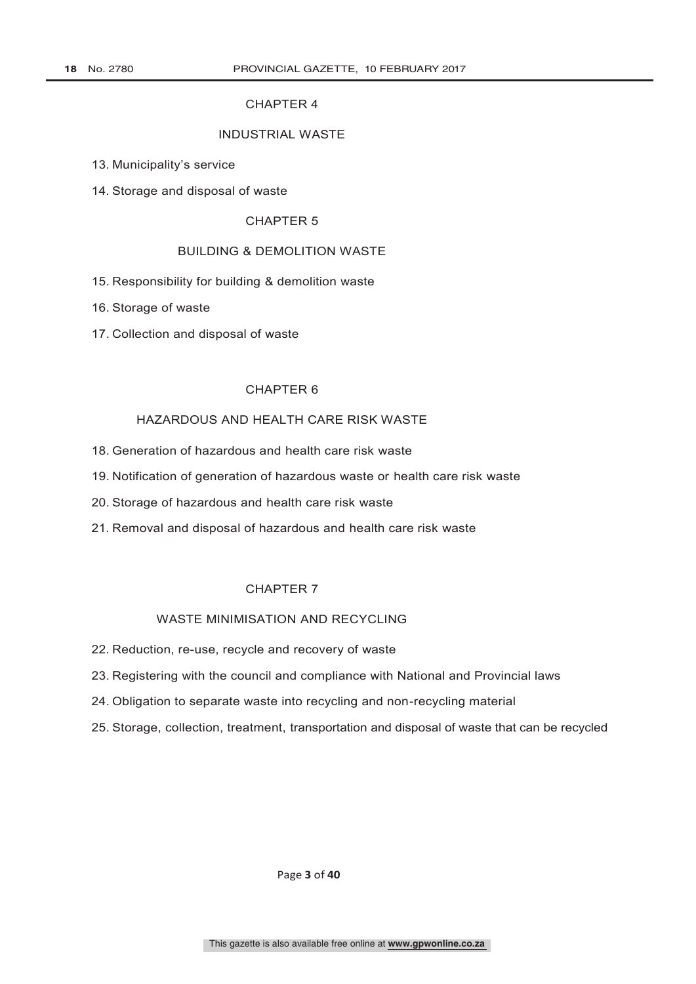# INDUSTRIAL WASTE

13. Municipality's service

14. Storage and disposal of waste

# CHAPTER 5

# BUILDING & DEMOLITION WASTE

- 15. Responsibility for building & demolition waste
- 16. Storage of waste
- 17. Collection and disposal of waste

# CHAPTER 6

# HAZARDOUS AND HEALTH CARE RISK WASTE

- 18. Generation of hazardous and health care risk waste
- 19. Notification of generation of hazardous waste or health care risk waste
- 20. Storage of hazardous and health care risk waste
- 21. Removal and disposal of hazardous and health care risk waste

# CHAPTER 7

#### WASTE MINIMISATION AND RECYCLING

- 22. Reduction, re-use, recycle and recovery of waste
- 23. Registering with the council and compliance with National and Provincial laws
- 24. Obligation to separate waste into recycling and non-recycling material
- 25. Storage, collection, treatment, transportation and disposal of waste that can be recycled

Page **3** of **40**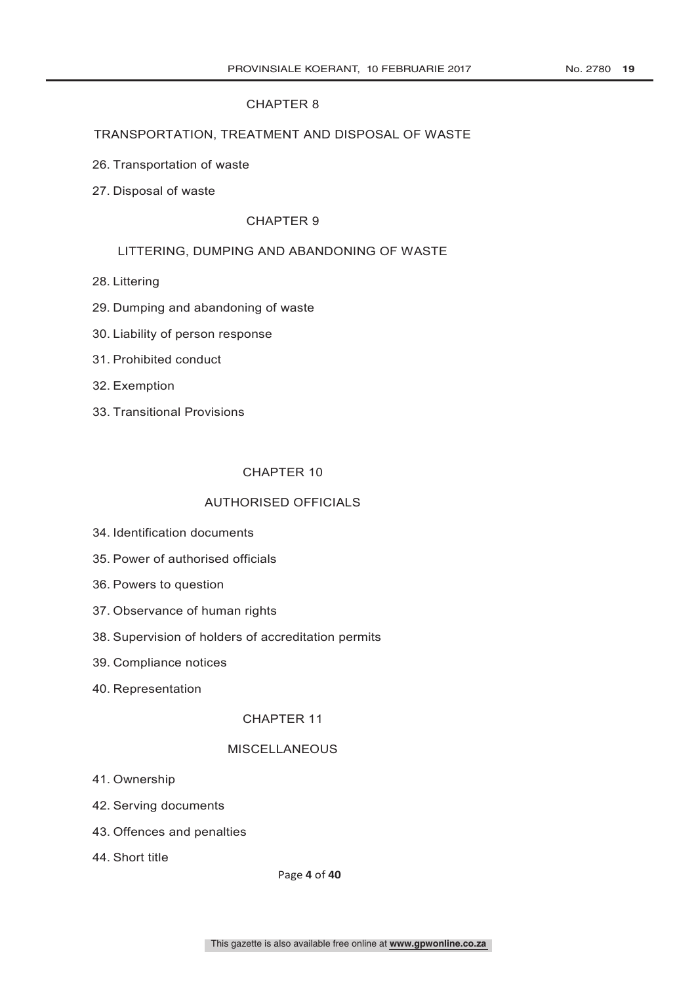# TRANSPORTATION, TREATMENT AND DISPOSAL OF WASTE

26. Transportation of waste

27. Disposal of waste

# CHAPTER 9

# LITTERING, DUMPING AND ABANDONING OF WASTE

- 28. Littering
- 29. Dumping and abandoning of waste
- 30. Liability of person response
- 31. Prohibited conduct
- 32. Exemption
- 33. Transitional Provisions

# CHAPTER 10

## AUTHORISED OFFICIALS

- 34. Identification documents
- 35. Power of authorised officials
- 36. Powers to question
- 37. Observance of human rights
- 38. Supervision of holders of accreditation permits
- 39. Compliance notices
- 40. Representation

#### CHAPTER 11

# MISCELLANEOUS

- 41. Ownership
- 42. Serving documents
- 43. Offences and penalties
- 44. Short title

Page **4** of **40**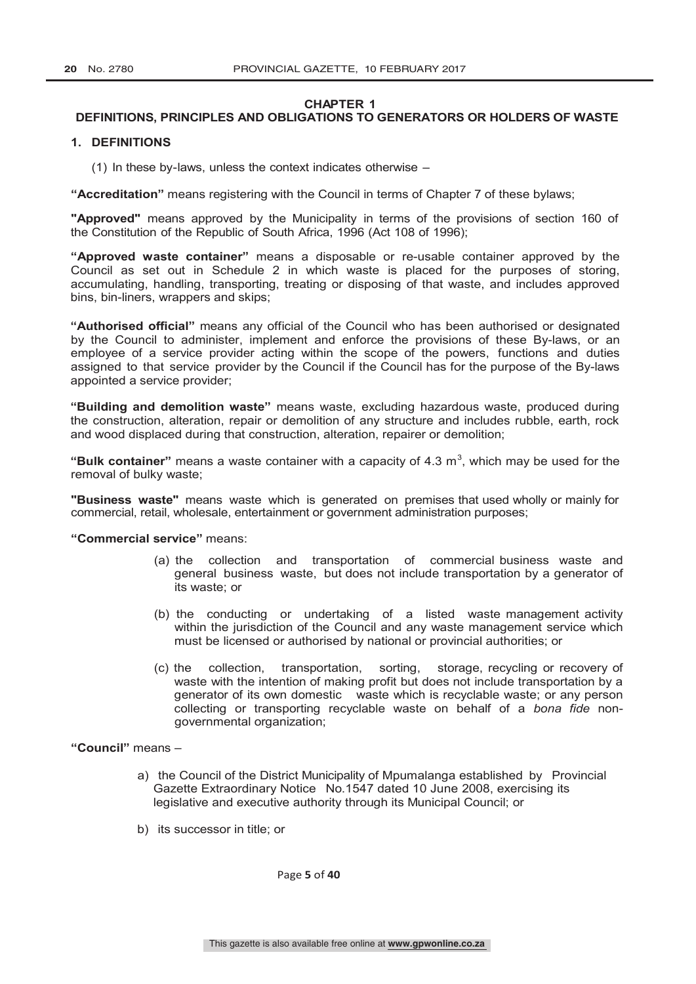# **DEFINITIONS, PRINCIPLES AND OBLIGATIONS TO GENERATORS OR HOLDERS OF WASTE**

# **1. DEFINITIONS**

(1) In these by-laws, unless the context indicates otherwise –

**"Accreditation"** means registering with the Council in terms of Chapter 7 of these bylaws;

**"Approved"** means approved by the Municipality in terms of the provisions of section 160 of the Constitution of the Republic of South Africa, 1996 (Act 108 of 1996);

**"Approved waste container"** means a disposable or re-usable container approved by the Council as set out in Schedule 2 in which waste is placed for the purposes of storing, accumulating, handling, transporting, treating or disposing of that waste, and includes approved bins, bin-liners, wrappers and skips;

**"Authorised official"** means any official of the Council who has been authorised or designated by the Council to administer, implement and enforce the provisions of these By-laws, or an employee of a service provider acting within the scope of the powers, functions and duties assigned to that service provider by the Council if the Council has for the purpose of the By-laws appointed a service provider;

**"Building and demolition waste"** means waste, excluding hazardous waste, produced during the construction, alteration, repair or demolition of any structure and includes rubble, earth, rock and wood displaced during that construction, alteration, repairer or demolition;

"Bulk container" means a waste container with a capacity of 4.3 m<sup>3</sup>, which may be used for the removal of bulky waste;

**"Business waste"** means waste which is generated on premises that used wholly or mainly for commercial, retail, wholesale, entertainment or government administration purposes;

#### **"Commercial service"** means:

- (a) the collection and transportation of commercial business waste and general business waste, but does not include transportation by a generator of its waste; or
- (b) the conducting or undertaking of a listed waste management activity within the jurisdiction of the Council and any waste management service which must be licensed or authorised by national or provincial authorities; or
- (c) the collection, transportation, sorting, storage, recycling or recovery of waste with the intention of making profit but does not include transportation by a generator of its own domestic waste which is recyclable waste; or any person collecting or transporting recyclable waste on behalf of a *bona fide* nongovernmental organization;

**"Council"** means –

- a) the Council of the District Municipality of Mpumalanga established by Provincial Gazette Extraordinary Notice No.1547 dated 10 June 2008, exercising its legislative and executive authority through its Municipal Council; or
- b) its successor in title; or

Page **5** of **40**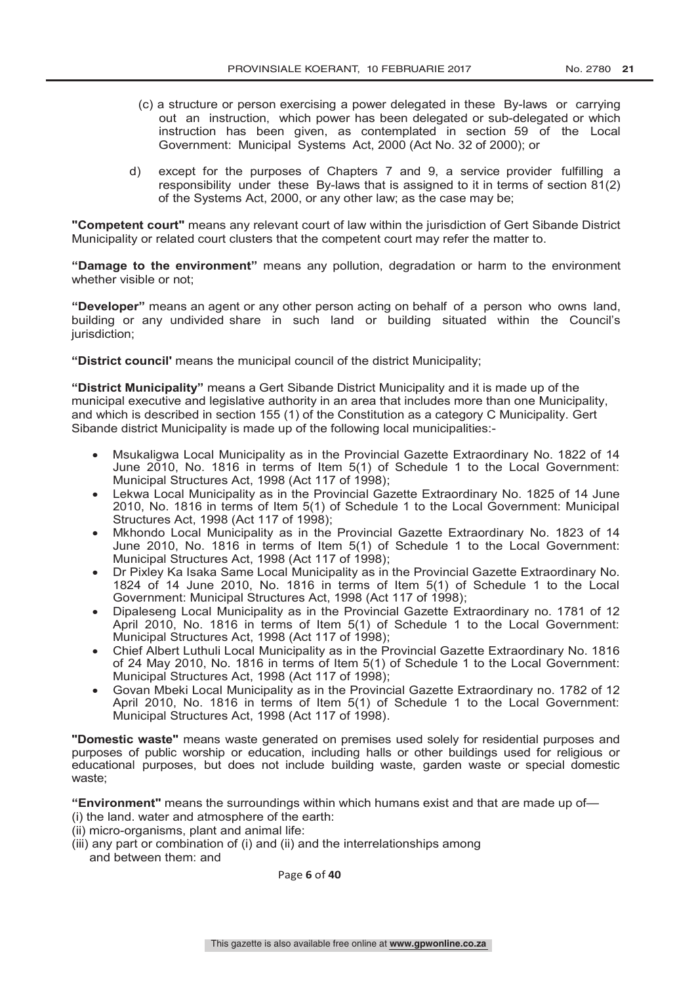- (c) a structure or person exercising a power delegated in these By-laws or carrying out an instruction, which power has been delegated or sub-delegated or which instruction has been given, as contemplated in section 59 of the Local Government: Municipal Systems Act, 2000 (Act No. 32 of 2000); or
- d) except for the purposes of Chapters 7 and 9, a service provider fulfilling a responsibility under these By-laws that is assigned to it in terms of section 81(2) of the Systems Act, 2000, or any other law; as the case may be;

**"Competent court"** means any relevant court of law within the jurisdiction of Gert Sibande District Municipality or related court clusters that the competent court may refer the matter to.

**"Damage to the environment"** means any pollution, degradation or harm to the environment whether visible or not;

**"Developer"** means an agent or any other person acting on behalf of a person who owns land, building or any undivided share in such land or building situated within the Council's jurisdiction;

**"District council'** means the municipal council of the district Municipality;

**"District Municipality"** means a Gert Sibande District Municipality and it is made up of the municipal executive and legislative authority in an area that includes more than one Municipality, and which is described in section 155 (1) of the Constitution as a category C Municipality. Gert Sibande district Municipality is made up of the following local municipalities:-

- Msukaligwa Local Municipality as in the Provincial Gazette Extraordinary No. 1822 of 14 June 2010, No. 1816 in terms of Item 5(1) of Schedule 1 to the Local Government: Municipal Structures Act, 1998 (Act 117 of 1998);
- Lekwa Local Municipality as in the Provincial Gazette Extraordinary No. 1825 of 14 June 2010, No. 1816 in terms of Item 5(1) of Schedule 1 to the Local Government: Municipal Structures Act, 1998 (Act 117 of 1998);
- Mkhondo Local Municipality as in the Provincial Gazette Extraordinary No. 1823 of 14 June 2010, No. 1816 in terms of Item 5(1) of Schedule 1 to the Local Government: Municipal Structures Act, 1998 (Act 117 of 1998);
- Dr Pixley Ka Isaka Same Local Municipality as in the Provincial Gazette Extraordinary No. 1824 of 14 June 2010, No. 1816 in terms of Item 5(1) of Schedule 1 to the Local Government: Municipal Structures Act, 1998 (Act 117 of 1998);
- Dipaleseng Local Municipality as in the Provincial Gazette Extraordinary no. 1781 of 12 April 2010, No. 1816 in terms of Item 5(1) of Schedule 1 to the Local Government: Municipal Structures Act, 1998 (Act 117 of 1998);
- Chief Albert Luthuli Local Municipality as in the Provincial Gazette Extraordinary No. 1816 of 24 May 2010, No. 1816 in terms of Item 5(1) of Schedule 1 to the Local Government: Municipal Structures Act, 1998 (Act 117 of 1998);
- Govan Mbeki Local Municipality as in the Provincial Gazette Extraordinary no. 1782 of 12 April 2010, No. 1816 in terms of Item 5(1) of Schedule 1 to the Local Government: Municipal Structures Act, 1998 (Act 117 of 1998).

**"Domestic waste"** means waste generated on premises used solely for residential purposes and purposes of public worship or education, including halls or other buildings used for religious or educational purposes, but does not include building waste, garden waste or special domestic waste;

**"Environment"** means the surroundings within which humans exist and that are made up of— (i) the land. water and atmosphere of the earth:

- (ii) micro-organisms, plant and animal life:
- (iii) any part or combination of (i) and (ii) and the interrelationships among and between them: and

Page **6** of **40**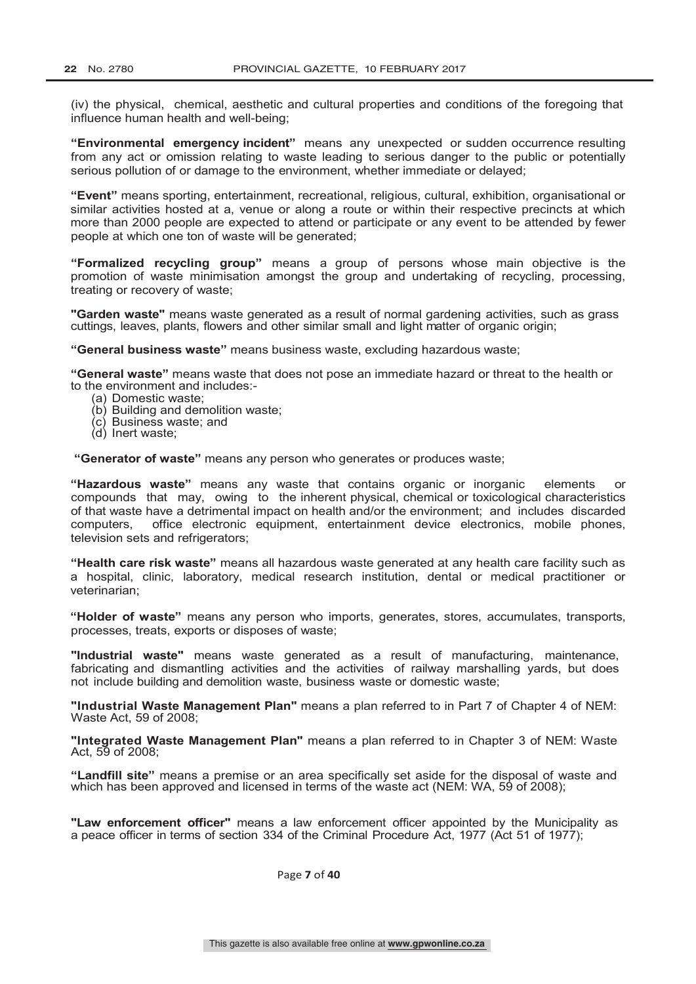(iv) the physical, chemical, aesthetic and cultural properties and conditions of the foregoing that influence human health and well-being;

**"Environmental emergency incident"** means any unexpected or sudden occurrence resulting from any act or omission relating to waste leading to serious danger to the public or potentially serious pollution of or damage to the environment, whether immediate or delayed;

**"Event"** means sporting, entertainment, recreational, religious, cultural, exhibition, organisational or similar activities hosted at a, venue or along a route or within their respective precincts at which more than 2000 people are expected to attend or participate or any event to be attended by fewer people at which one ton of waste will be generated;

**"Formalized recycling group"** means a group of persons whose main objective is the promotion of waste minimisation amongst the group and undertaking of recycling, processing, treating or recovery of waste;

**"Garden waste"** means waste generated as a result of normal gardening activities, such as grass cuttings, leaves, plants, flowers and other similar small and light matter of organic origin;

**"General business waste"** means business waste, excluding hazardous waste;

**"General waste"** means waste that does not pose an immediate hazard or threat to the health or to the environment and includes:-

- (a) Domestic waste;
- (b) Building and demolition waste;
- (c) Business waste; and
- (d) Inert waste;

**"Generator of waste"** means any person who generates or produces waste;

**"Hazardous waste"** means any waste that contains organic or inorganic elements or compounds that may, owing to the inherent physical, chemical or toxicological characteristics of that waste have a detrimental impact on health and/or the environment; and includes discarded computers, office electronic equipment, entertainment device electronics, mobile phones, television sets and refrigerators;

**"Health care risk waste"** means all hazardous waste generated at any health care facility such as a hospital, clinic, laboratory, medical research institution, dental or medical practitioner or veterinarian;

**"Holder of waste"** means any person who imports, generates, stores, accumulates, transports, processes, treats, exports or disposes of waste;

**"Industrial waste"** means waste generated as a result of manufacturing, maintenance, fabricating and dismantling activities and the activities of railway marshalling yards, but does not include building and demolition waste, business waste or domestic waste;

**"Industrial Waste Management Plan"** means a plan referred to in Part 7 of Chapter 4 of NEM: Waste Act, 59 of 2008;

**"Integrated Waste Management Plan"** means a plan referred to in Chapter 3 of NEM: Waste Act, 59 of 2008;

**"Landfill site"** means a premise or an area specifically set aside for the disposal of waste and which has been approved and licensed in terms of the waste act (NEM: WA, 59 of 2008);

**"Law enforcement officer"** means a law enforcement officer appointed by the Municipality as a peace officer in terms of section 334 of the Criminal Procedure Act, 1977 (Act 51 of 1977);

Page **7** of **40**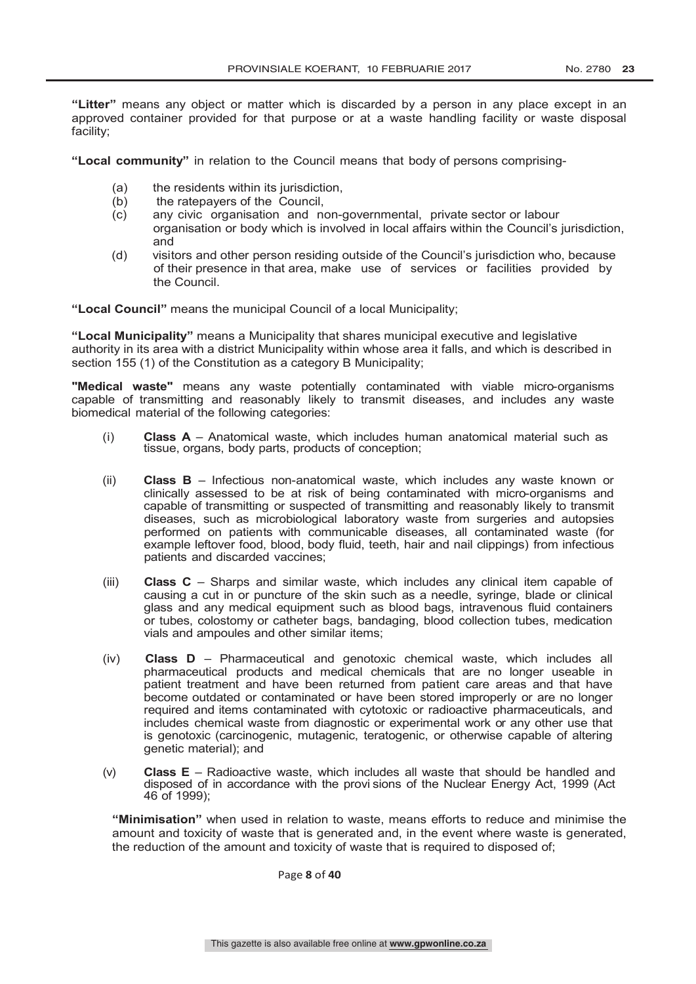**"Litter"** means any object or matter which is discarded by a person in any place except in an approved container provided for that purpose or at a waste handling facility or waste disposal facility;

**"Local community"** in relation to the Council means that body of persons comprising-

- (a) the residents within its jurisdiction,
- (b) the ratepayers of the Council,
- (c) any civic organisation and non-governmental, private sector or labour organisation or body which is involved in local affairs within the Council's jurisdiction, and
- (d) visitors and other person residing outside of the Council's jurisdiction who, because of their presence in that area, make use of services or facilities provided by the Council.

**"Local Council"** means the municipal Council of a local Municipality;

**"Local Municipality"** means a Municipality that shares municipal executive and legislative authority in its area with a district Municipality within whose area it falls, and which is described in section 155 (1) of the Constitution as a category B Municipality;

**"Medical waste"** means any waste potentially contaminated with viable micro-organisms capable of transmitting and reasonably likely to transmit diseases, and includes any waste biomedical material of the following categories:

- (i) **Class A** Anatomical waste, which includes human anatomical material such as tissue, organs, body parts, products of conception;
- (ii) **Class B** Infectious non-anatomical waste, which includes any waste known or clinically assessed to be at risk of being contaminated with micro-organisms and capable of transmitting or suspected of transmitting and reasonably likely to transmit diseases, such as microbiological laboratory waste from surgeries and autopsies performed on patients with communicable diseases, all contaminated waste (for example leftover food, blood, body fluid, teeth, hair and nail clippings) from infectious patients and discarded vaccines;
- (iii) **Class C** Sharps and similar waste, which includes any clinical item capable of causing a cut in or puncture of the skin such as a needle, syringe, blade or clinical glass and any medical equipment such as blood bags, intravenous fluid containers or tubes, colostomy or catheter bags, bandaging, blood collection tubes, medication vials and ampoules and other similar items;
- (iv) **Class D** Pharmaceutical and genotoxic chemical waste, which includes all pharmaceutical products and medical chemicals that are no longer useable in patient treatment and have been returned from patient care areas and that have become outdated or contaminated or have been stored improperly or are no longer required and items contaminated with cytotoxic or radioactive pharmaceuticals, and includes chemical waste from diagnostic or experimental work or any other use that is genotoxic (carcinogenic, mutagenic, teratogenic, or otherwise capable of altering genetic material); and
- (v) **Class E** Radioactive waste, which includes all waste that should be handled and disposed of in accordance with the provi sions of the Nuclear Energy Act, 1999 (Act 46 of 1999);

**"Minimisation"** when used in relation to waste, means efforts to reduce and minimise the amount and toxicity of waste that is generated and, in the event where waste is generated, the reduction of the amount and toxicity of waste that is required to disposed of;

Page **8** of **40**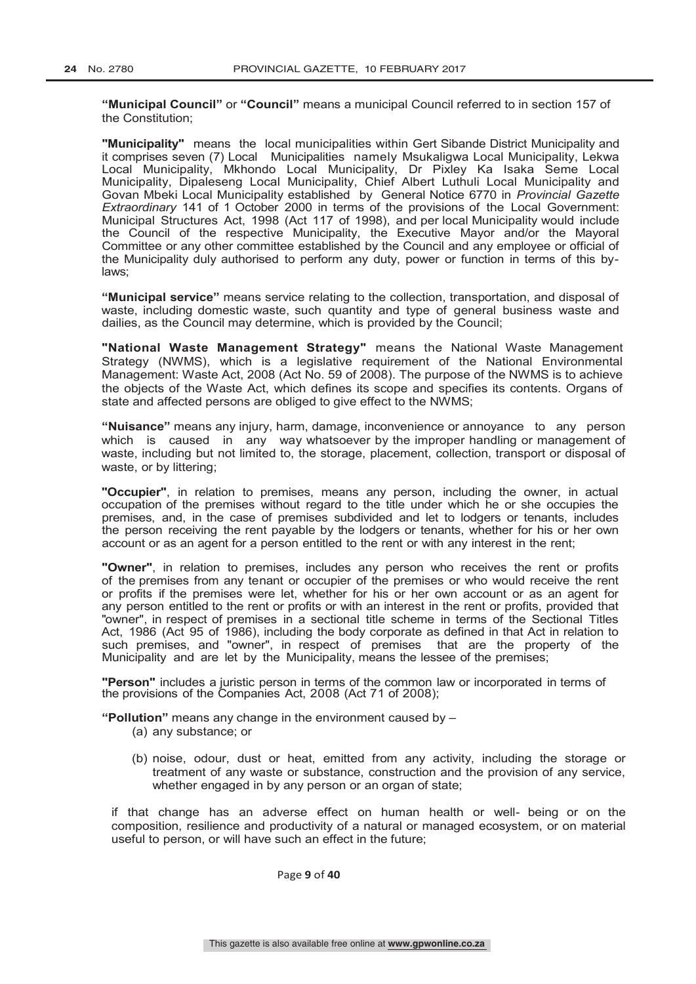**"Municipal Council"** or **"Council"** means a municipal Council referred to in section 157 of the Constitution;

**"Municipality"** means the local municipalities within Gert Sibande District Municipality and it comprises seven (7) Local Municipalities namely Msukaligwa Local Municipality, Lekwa Local Municipality, Mkhondo Local Municipality, Dr Pixley Ka Isaka Seme Local Municipality, Dipaleseng Local Municipality, Chief Albert Luthuli Local Municipality and Govan Mbeki Local Municipality established by General Notice 6770 in *Provincial Gazette Extraordinary* 141 of 1 October 2000 in terms of the provisions of the Local Government: Municipal Structures Act, 1998 (Act 117 of 1998), and per local Municipality would include the Council of the respective Municipality, the Executive Mayor and/or the Mayoral Committee or any other committee established by the Council and any employee or official of the Municipality duly authorised to perform any duty, power or function in terms of this bylaws;

**"Municipal service"** means service relating to the collection, transportation, and disposal of waste, including domestic waste, such quantity and type of general business waste and dailies, as the Council may determine, which is provided by the Council;

**"National Waste Management Strategy"** means the National Waste Management Strategy (NWMS), which is a legislative requirement of the National Environmental Management: Waste Act, 2008 (Act No. 59 of 2008). The purpose of the NWMS is to achieve the objects of the Waste Act, which defines its scope and specifies its contents. Organs of state and affected persons are obliged to give effect to the NWMS;

**"Nuisance"** means any injury, harm, damage, inconvenience or annoyance to any person which is caused in any way whatsoever by the improper handling or management of waste, including but not limited to, the storage, placement, collection, transport or disposal of waste, or by littering;

**"Occupier"**, in relation to premises, means any person, including the owner, in actual occupation of the premises without regard to the title under which he or she occupies the premises, and, in the case of premises subdivided and let to lodgers or tenants, includes the person receiving the rent payable by the lodgers or tenants, whether for his or her own account or as an agent for a person entitled to the rent or with any interest in the rent;

**"Owner"**, in relation to premises, includes any person who receives the rent or profits of the premises from any tenant or occupier of the premises or who would receive the rent or profits if the premises were let, whether for his or her own account or as an agent for any person entitled to the rent or profits or with an interest in the rent or profits, provided that "owner", in respect of premises in a sectional title scheme in terms of the Sectional Titles Act, 1986 (Act 95 of 1986), including the body corporate as defined in that Act in relation to such premises, and "owner", in respect of premises that are the property of the Municipality and are let by the Municipality, means the lessee of the premises;

**"Person"** includes a juristic person in terms of the common law or incorporated in terms of the provisions of the Companies Act, 2008 (Act 71 of 2008);

**"Pollution"** means any change in the environment caused by –

- (a) any substance; or
- (b) noise, odour, dust or heat, emitted from any activity, including the storage or treatment of any waste or substance, construction and the provision of any service, whether engaged in by any person or an organ of state;

if that change has an adverse effect on human health or well- being or on the composition, resilience and productivity of a natural or managed ecosystem, or on material useful to person, or will have such an effect in the future;

Page **9** of **40**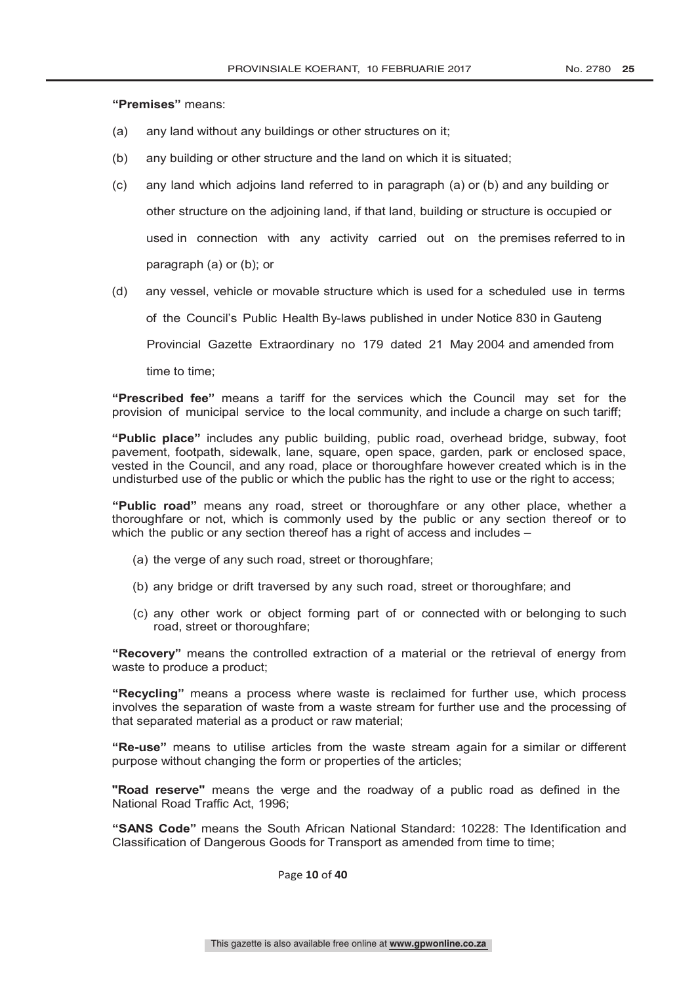**"Premises"** means:

- (a) any land without any buildings or other structures on it;
- (b) any building or other structure and the land on which it is situated;
- (c) any land which adjoins land referred to in paragraph (a) or (b) and any building or other structure on the adjoining land, if that land, building or structure is occupied or used in connection with any activity carried out on the premises referred to in paragraph (a) or (b); or
- (d) any vessel, vehicle or movable structure which is used for a scheduled use in terms of the Council's Public Health By-laws published in under Notice 830 in Gauteng Provincial Gazette Extraordinary no 179 dated 21 May 2004 and amended from time to time;

**"Prescribed fee"** means a tariff for the services which the Council may set for the provision of municipal service to the local community, and include a charge on such tariff;

**"Public place"** includes any public building, public road, overhead bridge, subway, foot pavement, footpath, sidewalk, lane, square, open space, garden, park or enclosed space, vested in the Council, and any road, place or thoroughfare however created which is in the undisturbed use of the public or which the public has the right to use or the right to access;

**"Public road"** means any road, street or thoroughfare or any other place, whether a thoroughfare or not, which is commonly used by the public or any section thereof or to which the public or any section thereof has a right of access and includes –

- (a) the verge of any such road, street or thoroughfare;
- (b) any bridge or drift traversed by any such road, street or thoroughfare; and
- (c) any other work or object forming part of or connected with or belonging to such road, street or thoroughfare;

**"Recovery"** means the controlled extraction of a material or the retrieval of energy from waste to produce a product;

**"Recycling"** means a process where waste is reclaimed for further use, which process involves the separation of waste from a waste stream for further use and the processing of that separated material as a product or raw material;

**"Re-use"** means to utilise articles from the waste stream again for a similar or different purpose without changing the form or properties of the articles;

**"Road reserve"** means the verge and the roadway of a public road as defined in the National Road Traffic Act, 1996;

**"SANS Code"** means the South African National Standard: 10228: The Identification and Classification of Dangerous Goods for Transport as amended from time to time;

Page **10** of **40**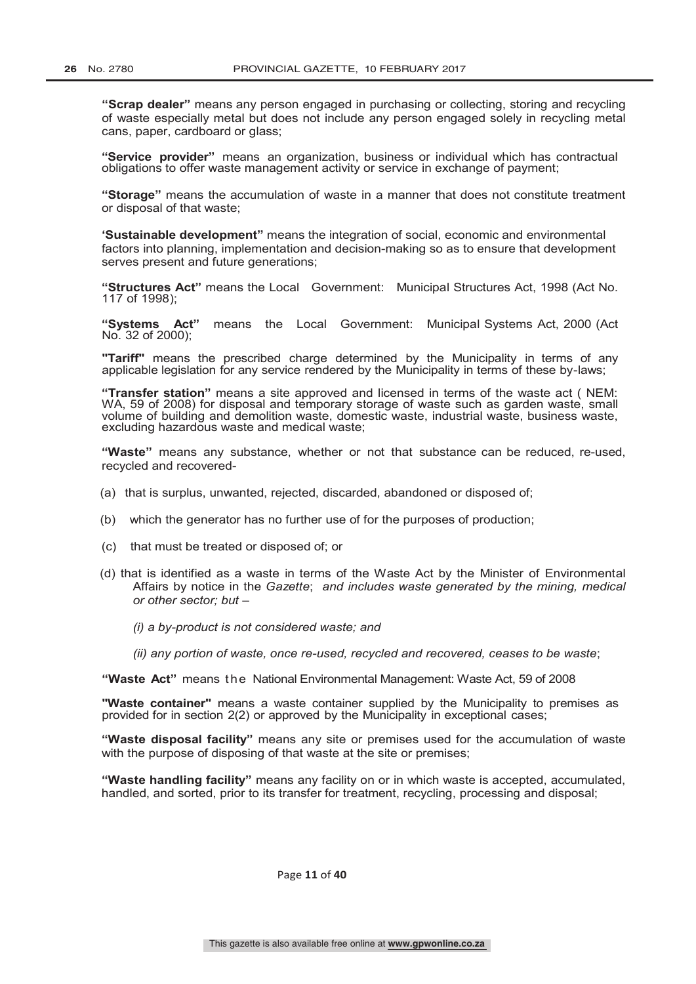**"Scrap dealer"** means any person engaged in purchasing or collecting, storing and recycling of waste especially metal but does not include any person engaged solely in recycling metal cans, paper, cardboard or glass;

**"Service provider"** means an organization, business or individual which has contractual obligations to offer waste management activity or service in exchange of payment;

**"Storage"** means the accumulation of waste in a manner that does not constitute treatment or disposal of that waste;

**"Sustainable development"** means the integration of social, economic and environmental factors into planning, implementation and decision-making so as to ensure that development serves present and future generations;

**"Structures Act"** means the Local Government: Municipal Structures Act, 1998 (Act No. 117 of 1998);

**"Systems Act"** means the Local Government: Municipal Systems Act, 2000 (Act No. 32 of 2000);

**"Tariff"** means the prescribed charge determined by the Municipality in terms of any applicable legislation for any service rendered by the Municipality in terms of these by-laws;

**"Transfer station"** means a site approved and licensed in terms of the waste act ( NEM: WA, 59 of 2008) for disposal and temporary storage of waste such as garden waste, small volume of building and demolition waste, domestic waste, industrial waste, business waste, excluding hazardous waste and medical waste;

**"Waste"** means any substance, whether or not that substance can be reduced, re-used, recycled and recovered-

- (a) that is surplus, unwanted, rejected, discarded, abandoned or disposed of;
- (b) which the generator has no further use of for the purposes of production;
- (c) that must be treated or disposed of; or
- (d) that is identified as a waste in terms of the Waste Act by the Minister of Environmental Affairs by notice in the *Gazette*; *and includes waste generated by the mining, medical or other sector; but –*
	- *(i) a by-product is not considered waste; and*
	- *(ii) any portion of waste, once re-used, recycled and recovered, ceases to be waste*;

**"Waste Act"** means the National Environmental Management: Waste Act, 59 of 2008

**"Waste container"** means a waste container supplied by the Municipality to premises as provided for in section 2(2) or approved by the Municipality in exceptional cases;

**"Waste disposal facility"** means any site or premises used for the accumulation of waste with the purpose of disposing of that waste at the site or premises;

**"Waste handling facility"** means any facility on or in which waste is accepted, accumulated, handled, and sorted, prior to its transfer for treatment, recycling, processing and disposal;

Page **11** of **40**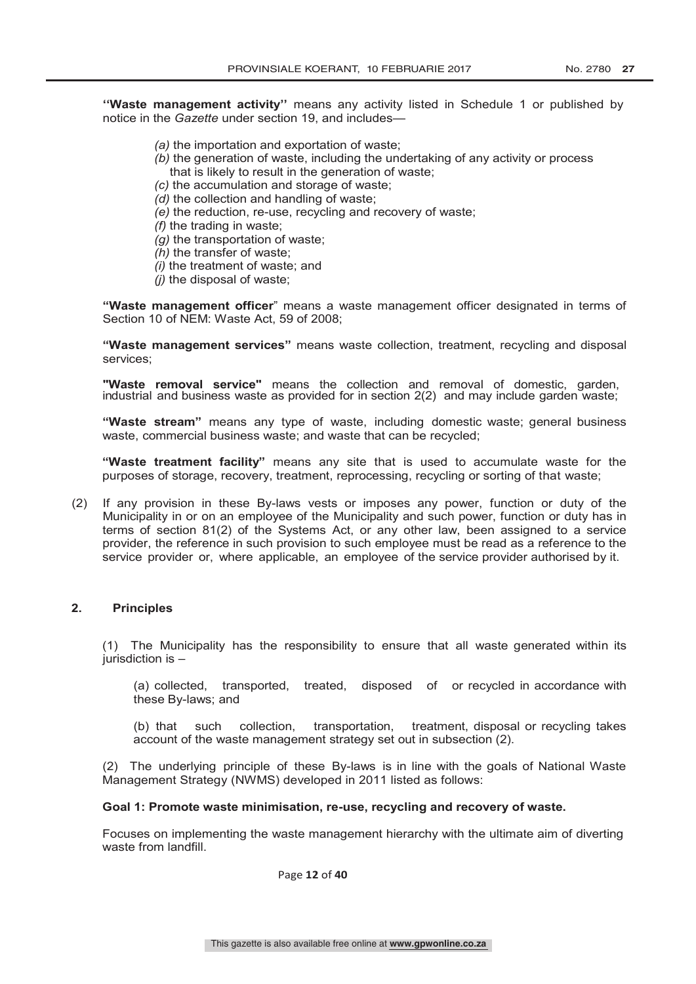**""Waste management activity""** means any activity listed in Schedule 1 or published by notice in the *Gazette* under section 19, and includes—

- *(a)* the importation and exportation of waste;
- *(b)* the generation of waste, including the undertaking of any activity or process that is likely to result in the generation of waste;
- *(c)* the accumulation and storage of waste;
- *(d)* the collection and handling of waste;
- *(e)* the reduction, re-use, recycling and recovery of waste;
- *(f)* the trading in waste;
- *(g)* the transportation of waste;
- *(h)* the transfer of waste;
- *(i)* the treatment of waste; and
- *(j)* the disposal of waste;

**"Waste management officer**" means a waste management officer designated in terms of Section 10 of NEM: Waste Act, 59 of 2008;

**"Waste management services"** means waste collection, treatment, recycling and disposal services;

**"Waste removal service"** means the collection and removal of domestic, garden, industrial and business waste as provided for in section 2(2) and may include garden waste;

**"Waste stream"** means any type of waste, including domestic waste; general business waste, commercial business waste; and waste that can be recycled;

**"Waste treatment facility"** means any site that is used to accumulate waste for the purposes of storage, recovery, treatment, reprocessing, recycling or sorting of that waste;

(2) If any provision in these By-laws vests or imposes any power, function or duty of the Municipality in or on an employee of the Municipality and such power, function or duty has in terms of section 81(2) of the Systems Act, or any other law, been assigned to a service provider, the reference in such provision to such employee must be read as a reference to the service provider or, where applicable, an employee of the service provider authorised by it.

# **2. Principles**

(1) The Municipality has the responsibility to ensure that all waste generated within its jurisdiction is -

(a) collected, transported, treated, disposed of or recycled in accordance with these By-laws; and

(b) that such collection, transportation, treatment, disposal or recycling takes account of the waste management strategy set out in subsection (2).

(2) The underlying principle of these By-laws is in line with the goals of National Waste Management Strategy (NWMS) developed in 2011 listed as follows:

#### **Goal 1: Promote waste minimisation, re-use, recycling and recovery of waste.**

Focuses on implementing the waste management hierarchy with the ultimate aim of diverting waste from landfill.

Page **12** of **40**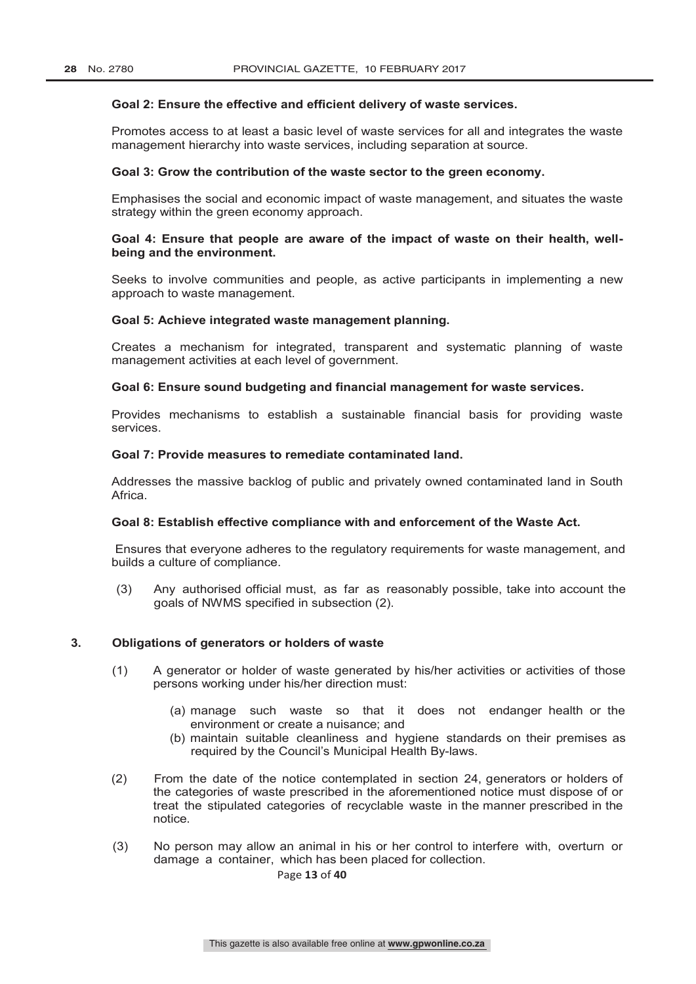#### **Goal 2: Ensure the effective and efficient delivery of waste services.**

Promotes access to at least a basic level of waste services for all and integrates the waste management hierarchy into waste services, including separation at source.

#### **Goal 3: Grow the contribution of the waste sector to the green economy.**

Emphasises the social and economic impact of waste management, and situates the waste strategy within the green economy approach.

#### **Goal 4: Ensure that people are aware of the impact of waste on their health, wellbeing and the environment.**

Seeks to involve communities and people, as active participants in implementing a new approach to waste management.

#### **Goal 5: Achieve integrated waste management planning.**

Creates a mechanism for integrated, transparent and systematic planning of waste management activities at each level of government.

#### **Goal 6: Ensure sound budgeting and financial management for waste services.**

Provides mechanisms to establish a sustainable financial basis for providing waste services.

# **Goal 7: Provide measures to remediate contaminated land.**

Addresses the massive backlog of public and privately owned contaminated land in South Africa.

#### **Goal 8: Establish effective compliance with and enforcement of the Waste Act.**

 Ensures that everyone adheres to the regulatory requirements for waste management, and builds a culture of compliance.

(3) Any authorised official must, as far as reasonably possible, take into account the goals of NWMS specified in subsection (2).

#### **3. Obligations of generators or holders of waste**

- (1) A generator or holder of waste generated by his/her activities or activities of those persons working under his/her direction must:
	- (a) manage such waste so that it does not endanger health or the environment or create a nuisance; and
	- (b) maintain suitable cleanliness and hygiene standards on their premises as required by the Council's Municipal Health By-laws.
- (2) From the date of the notice contemplated in section 24, generators or holders of the categories of waste prescribed in the aforementioned notice must dispose of or treat the stipulated categories of recyclable waste in the manner prescribed in the notice.
- (3) No person may allow an animal in his or her control to interfere with, overturn or damage a container, which has been placed for collection.

# Page **13** of **40**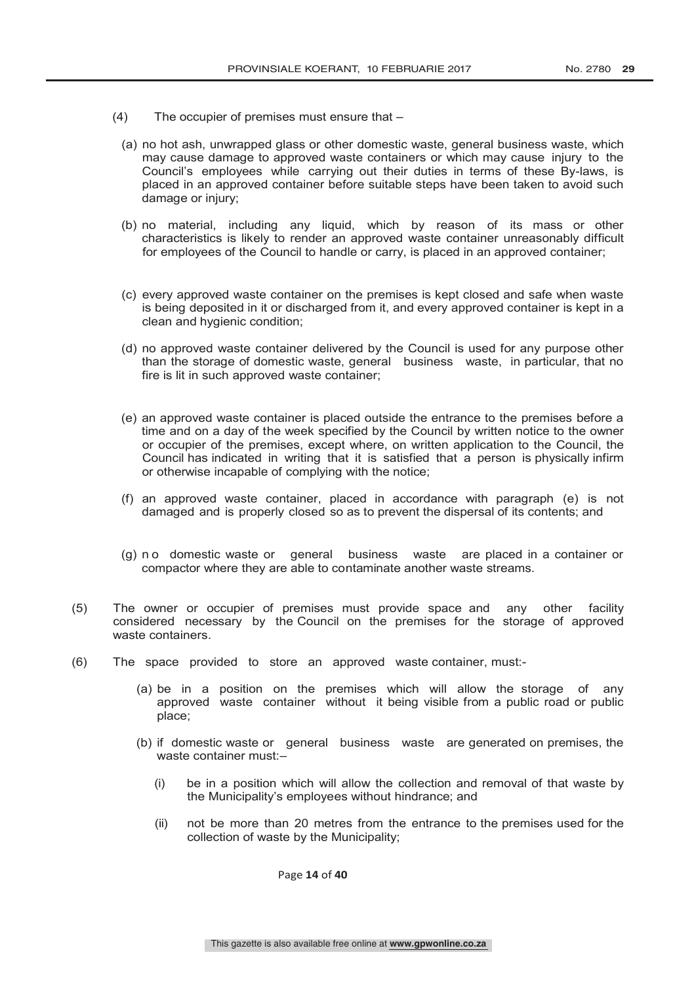- (4) The occupier of premises must ensure that
	- (a) no hot ash, unwrapped glass or other domestic waste, general business waste, which may cause damage to approved waste containers or which may cause injury to the Council's employees while carrying out their duties in terms of these By-laws, is placed in an approved container before suitable steps have been taken to avoid such damage or injury;
	- (b) no material, including any liquid, which by reason of its mass or other characteristics is likely to render an approved waste container unreasonably difficult for employees of the Council to handle or carry, is placed in an approved container;
	- (c) every approved waste container on the premises is kept closed and safe when waste is being deposited in it or discharged from it, and every approved container is kept in a clean and hygienic condition;
	- (d) no approved waste container delivered by the Council is used for any purpose other than the storage of domestic waste, general business waste, in particular, that no fire is lit in such approved waste container;
	- (e) an approved waste container is placed outside the entrance to the premises before a time and on a day of the week specified by the Council by written notice to the owner or occupier of the premises, except where, on written application to the Council, the Council has indicated in writing that it is satisfied that a person is physically infirm or otherwise incapable of complying with the notice;
	- (f) an approved waste container, placed in accordance with paragraph (e) is not damaged and is properly closed so as to prevent the dispersal of its contents; and
	- (g) n o domestic waste or general business waste are placed in a container or compactor where they are able to contaminate another waste streams.
- (5) The owner or occupier of premises must provide space and any other facility considered necessary by the Council on the premises for the storage of approved waste containers.
- (6) The space provided to store an approved waste container, must:-
	- (a) be in a position on the premises which will allow the storage of any approved waste container without it being visible from a public road or public place;
	- (b) if domestic waste or general business waste are generated on premises, the waste container must:–
		- (i) be in a position which will allow the collection and removal of that waste by the Municipality's employees without hindrance; and
		- (ii) not be more than 20 metres from the entrance to the premises used for the collection of waste by the Municipality;

Page **14** of **40**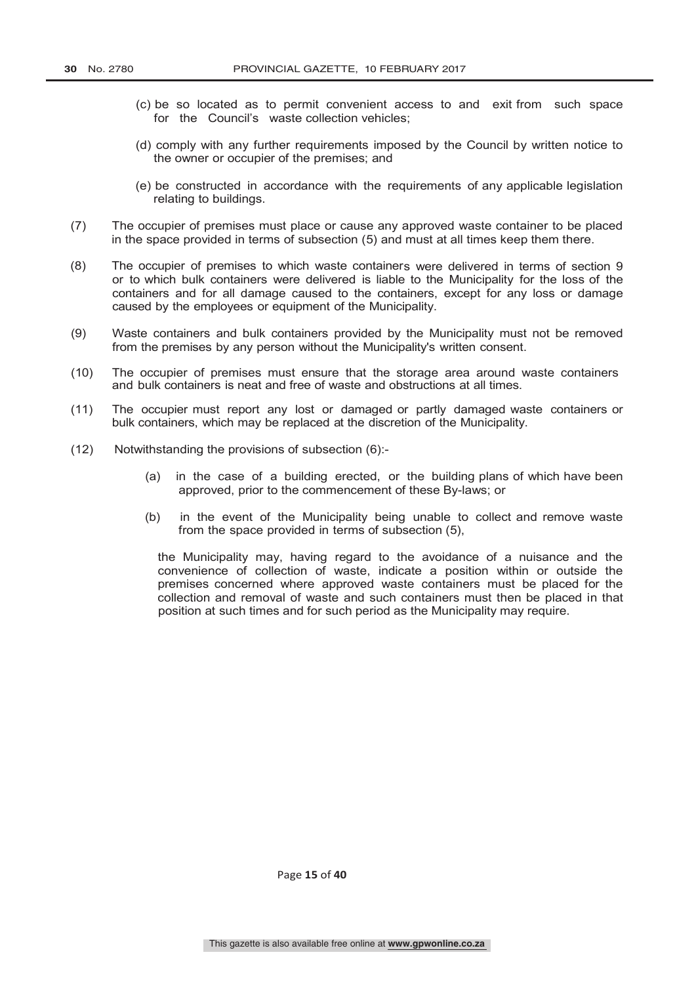- (c) be so located as to permit convenient access to and exit from such space for the Council's waste collection vehicles;
- (d) comply with any further requirements imposed by the Council by written notice to the owner or occupier of the premises; and
- (e) be constructed in accordance with the requirements of any applicable legislation relating to buildings.
- (7) The occupier of premises must place or cause any approved waste container to be placed in the space provided in terms of subsection (5) and must at all times keep them there.
- (8) The occupier of premises to which waste containers were delivered in terms of section 9 or to which bulk containers were delivered is liable to the Municipality for the loss of the containers and for all damage caused to the containers, except for any loss or damage caused by the employees or equipment of the Municipality.
- (9) Waste containers and bulk containers provided by the Municipality must not be removed from the premises by any person without the Municipality's written consent.
- (10) The occupier of premises must ensure that the storage area around waste containers and bulk containers is neat and free of waste and obstructions at all times.
- (11) The occupier must report any lost or damaged or partly damaged waste containers or bulk containers, which may be replaced at the discretion of the Municipality.
- (12) Notwithstanding the provisions of subsection (6):-
	- (a) in the case of a building erected, or the building plans of which have been approved, prior to the commencement of these By-laws; or
	- (b) in the event of the Municipality being unable to collect and remove waste from the space provided in terms of subsection (5),

the Municipality may, having regard to the avoidance of a nuisance and the convenience of collection of waste, indicate a position within or outside the premises concerned where approved waste containers must be placed for the collection and removal of waste and such containers must then be placed in that position at such times and for such period as the Municipality may require.

Page **15** of **40**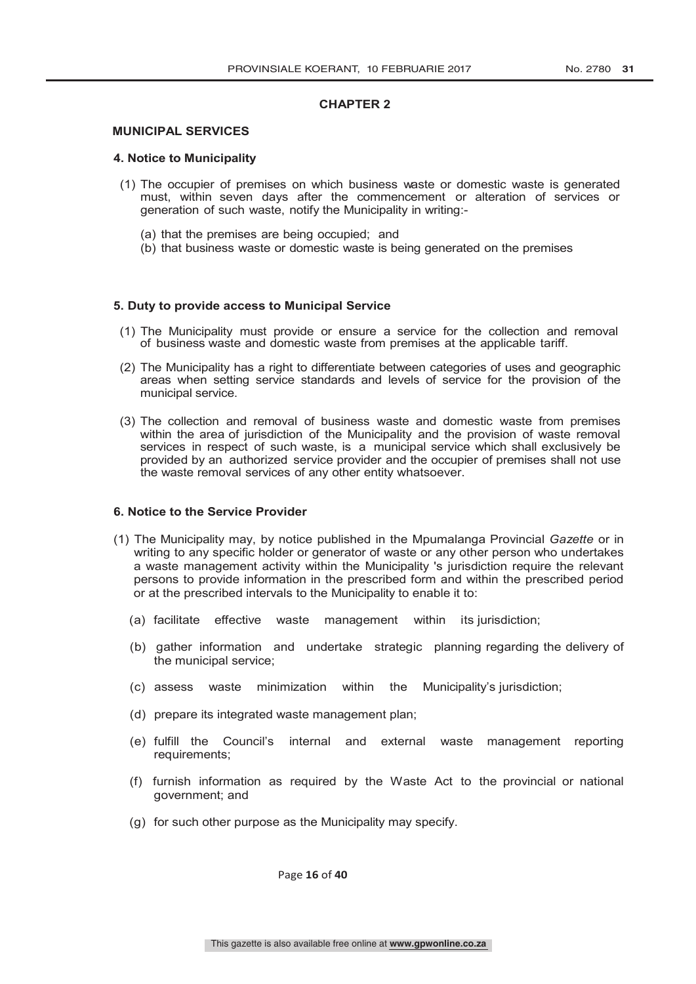#### **MUNICIPAL SERVICES**

#### **4. Notice to Municipality**

- (1) The occupier of premises on which business waste or domestic waste is generated must, within seven days after the commencement or alteration of services or generation of such waste, notify the Municipality in writing:-
	- (a) that the premises are being occupied; and
	- (b) that business waste or domestic waste is being generated on the premises

#### **5. Duty to provide access to Municipal Service**

- (1) The Municipality must provide or ensure a service for the collection and removal of business waste and domestic waste from premises at the applicable tariff.
- (2) The Municipality has a right to differentiate between categories of uses and geographic areas when setting service standards and levels of service for the provision of the municipal service.
- (3) The collection and removal of business waste and domestic waste from premises within the area of jurisdiction of the Municipality and the provision of waste removal services in respect of such waste, is a municipal service which shall exclusively be provided by an authorized service provider and the occupier of premises shall not use the waste removal services of any other entity whatsoever.

#### **6. Notice to the Service Provider**

- (1) The Municipality may, by notice published in the Mpumalanga Provincial *Gazette* or in writing to any specific holder or generator of waste or any other person who undertakes a waste management activity within the Municipality 's jurisdiction require the relevant persons to provide information in the prescribed form and within the prescribed period or at the prescribed intervals to the Municipality to enable it to:
	- (a) facilitate effective waste management within its jurisdiction;
	- (b) gather information and undertake strategic planning regarding the delivery of the municipal service;
	- (c) assess waste minimization within the Municipality's jurisdiction;
	- (d) prepare its integrated waste management plan;
	- (e) fulfill the Council's internal and external waste management reporting requirements;
	- (f) furnish information as required by the Waste Act to the provincial or national government; and
	- (g) for such other purpose as the Municipality may specify.

Page **16** of **40**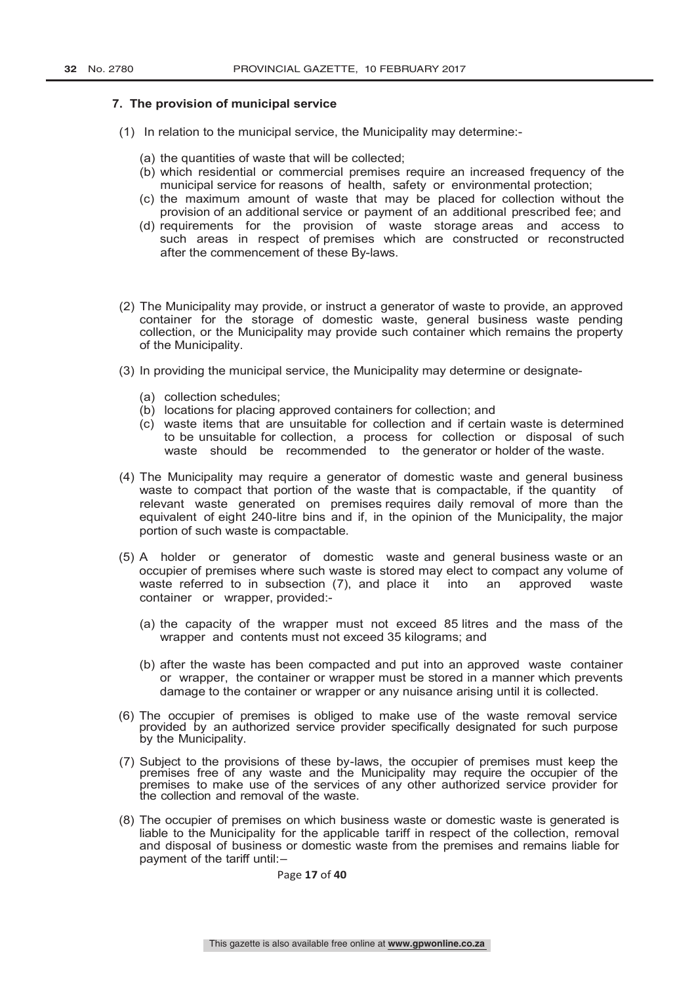#### **7. The provision of municipal service**

- (1) In relation to the municipal service, the Municipality may determine:-
	- (a) the quantities of waste that will be collected;
	- (b) which residential or commercial premises require an increased frequency of the municipal service for reasons of health, safety or environmental protection;
	- (c) the maximum amount of waste that may be placed for collection without the provision of an additional service or payment of an additional prescribed fee; and
	- (d) requirements for the provision of waste storage areas and access to such areas in respect of premises which are constructed or reconstructed after the commencement of these By-laws.
- (2) The Municipality may provide, or instruct a generator of waste to provide, an approved container for the storage of domestic waste, general business waste pending collection, or the Municipality may provide such container which remains the property of the Municipality.
- (3) In providing the municipal service, the Municipality may determine or designate-
	- (a) collection schedules;
	- (b) locations for placing approved containers for collection; and
	- (c) waste items that are unsuitable for collection and if certain waste is determined to be unsuitable for collection, a process for collection or disposal of such waste should be recommended to the generator or holder of the waste.
- (4) The Municipality may require a generator of domestic waste and general business waste to compact that portion of the waste that is compactable, if the quantity of relevant waste generated on premises requires daily removal of more than the equivalent of eight 240-litre bins and if, in the opinion of the Municipality, the major portion of such waste is compactable.
- (5) A holder or generator of domestic waste and general business waste or an occupier of premises where such waste is stored may elect to compact any volume of waste referred to in subsection (7), and place it into an approved waste container or wrapper, provided:-
	- (a) the capacity of the wrapper must not exceed 85 litres and the mass of the wrapper and contents must not exceed 35 kilograms; and
	- (b) after the waste has been compacted and put into an approved waste container or wrapper, the container or wrapper must be stored in a manner which prevents damage to the container or wrapper or any nuisance arising until it is collected.
- (6) The occupier of premises is obliged to make use of the waste removal service provided by an authorized service provider specifically designated for such purpose by the Municipality.
- (7) Subject to the provisions of these by-laws, the occupier of premises must keep the premises free of any waste and the Municipality may require the occupier of the premises to make use of the services of any other authorized service provider for the collection and removal of the waste.
- (8) The occupier of premises on which business waste or domestic waste is generated is liable to the Municipality for the applicable tariff in respect of the collection, removal and disposal of business or domestic waste from the premises and remains liable for payment of the tariff until:–

Page **17** of **40**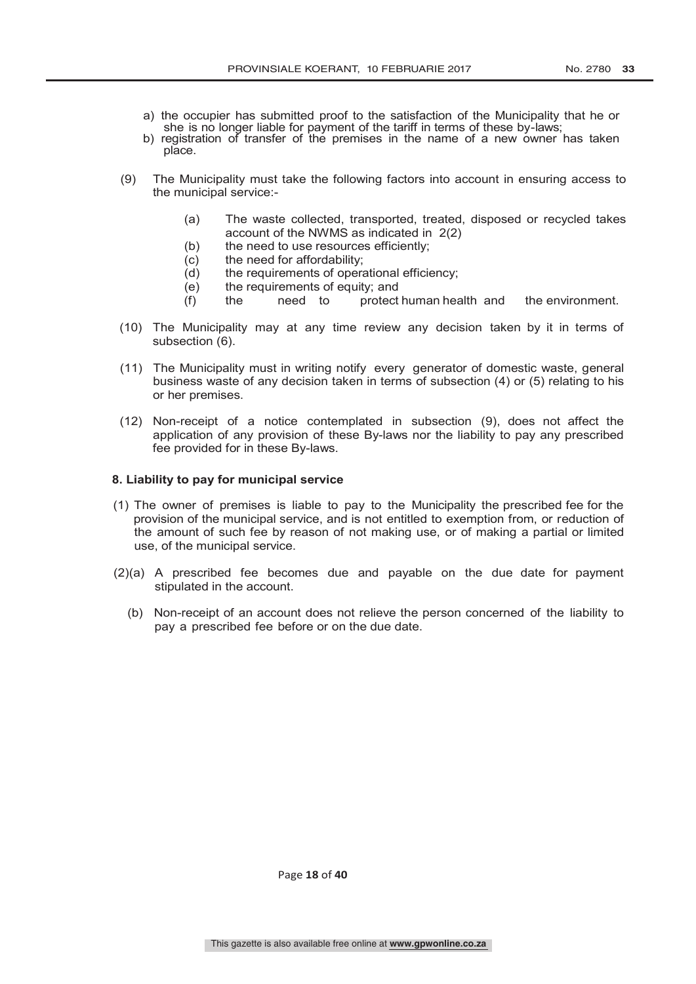- a) the occupier has submitted proof to the satisfaction of the Municipality that he or she is no longer liable for payment of the tariff in terms of these by-laws;
- b) registration of transfer of the premises in the name of a new owner has taken place.
- (9) The Municipality must take the following factors into account in ensuring access to the municipal service:-
	- (a) The waste collected, transported, treated, disposed or recycled takes account of the NWMS as indicated in 2(2)
	- (b) the need to use resources efficiently;<br>(c) the need for affordability:
	- the need for affordability;
	- (d) the requirements of operational efficiency;
	- (e) the requirements of equity; and
	- (f) the need to protect human health and the environment.
- (10) The Municipality may at any time review any decision taken by it in terms of subsection (6).
- (11) The Municipality must in writing notify every generator of domestic waste, general business waste of any decision taken in terms of subsection (4) or (5) relating to his or her premises.
- (12) Non-receipt of a notice contemplated in subsection (9), does not affect the application of any provision of these By-laws nor the liability to pay any prescribed fee provided for in these By-laws.

#### **8. Liability to pay for municipal service**

- (1) The owner of premises is liable to pay to the Municipality the prescribed fee for the provision of the municipal service, and is not entitled to exemption from, or reduction of the amount of such fee by reason of not making use, or of making a partial or limited use, of the municipal service.
- (2)(a) A prescribed fee becomes due and payable on the due date for payment stipulated in the account.
	- (b) Non-receipt of an account does not relieve the person concerned of the liability to pay a prescribed fee before or on the due date.

Page **18** of **40**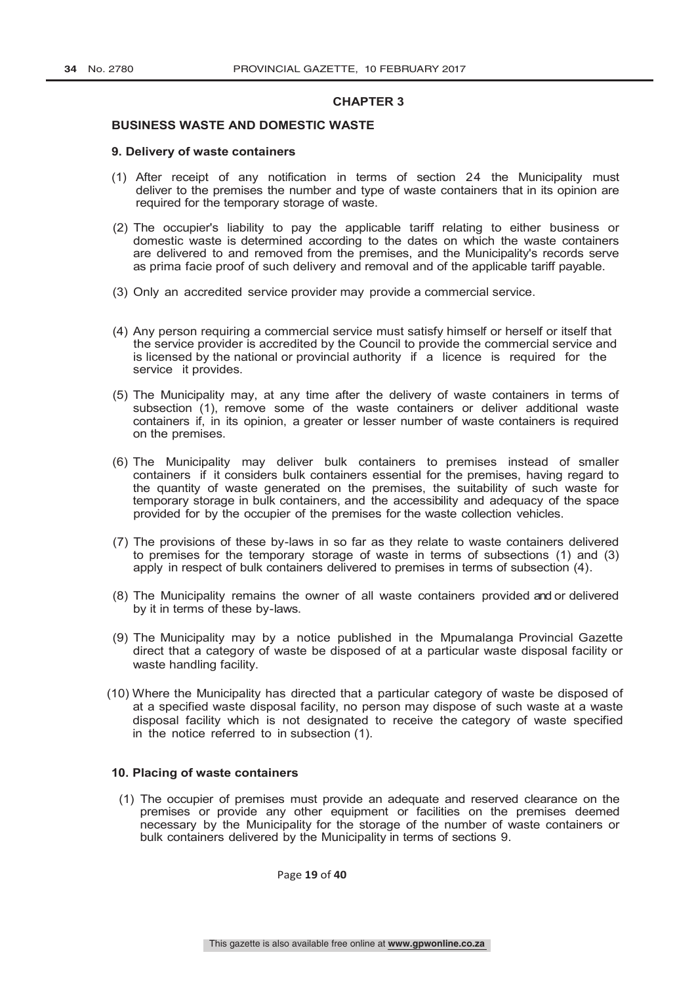# **BUSINESS WASTE AND DOMESTIC WASTE**

#### **9. Delivery of waste containers**

- (1) After receipt of any notification in terms of section 24 the Municipality must deliver to the premises the number and type of waste containers that in its opinion are required for the temporary storage of waste.
- (2) The occupier's liability to pay the applicable tariff relating to either business or domestic waste is determined according to the dates on which the waste containers are delivered to and removed from the premises, and the Municipality's records serve as prima facie proof of such delivery and removal and of the applicable tariff payable.
- (3) Only an accredited service provider may provide a commercial service.
- (4) Any person requiring a commercial service must satisfy himself or herself or itself that the service provider is accredited by the Council to provide the commercial service and is licensed by the national or provincial authority if a licence is required for the service it provides.
- (5) The Municipality may, at any time after the delivery of waste containers in terms of subsection (1), remove some of the waste containers or deliver additional waste containers if, in its opinion, a greater or lesser number of waste containers is required on the premises.
- (6) The Municipality may deliver bulk containers to premises instead of smaller containers if it considers bulk containers essential for the premises, having regard to the quantity of waste generated on the premises, the suitability of such waste for temporary storage in bulk containers, and the accessibility and adequacy of the space provided for by the occupier of the premises for the waste collection vehicles.
- (7) The provisions of these by-laws in so far as they relate to waste containers delivered to premises for the temporary storage of waste in terms of subsections (1) and (3) apply in respect of bulk containers delivered to premises in terms of subsection (4).
- (8) The Municipality remains the owner of all waste containers provided and or delivered by it in terms of these by-laws.
- (9) The Municipality may by a notice published in the Mpumalanga Provincial Gazette direct that a category of waste be disposed of at a particular waste disposal facility or waste handling facility.
- (10) Where the Municipality has directed that a particular category of waste be disposed of at a specified waste disposal facility, no person may dispose of such waste at a waste disposal facility which is not designated to receive the category of waste specified in the notice referred to in subsection (1).

#### **10. Placing of waste containers**

(1) The occupier of premises must provide an adequate and reserved clearance on the premises or provide any other equipment or facilities on the premises deemed necessary by the Municipality for the storage of the number of waste containers or bulk containers delivered by the Municipality in terms of sections 9.

Page **19** of **40**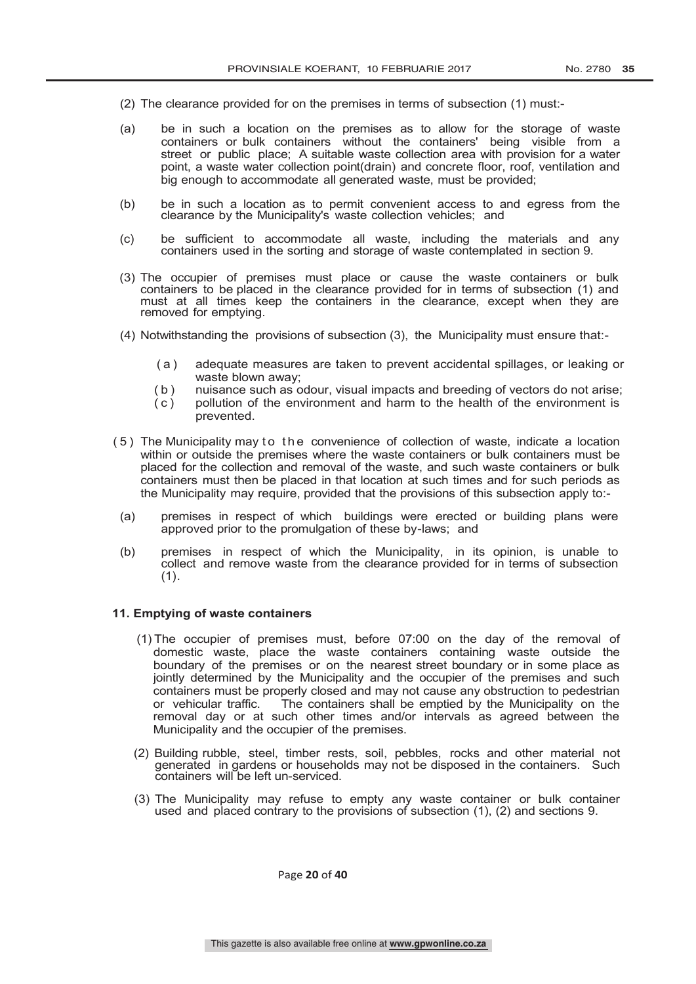- (2) The clearance provided for on the premises in terms of subsection (1) must:-
- (a) be in such a location on the premises as to allow for the storage of waste containers or bulk containers without the containers' being visible from a street or public place; A suitable waste collection area with provision for a water point, a waste water collection point(drain) and concrete floor, roof, ventilation and big enough to accommodate all generated waste, must be provided;
- (b) be in such a location as to permit convenient access to and egress from the clearance by the Municipality's waste collection vehicles; and
- (c) be sufficient to accommodate all waste, including the materials and any containers used in the sorting and storage of waste contemplated in section 9.
- (3) The occupier of premises must place or cause the waste containers or bulk containers to be placed in the clearance provided for in terms of subsection (1) and must at all times keep the containers in the clearance, except when they are removed for emptying.
- (4) Notwithstanding the provisions of subsection (3), the Municipality must ensure that:-
	- (a) adequate measures are taken to prevent accidental spillages, or leaking or waste blown away;
	- (b) nuisance such as odour, visual impacts and breeding of vectors do not arise;
	- (c) pollution of the environment and harm to the health of the environment is prevented.
- (5) The Municipality may to the convenience of collection of waste, indicate a location within or outside the premises where the waste containers or bulk containers must be placed for the collection and removal of the waste, and such waste containers or bulk containers must then be placed in that location at such times and for such periods as the Municipality may require, provided that the provisions of this subsection apply to:-
	- (a) premises in respect of which buildings were erected or building plans were approved prior to the promulgation of these by-laws; and
	- (b) premises in respect of which the Municipality, in its opinion, is unable to collect and remove waste from the clearance provided for in terms of subsection  $(1).$

#### **11. Emptying of waste containers**

- (1) The occupier of premises must, before 07:00 on the day of the removal of domestic waste, place the waste containers containing waste outside the boundary of the premises or on the nearest street boundary or in some place as jointly determined by the Municipality and the occupier of the premises and such containers must be properly closed and may not cause any obstruction to pedestrian<br>or vehicular traffic. The containers shall be emptied by the Municipality on the The containers shall be emptied by the Municipality on the removal day or at such other times and/or intervals as agreed between the Municipality and the occupier of the premises.
- (2) Building rubble, steel, timber rests, soil, pebbles, rocks and other material not generated in gardens or households may not be disposed in the containers. Such containers will be left un-serviced.
- (3) The Municipality may refuse to empty any waste container or bulk container used and placed contrary to the provisions of subsection (1), (2) and sections 9.

Page **20** of **40**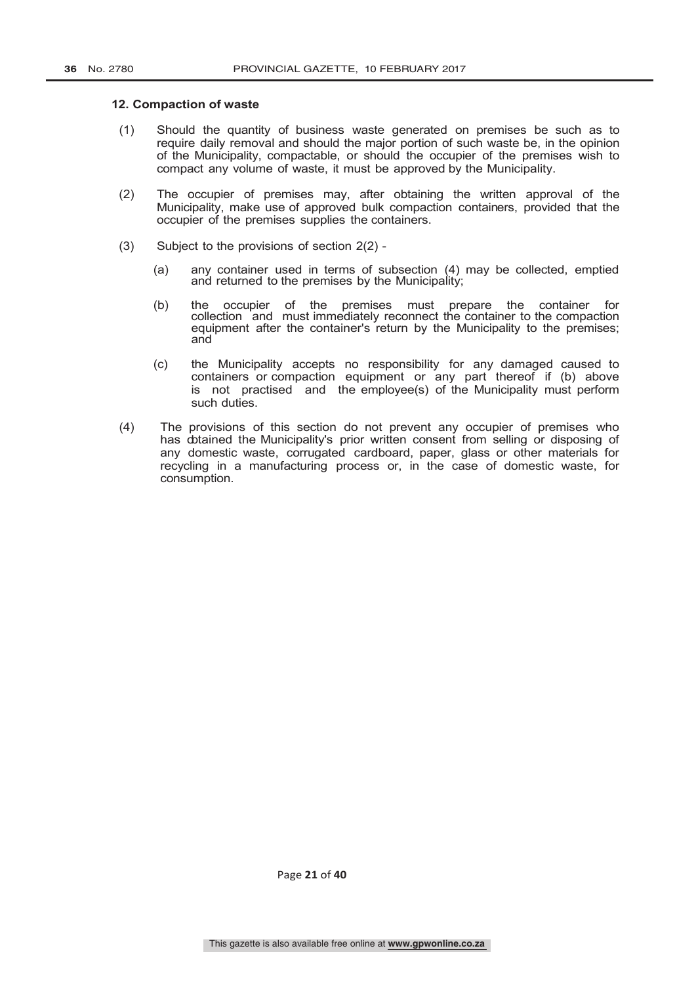#### **12. Compaction of waste**

- (1) Should the quantity of business waste generated on premises be such as to require daily removal and should the major portion of such waste be, in the opinion of the Municipality, compactable, or should the occupier of the premises wish to compact any volume of waste, it must be approved by the Municipality.
- (2) The occupier of premises may, after obtaining the written approval of the Municipality, make use of approved bulk compaction containers, provided that the occupier of the premises supplies the containers.
- (3) Subject to the provisions of section 2(2)
	- (a) any container used in terms of subsection (4) may be collected, emptied and returned to the premises by the Municipality;
	- (b) the occupier of the premises must prepare the container for collection and must immediately reconnect the container to the compaction equipment after the container's return by the Municipality to the premises; and
	- (c) the Municipality accepts no responsibility for any damaged caused to containers or compaction equipment or any part thereof if (b) above is not practised and the employee(s) of the Municipality must perform such duties.
- (4) The provisions of this section do not prevent any occupier of premises who has obtained the Municipality's prior written consent from selling or disposing of any domestic waste, corrugated cardboard, paper, glass or other materials for recycling in a manufacturing process or, in the case of domestic waste, for consumption.

Page **21** of **40**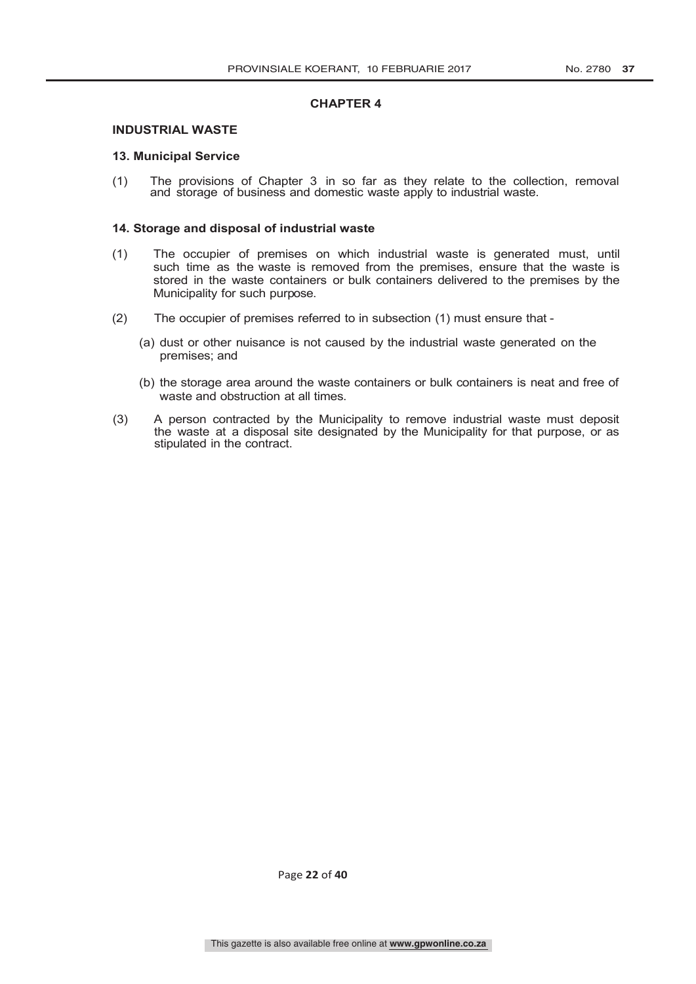## **INDUSTRIAL WASTE**

#### **13. Municipal Service**

(1) The provisions of Chapter 3 in so far as they relate to the collection, removal and storage of business and domestic waste apply to industrial waste.

#### **14. Storage and disposal of industrial waste**

- (1) The occupier of premises on which industrial waste is generated must, until such time as the waste is removed from the premises, ensure that the waste is stored in the waste containers or bulk containers delivered to the premises by the Municipality for such purpose.
- (2) The occupier of premises referred to in subsection (1) must ensure that
	- (a) dust or other nuisance is not caused by the industrial waste generated on the premises; and
	- (b) the storage area around the waste containers or bulk containers is neat and free of waste and obstruction at all times.
- (3) A person contracted by the Municipality to remove industrial waste must deposit the waste at a disposal site designated by the Municipality for that purpose, or as stipulated in the contract.

Page **22** of **40**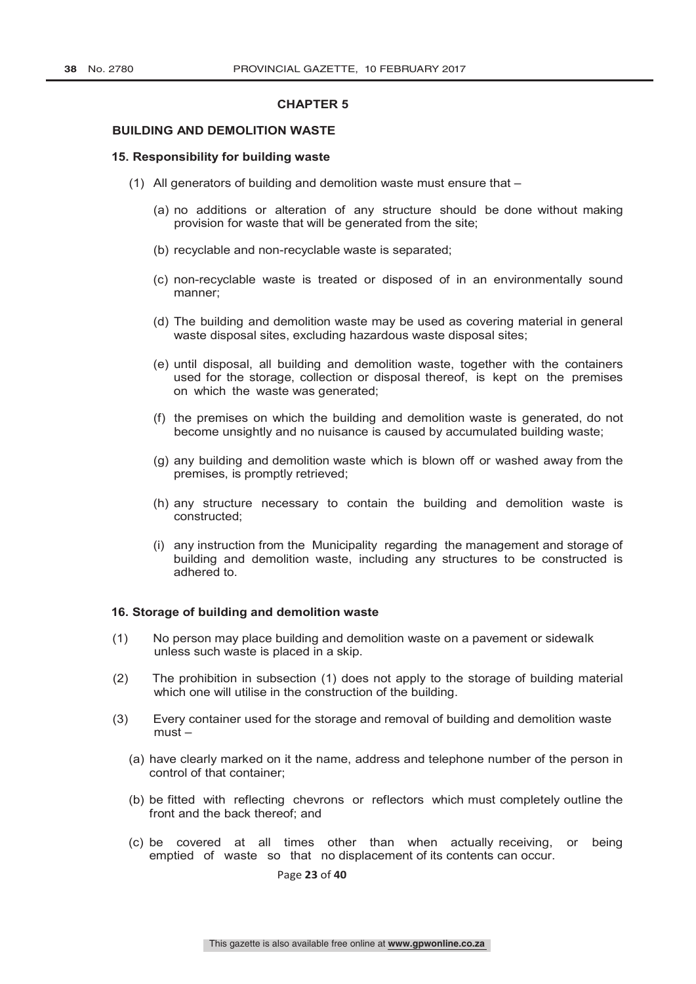#### **BUILDING AND DEMOLITION WASTE**

#### **15. Responsibility for building waste**

- (1) All generators of building and demolition waste must ensure that
	- (a) no additions or alteration of any structure should be done without making provision for waste that will be generated from the site;
	- (b) recyclable and non-recyclable waste is separated;
	- (c) non-recyclable waste is treated or disposed of in an environmentally sound manner;
	- (d) The building and demolition waste may be used as covering material in general waste disposal sites, excluding hazardous waste disposal sites;
	- (e) until disposal, all building and demolition waste, together with the containers used for the storage, collection or disposal thereof, is kept on the premises on which the waste was generated;
	- (f) the premises on which the building and demolition waste is generated, do not become unsightly and no nuisance is caused by accumulated building waste;
	- (g) any building and demolition waste which is blown off or washed away from the premises, is promptly retrieved;
	- (h) any structure necessary to contain the building and demolition waste is constructed;
	- (i) any instruction from the Municipality regarding the management and storage of building and demolition waste, including any structures to be constructed is adhered to.

#### **16. Storage of building and demolition waste**

- (1) No person may place building and demolition waste on a pavement or sidewalk unless such waste is placed in a skip.
- (2) The prohibition in subsection (1) does not apply to the storage of building material which one will utilise in the construction of the building.
- (3) Every container used for the storage and removal of building and demolition waste must –
	- (a) have clearly marked on it the name, address and telephone number of the person in control of that container;
	- (b) be fitted with reflecting chevrons or reflectors which must completely outline the front and the back thereof; and
	- (c) be covered at all times other than when actually receiving, or being emptied of waste so that no displacement of its contents can occur.

Page **23** of **40**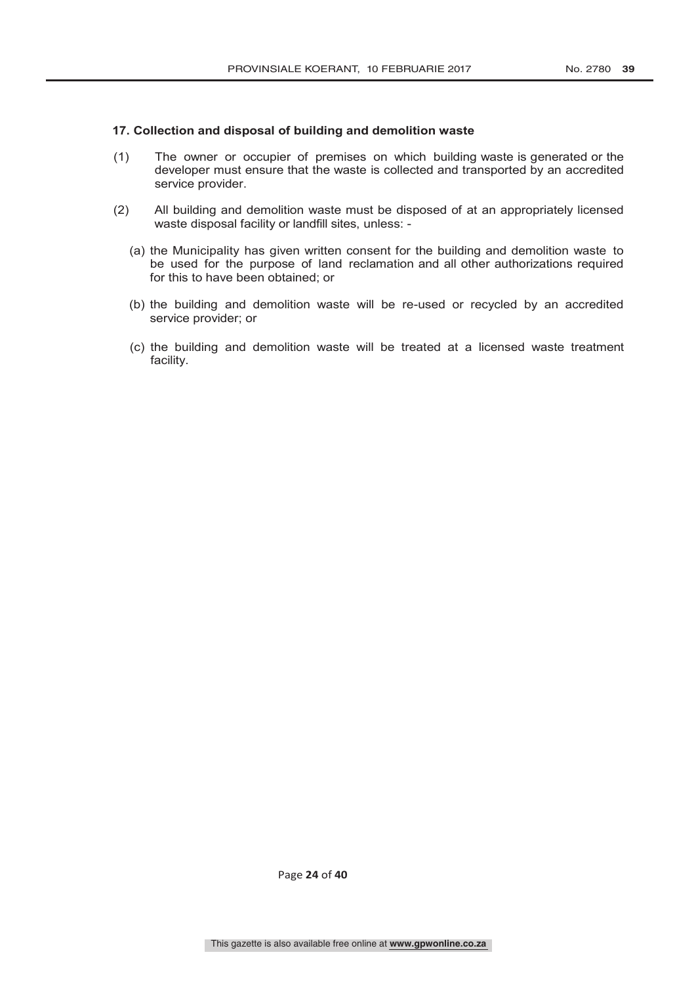#### **17. Collection and disposal of building and demolition waste**

- (1) The owner or occupier of premises on which building waste is generated or the developer must ensure that the waste is collected and transported by an accredited service provider.
- (2) All building and demolition waste must be disposed of at an appropriately licensed waste disposal facility or landfill sites, unless: -
	- (a) the Municipality has given written consent for the building and demolition waste to be used for the purpose of land reclamation and all other authorizations required for this to have been obtained; or
	- (b) the building and demolition waste will be re-used or recycled by an accredited service provider; or
	- (c) the building and demolition waste will be treated at a licensed waste treatment facility.

Page **24** of **40**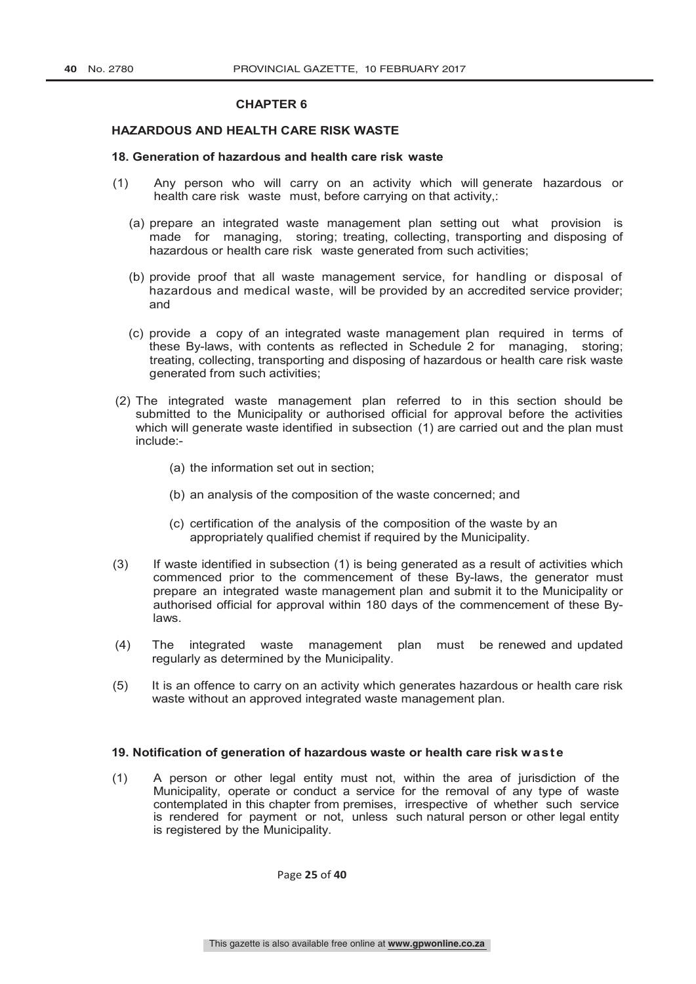#### **HAZARDOUS AND HEALTH CARE RISK WASTE**

#### **18. Generation of hazardous and health care risk waste**

- (1) Any person who will carry on an activity which will generate hazardous or health care risk waste must, before carrying on that activity,:
	- (a) prepare an integrated waste management plan setting out what provision is made for managing, storing; treating, collecting, transporting and disposing of hazardous or health care risk waste generated from such activities;
	- (b) provide proof that all waste management service, for handling or disposal of hazardous and medical waste, will be provided by an accredited service provider; and
	- (c) provide a copy of an integrated waste management plan required in terms of these By-laws, with contents as reflected in Schedule 2 for managing, storing; treating, collecting, transporting and disposing of hazardous or health care risk waste generated from such activities;
- (2) The integrated waste management plan referred to in this section should be submitted to the Municipality or authorised official for approval before the activities which will generate waste identified in subsection (1) are carried out and the plan must include:-
	- (a) the information set out in section;
	- (b) an analysis of the composition of the waste concerned; and
	- (c) certification of the analysis of the composition of the waste by an appropriately qualified chemist if required by the Municipality.
- (3) If waste identified in subsection (1) is being generated as a result of activities which commenced prior to the commencement of these By-laws, the generator must prepare an integrated waste management plan and submit it to the Municipality or authorised official for approval within 180 days of the commencement of these Bylaws.
- (4) The integrated waste management plan must be renewed and updated regularly as determined by the Municipality.
- (5) It is an offence to carry on an activity which generates hazardous or health care risk waste without an approved integrated waste management plan.

#### **19. Notification of generation of hazardous waste or health care risk waste**

(1) A person or other legal entity must not, within the area of jurisdiction of the Municipality, operate or conduct a service for the removal of any type of waste contemplated in this chapter from premises, irrespective of whether such service is rendered for payment or not, unless such natural person or other legal entity is registered by the Municipality.

Page **25** of **40**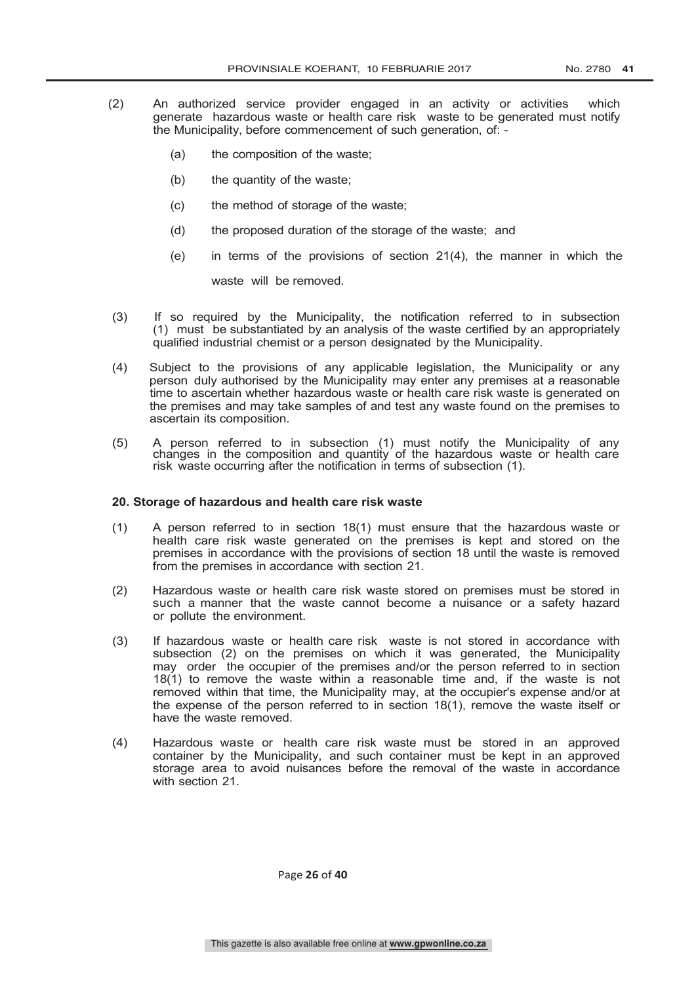- (2) An authorized service provider engaged in an activity or activities which generate hazardous waste or health care risk waste to be generated must notify the Municipality, before commencement of such generation, of: -
	- (a) the composition of the waste;
	- (b) the quantity of the waste;
	- (c) the method of storage of the waste;
	- (d) the proposed duration of the storage of the waste; and
	- (e) in terms of the provisions of section 21(4), the manner in which the

waste will be removed.

- (3) If so required by the Municipality, the notification referred to in subsection (1) must be substantiated by an analysis of the waste certified by an appropriately qualified industrial chemist or a person designated by the Municipality.
- (4) Subject to the provisions of any applicable legislation, the Municipality or any person duly authorised by the Municipality may enter any premises at a reasonable time to ascertain whether hazardous waste or health care risk waste is generated on the premises and may take samples of and test any waste found on the premises to ascertain its composition.
- (5) A person referred to in subsection (1) must notify the Municipality of any changes in the composition and quantity of the hazardous waste or health care risk waste occurring after the notification in terms of subsection (1).

#### **20. Storage of hazardous and health care risk waste**

- (1) A person referred to in section 18(1) must ensure that the hazardous waste or health care risk waste generated on the premises is kept and stored on the premises in accordance with the provisions of section 18 until the waste is removed from the premises in accordance with section 21.
- (2) Hazardous waste or health care risk waste stored on premises must be stored in such a manner that the waste cannot become a nuisance or a safety hazard or pollute the environment.
- (3) If hazardous waste or health care risk waste is not stored in accordance with subsection (2) on the premises on which it was generated, the Municipality may order the occupier of the premises and/or the person referred to in section 18(1) to remove the waste within a reasonable time and, if the waste is not removed within that time, the Municipality may, at the occupier's expense and/or at the expense of the person referred to in section 18(1), remove the waste itself or have the waste removed.
- (4) Hazardous waste or health care risk waste must be stored in an approved container by the Municipality, and such container must be kept in an approved storage area to avoid nuisances before the removal of the waste in accordance with section 21.

Page **26** of **40**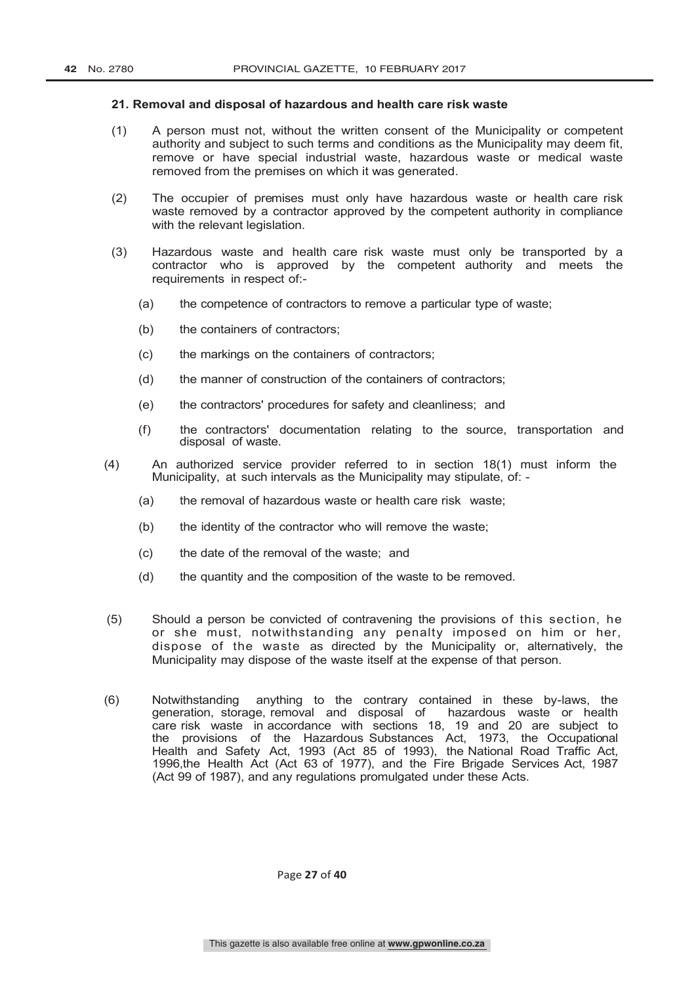#### **21. Removal and disposal of hazardous and health care risk waste**

- (1) A person must not, without the written consent of the Municipality or competent authority and subject to such terms and conditions as the Municipality may deem fit, remove or have special industrial waste, hazardous waste or medical waste removed from the premises on which it was generated.
- (2) The occupier of premises must only have hazardous waste or health care risk waste removed by a contractor approved by the competent authority in compliance with the relevant legislation.
- (3) Hazardous waste and health care risk waste must only be transported by a contractor who is approved by the competent authority and meets the requirements in respect of:-
	- (a) the competence of contractors to remove a particular type of waste;
	- (b) the containers of contractors;
	- (c) the markings on the containers of contractors;
	- (d) the manner of construction of the containers of contractors;
	- (e) the contractors' procedures for safety and cleanliness; and
	- (f) the contractors' documentation relating to the source, transportation and disposal of waste.
- (4) An authorized service provider referred to in section 18(1) must inform the Municipality, at such intervals as the Municipality may stipulate, of: -
	- (a) the removal of hazardous waste or health care risk waste;
	- (b) the identity of the contractor who will remove the waste;
	- (c) the date of the removal of the waste; and
	- (d) the quantity and the composition of the waste to be removed.
- (5) Should a person be convicted of contravening the provisions of this section, he or she must, notwithstanding any penalty imposed on him or her, dispose of the waste as directed by the Municipality or, alternatively, the Municipality may dispose of the waste itself at the expense of that person.
- (6) Notwithstanding anything to the contrary contained in these by-laws, the generation, storage, removal and disposal of hazardous waste or health care risk waste in accordance with sections 18, 19 and 20 are subject to the provisions of the Hazardous Substances Act, 1973, the Occupational Health and Safety Act, 1993 (Act 85 of 1993), the National Road Traffic Act, 1996,the Health Act (Act 63 of 1977), and the Fire Brigade Services Act, 1987 (Act 99 of 1987), and any regulations promulgated under these Acts.

Page **27** of **40**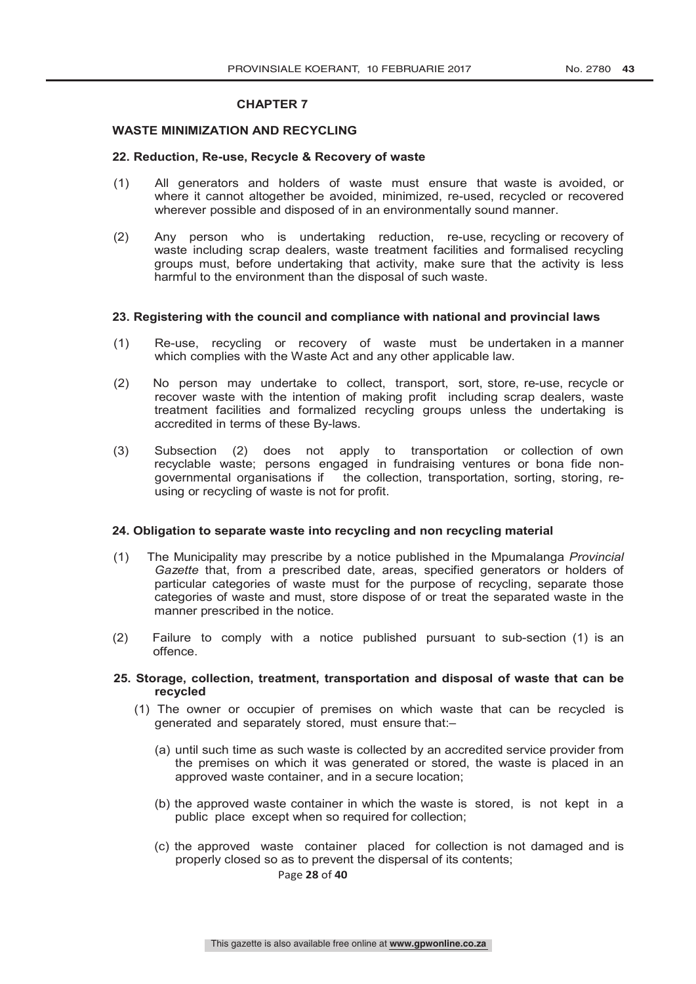#### **WASTE MINIMIZATION AND RECYCLING**

#### **22. Reduction, Re-use, Recycle & Recovery of waste**

- (1) All generators and holders of waste must ensure that waste is avoided, or where it cannot altogether be avoided, minimized, re-used, recycled or recovered wherever possible and disposed of in an environmentally sound manner.
- (2) Any person who is undertaking reduction, re-use, recycling or recovery of waste including scrap dealers, waste treatment facilities and formalised recycling groups must, before undertaking that activity, make sure that the activity is less harmful to the environment than the disposal of such waste.

#### **23. Registering with the council and compliance with national and provincial laws**

- (1) Re-use, recycling or recovery of waste must be undertaken in a manner which complies with the Waste Act and any other applicable law.
- (2) No person may undertake to collect, transport, sort, store, re-use, recycle or recover waste with the intention of making profit including scrap dealers, waste treatment facilities and formalized recycling groups unless the undertaking is accredited in terms of these By-laws.
- (3) Subsection (2) does not apply to transportation or collection of own recyclable waste; persons engaged in fundraising ventures or bona fide non-<br>governmental organisations if the collection, transportation, sorting, storing, rethe collection, transportation, sorting, storing, reusing or recycling of waste is not for profit.

#### **24. Obligation to separate waste into recycling and non recycling material**

- (1) The Municipality may prescribe by a notice published in the Mpumalanga *Provincial Gazette* that, from a prescribed date, areas, specified generators or holders of particular categories of waste must for the purpose of recycling, separate those categories of waste and must, store dispose of or treat the separated waste in the manner prescribed in the notice.
- (2) Failure to comply with a notice published pursuant to sub-section (1) is an offence.
- **25. Storage, collection, treatment, transportation and disposal of waste that can be recycled**
	- (1) The owner or occupier of premises on which waste that can be recycled is generated and separately stored, must ensure that:–
		- (a) until such time as such waste is collected by an accredited service provider from the premises on which it was generated or stored, the waste is placed in an approved waste container, and in a secure location;
		- (b) the approved waste container in which the waste is stored, is not kept in a public place except when so required for collection;
		- (c) the approved waste container placed for collection is not damaged and is properly closed so as to prevent the dispersal of its contents;

Page **28** of **40**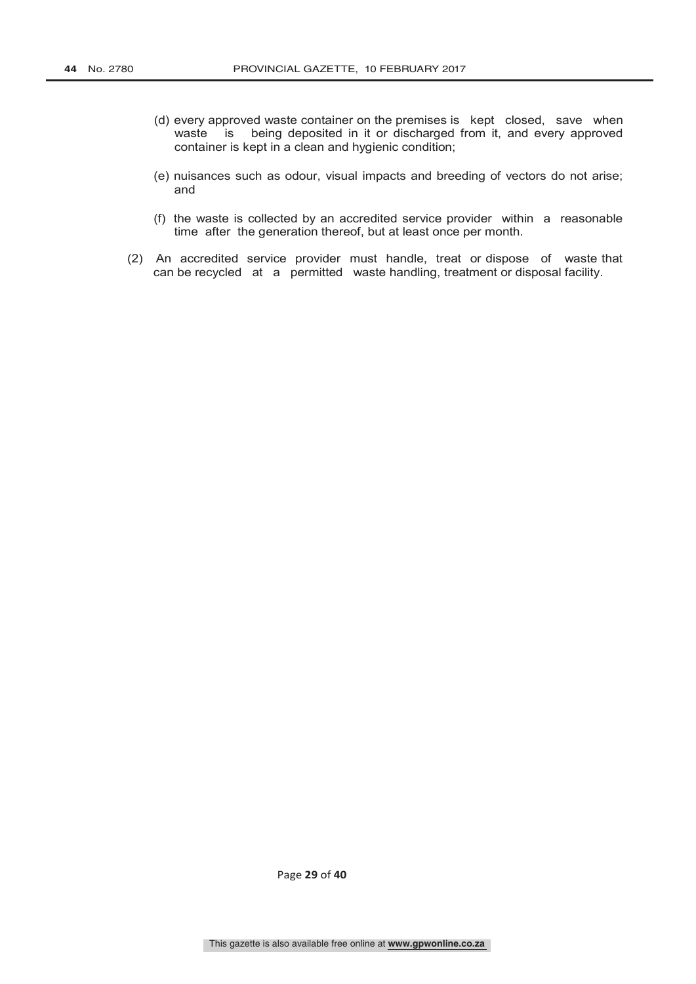- (d) every approved waste container on the premises is kept closed, save when waste is being deposited in it or discharged from it, and every approved container is kept in a clean and hygienic condition;
- (e) nuisances such as odour, visual impacts and breeding of vectors do not arise; and
- (f) the waste is collected by an accredited service provider within a reasonable time after the generation thereof, but at least once per month.
- (2) An accredited service provider must handle, treat or dispose of waste that can be recycled at a permitted waste handling, treatment or disposal facility.

Page **29** of **40**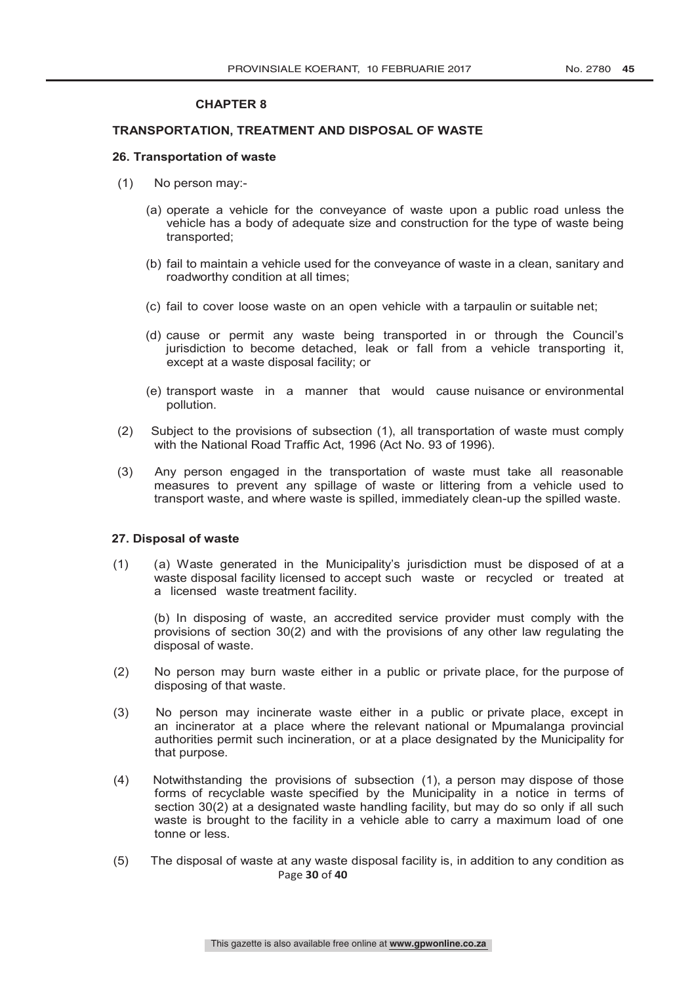#### **TRANSPORTATION, TREATMENT AND DISPOSAL OF WASTE**

#### **26. Transportation of waste**

- (1) No person may:-
	- (a) operate a vehicle for the conveyance of waste upon a public road unless the vehicle has a body of adequate size and construction for the type of waste being transported;
	- (b) fail to maintain a vehicle used for the conveyance of waste in a clean, sanitary and roadworthy condition at all times;
	- (c) fail to cover loose waste on an open vehicle with a tarpaulin or suitable net;
	- (d) cause or permit any waste being transported in or through the Council's jurisdiction to become detached, leak or fall from a vehicle transporting it, except at a waste disposal facility; or
	- (e) transport waste in a manner that would cause nuisance or environmental pollution.
- (2) Subject to the provisions of subsection (1), all transportation of waste must comply with the National Road Traffic Act, 1996 (Act No. 93 of 1996).
- (3) Any person engaged in the transportation of waste must take all reasonable measures to prevent any spillage of waste or littering from a vehicle used to transport waste, and where waste is spilled, immediately clean-up the spilled waste.

#### **27. Disposal of waste**

(1) (a) Waste generated in the Municipality's jurisdiction must be disposed of at a waste disposal facility licensed to accept such waste or recycled or treated at a licensed waste treatment facility.

(b) In disposing of waste, an accredited service provider must comply with the provisions of section 30(2) and with the provisions of any other law regulating the disposal of waste.

- (2) No person may burn waste either in a public or private place, for the purpose of disposing of that waste.
- (3) No person may incinerate waste either in a public or private place, except in an incinerator at a place where the relevant national or Mpumalanga provincial authorities permit such incineration, or at a place designated by the Municipality for that purpose.
- (4) Notwithstanding the provisions of subsection (1), a person may dispose of those forms of recyclable waste specified by the Municipality in a notice in terms of section 30(2) at a designated waste handling facility, but may do so only if all such waste is brought to the facility in a vehicle able to carry a maximum load of one tonne or less.
- Page **30** of **40** (5) The disposal of waste at any waste disposal facility is, in addition to any condition as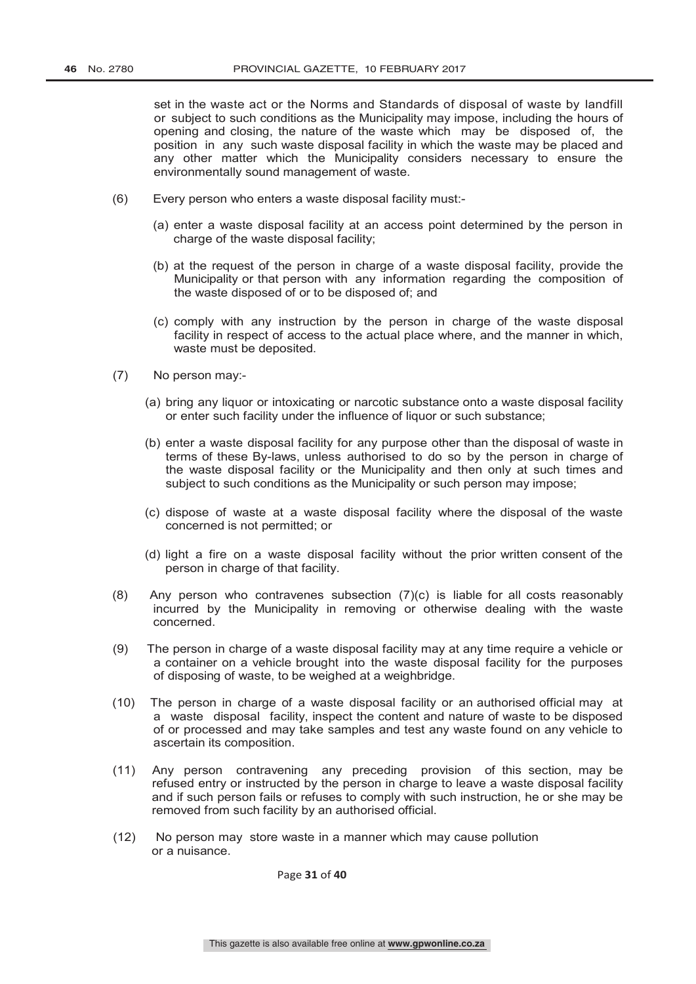set in the waste act or the Norms and Standards of disposal of waste by landfill or subject to such conditions as the Municipality may impose, including the hours of opening and closing, the nature of the waste which may be disposed of, the position in any such waste disposal facility in which the waste may be placed and any other matter which the Municipality considers necessary to ensure the environmentally sound management of waste.

- (6) Every person who enters a waste disposal facility must:-
	- (a) enter a waste disposal facility at an access point determined by the person in charge of the waste disposal facility;
	- (b) at the request of the person in charge of a waste disposal facility, provide the Municipality or that person with any information regarding the composition of the waste disposed of or to be disposed of; and
	- (c) comply with any instruction by the person in charge of the waste disposal facility in respect of access to the actual place where, and the manner in which, waste must be deposited.
- (7) No person may:-
	- (a) bring any liquor or intoxicating or narcotic substance onto a waste disposal facility or enter such facility under the influence of liquor or such substance;
	- (b) enter a waste disposal facility for any purpose other than the disposal of waste in terms of these By-laws, unless authorised to do so by the person in charge of the waste disposal facility or the Municipality and then only at such times and subject to such conditions as the Municipality or such person may impose;
	- (c) dispose of waste at a waste disposal facility where the disposal of the waste concerned is not permitted; or
	- (d) light a fire on a waste disposal facility without the prior written consent of the person in charge of that facility.
- (8) Any person who contravenes subsection (7)(c) is liable for all costs reasonably incurred by the Municipality in removing or otherwise dealing with the waste concerned.
- (9) The person in charge of a waste disposal facility may at any time require a vehicle or a container on a vehicle brought into the waste disposal facility for the purposes of disposing of waste, to be weighed at a weighbridge.
- (10) The person in charge of a waste disposal facility or an authorised official may at a waste disposal facility, inspect the content and nature of waste to be disposed of or processed and may take samples and test any waste found on any vehicle to ascertain its composition.
- (11) Any person contravening any preceding provision of this section, may be refused entry or instructed by the person in charge to leave a waste disposal facility and if such person fails or refuses to comply with such instruction, he or she may be removed from such facility by an authorised official.
- (12) No person may store waste in a manner which may cause pollution or a nuisance.

Page **31** of **40**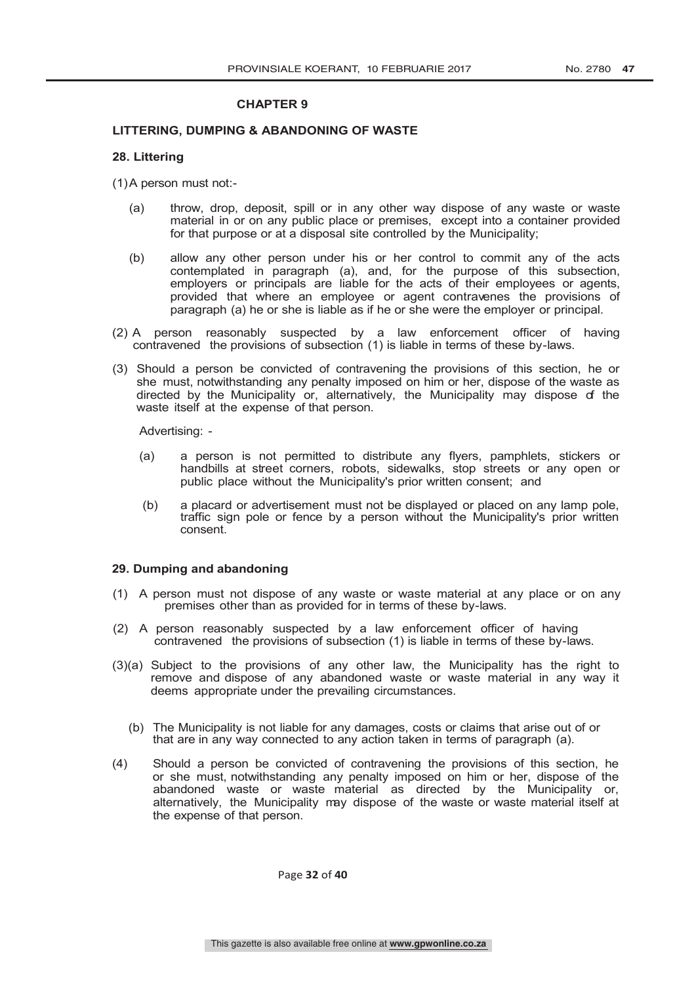#### **LITTERING, DUMPING & ABANDONING OF WASTE**

#### **28. Littering**

(1)A person must not:-

- (a) throw, drop, deposit, spill or in any other way dispose of any waste or waste material in or on any public place or premises, except into a container provided for that purpose or at a disposal site controlled by the Municipality;
- (b) allow any other person under his or her control to commit any of the acts contemplated in paragraph (a), and, for the purpose of this subsection, employers or principals are liable for the acts of their employees or agents, provided that where an employee or agent contravenes the provisions of paragraph (a) he or she is liable as if he or she were the employer or principal.
- (2) A person reasonably suspected by a law enforcement officer of having contravened the provisions of subsection (1) is liable in terms of these by-laws.
- (3) Should a person be convicted of contravening the provisions of this section, he or she must, notwithstanding any penalty imposed on him or her, dispose of the waste as directed by the Municipality or, alternatively, the Municipality may dispose of the waste itself at the expense of that person.

Advertising: -

- (a) a person is not permitted to distribute any flyers, pamphlets, stickers or handbills at street corners, robots, sidewalks, stop streets or any open or public place without the Municipality's prior written consent; and
- (b) a placard or advertisement must not be displayed or placed on any lamp pole, traffic sign pole or fence by a person without the Municipality's prior written consent.

#### **29. Dumping and abandoning**

- (1) A person must not dispose of any waste or waste material at any place or on any premises other than as provided for in terms of these by-laws.
- (2) A person reasonably suspected by a law enforcement officer of having contravened the provisions of subsection (1) is liable in terms of these by-laws.
- (3)(a) Subject to the provisions of any other law, the Municipality has the right to remove and dispose of any abandoned waste or waste material in any way it deems appropriate under the prevailing circumstances.
	- (b) The Municipality is not liable for any damages, costs or claims that arise out of or that are in any way connected to any action taken in terms of paragraph (a).
- (4) Should a person be convicted of contravening the provisions of this section, he or she must, notwithstanding any penalty imposed on him or her, dispose of the abandoned waste or waste material as directed by the Municipality or, alternatively, the Municipality may dispose of the waste or waste material itself at the expense of that person.

Page **32** of **40**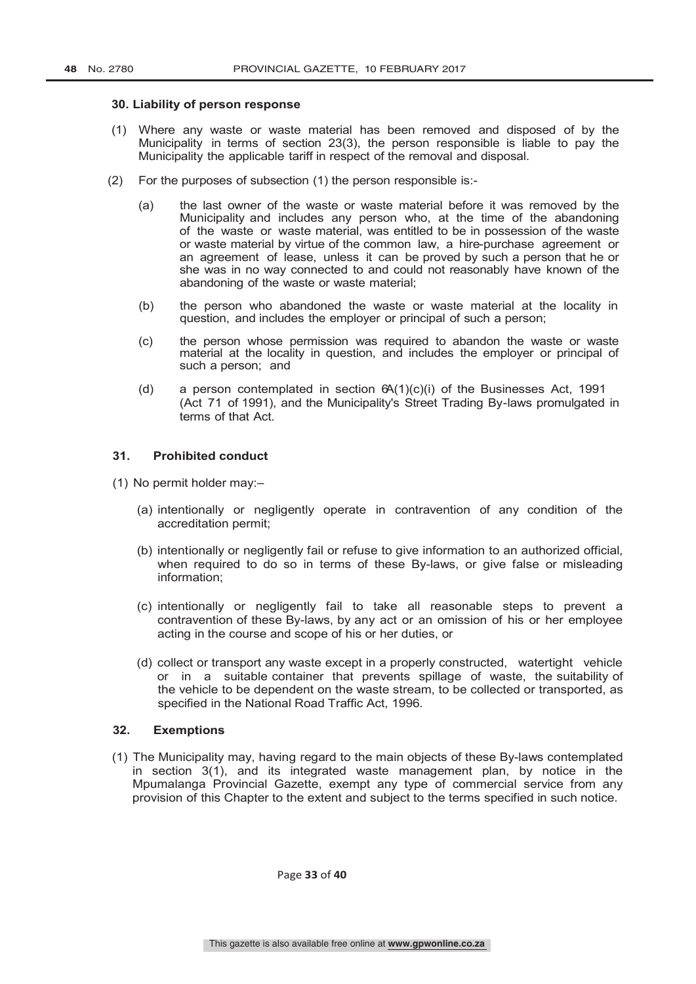#### **30. Liability of person response**

- (1) Where any waste or waste material has been removed and disposed of by the Municipality in terms of section 23(3), the person responsible is liable to pay the Municipality the applicable tariff in respect of the removal and disposal.
- (2) For the purposes of subsection (1) the person responsible is:-
	- (a) the last owner of the waste or waste material before it was removed by the Municipality and includes any person who, at the time of the abandoning of the waste or waste material, was entitled to be in possession of the waste or waste material by virtue of the common law, a hire-purchase agreement or an agreement of lease, unless it can be proved by such a person that he or she was in no way connected to and could not reasonably have known of the abandoning of the waste or waste material;
	- (b) the person who abandoned the waste or waste material at the locality in question, and includes the employer or principal of such a person;
	- (c) the person whose permission was required to abandon the waste or waste material at the locality in question, and includes the employer or principal of such a person; and
	- (d) a person contemplated in section  $6A(1)(c)(i)$  of the Businesses Act, 1991 (Act 71 of 1991), and the Municipality's Street Trading By-laws promulgated in terms of that Act.

#### **31. Prohibited conduct**

(1) No permit holder may:–

- (a) intentionally or negligently operate in contravention of any condition of the accreditation permit;
- (b) intentionally or negligently fail or refuse to give information to an authorized official, when required to do so in terms of these By-laws, or give false or misleading information;
- (c) intentionally or negligently fail to take all reasonable steps to prevent a contravention of these By-laws, by any act or an omission of his or her employee acting in the course and scope of his or her duties, or
- (d) collect or transport any waste except in a properly constructed, watertight vehicle or in a suitable container that prevents spillage of waste, the suitability of the vehicle to be dependent on the waste stream, to be collected or transported, as specified in the National Road Traffic Act, 1996.

#### **32. Exemptions**

(1) The Municipality may, having regard to the main objects of these By-laws contemplated in section 3(1), and its integrated waste management plan, by notice in the Mpumalanga Provincial Gazette, exempt any type of commercial service from any provision of this Chapter to the extent and subject to the terms specified in such notice.

Page **33** of **40**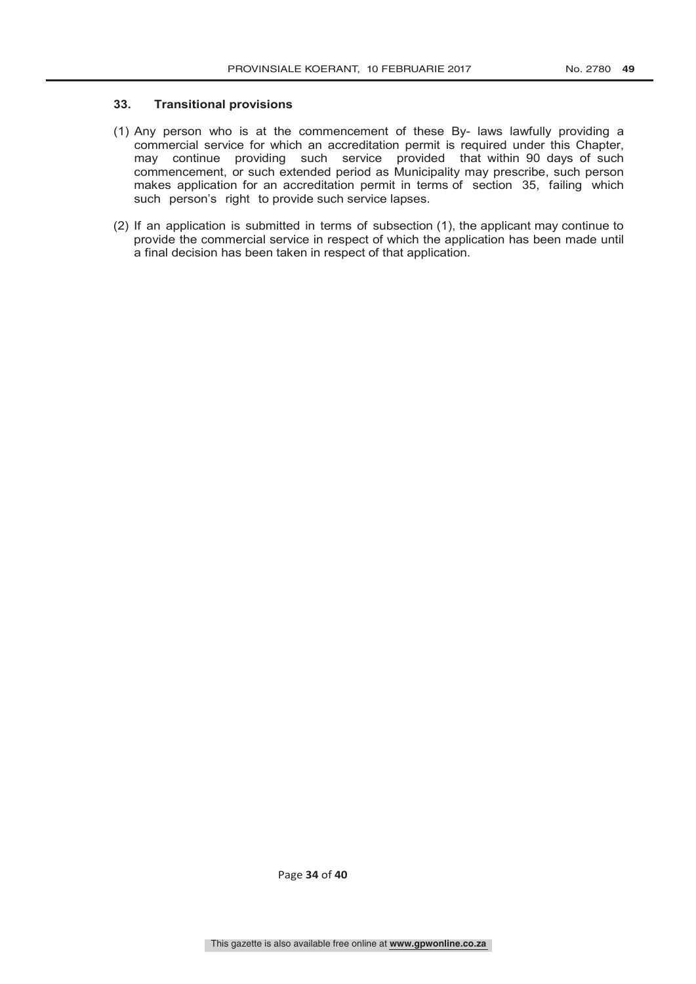# **33. Transitional provisions**

- (1) Any person who is at the commencement of these By- laws lawfully providing a commercial service for which an accreditation permit is required under this Chapter, may continue providing such service provided that within 90 days of such commencement, or such extended period as Municipality may prescribe, such person makes application for an accreditation permit in terms of section 35, failing which such person's right to provide such service lapses.
- (2) If an application is submitted in terms of subsection (1), the applicant may continue to provide the commercial service in respect of which the application has been made until a final decision has been taken in respect of that application.

Page **34** of **40**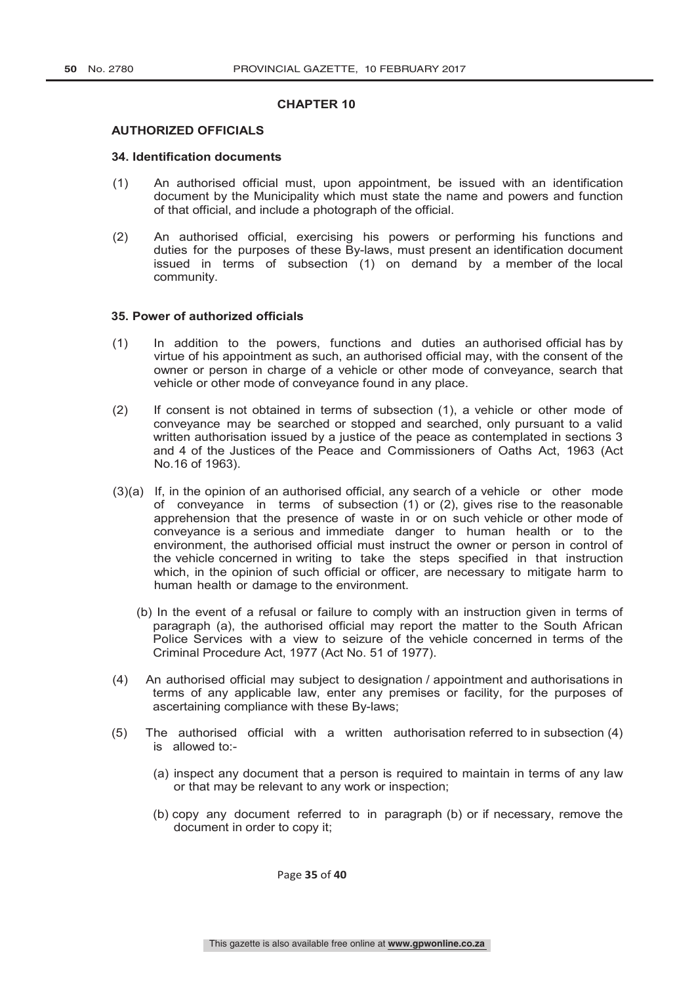#### **AUTHORIZED OFFICIALS**

#### **34. Identification documents**

- (1) An authorised official must, upon appointment, be issued with an identification document by the Municipality which must state the name and powers and function of that official, and include a photograph of the official.
- (2) An authorised official, exercising his powers or performing his functions and duties for the purposes of these By-laws, must present an identification document issued in terms of subsection (1) on demand by a member of the local community.

## **35. Power of authorized officials**

- (1) In addition to the powers, functions and duties an authorised official has by virtue of his appointment as such, an authorised official may, with the consent of the owner or person in charge of a vehicle or other mode of conveyance, search that vehicle or other mode of conveyance found in any place.
- (2) If consent is not obtained in terms of subsection (1), a vehicle or other mode of conveyance may be searched or stopped and searched, only pursuant to a valid written authorisation issued by a justice of the peace as contemplated in sections 3 and 4 of the Justices of the Peace and Commissioners of Oaths Act, 1963 (Act No.16 of 1963).
- (3)(a) If, in the opinion of an authorised official, any search of a vehicle or other mode of conveyance in terms of subsection (1) or (2), gives rise to the reasonable apprehension that the presence of waste in or on such vehicle or other mode of conveyance is a serious and immediate danger to human health or to the environment, the authorised official must instruct the owner or person in control of the vehicle concerned in writing to take the steps specified in that instruction which, in the opinion of such official or officer, are necessary to mitigate harm to human health or damage to the environment.
	- (b) In the event of a refusal or failure to comply with an instruction given in terms of paragraph (a), the authorised official may report the matter to the South African Police Services with a view to seizure of the vehicle concerned in terms of the Criminal Procedure Act, 1977 (Act No. 51 of 1977).
- (4) An authorised official may subject to designation / appointment and authorisations in terms of any applicable law, enter any premises or facility, for the purposes of ascertaining compliance with these By-laws;
- (5) The authorised official with a written authorisation referred to in subsection (4) is allowed to:-
	- (a) inspect any document that a person is required to maintain in terms of any law or that may be relevant to any work or inspection;
	- (b) copy any document referred to in paragraph (b) or if necessary, remove the document in order to copy it;

Page **35** of **40**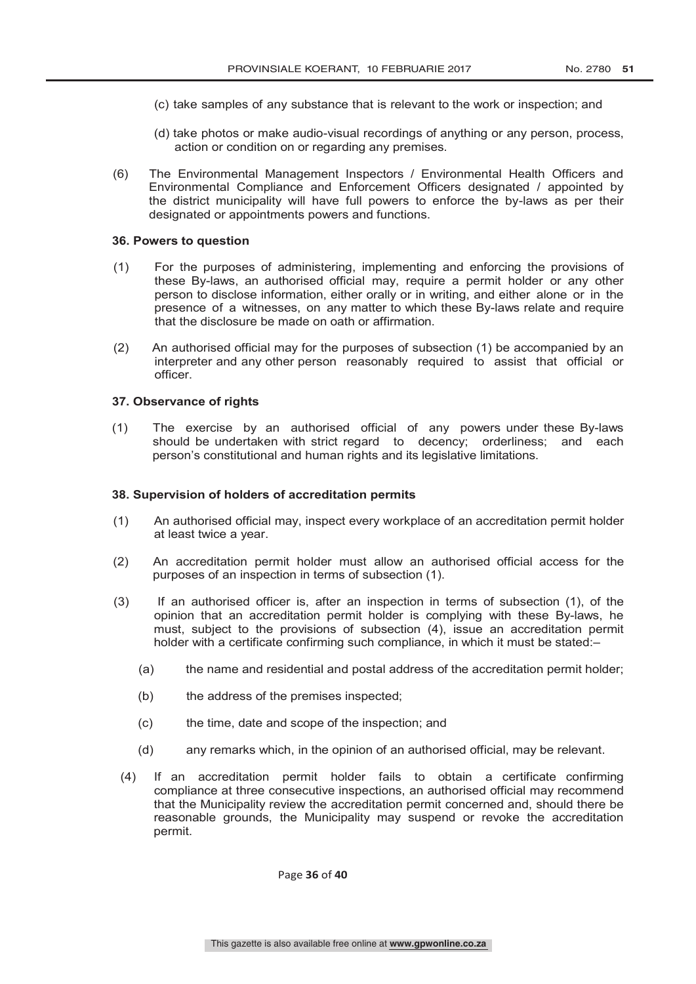- (c) take samples of any substance that is relevant to the work or inspection; and
- (d) take photos or make audio-visual recordings of anything or any person, process, action or condition on or regarding any premises.
- (6) The Environmental Management Inspectors / Environmental Health Officers and Environmental Compliance and Enforcement Officers designated / appointed by the district municipality will have full powers to enforce the by-laws as per their designated or appointments powers and functions.

#### **36. Powers to question**

- (1) For the purposes of administering, implementing and enforcing the provisions of these By-laws, an authorised official may, require a permit holder or any other person to disclose information, either orally or in writing, and either alone or in the presence of a witnesses, on any matter to which these By-laws relate and require that the disclosure be made on oath or affirmation.
- (2) An authorised official may for the purposes of subsection (1) be accompanied by an interpreter and any other person reasonably required to assist that official or officer.

#### **37. Observance of rights**

(1) The exercise by an authorised official of any powers under these By-laws should be undertaken with strict regard to decency; orderliness; and each person's constitutional and human rights and its legislative limitations.

#### **38. Supervision of holders of accreditation permits**

- (1) An authorised official may, inspect every workplace of an accreditation permit holder at least twice a year.
- (2) An accreditation permit holder must allow an authorised official access for the purposes of an inspection in terms of subsection (1).
- (3) If an authorised officer is, after an inspection in terms of subsection (1), of the opinion that an accreditation permit holder is complying with these By-laws, he must, subject to the provisions of subsection (4), issue an accreditation permit holder with a certificate confirming such compliance, in which it must be stated:–
	- (a) the name and residential and postal address of the accreditation permit holder;
	- (b) the address of the premises inspected;
	- (c) the time, date and scope of the inspection; and
	- (d) any remarks which, in the opinion of an authorised official, may be relevant.
- (4) If an accreditation permit holder fails to obtain a certificate confirming compliance at three consecutive inspections, an authorised official may recommend that the Municipality review the accreditation permit concerned and, should there be reasonable grounds, the Municipality may suspend or revoke the accreditation permit.

Page **36** of **40**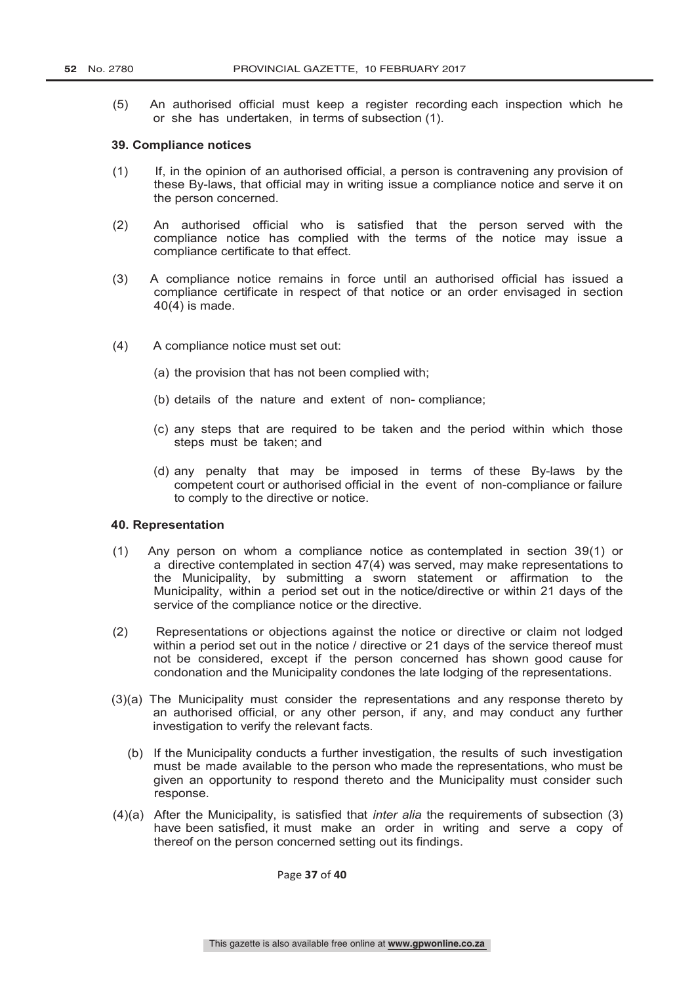(5) An authorised official must keep a register recording each inspection which he or she has undertaken, in terms of subsection (1).

#### **39. Compliance notices**

- (1) If, in the opinion of an authorised official, a person is contravening any provision of these By-laws, that official may in writing issue a compliance notice and serve it on the person concerned.
- (2) An authorised official who is satisfied that the person served with the compliance notice has complied with the terms of the notice may issue a compliance certificate to that effect.
- (3) A compliance notice remains in force until an authorised official has issued a compliance certificate in respect of that notice or an order envisaged in section 40(4) is made.
- (4) A compliance notice must set out:
	- (a) the provision that has not been complied with;
	- (b) details of the nature and extent of non- compliance;
	- (c) any steps that are required to be taken and the period within which those steps must be taken; and
	- (d) any penalty that may be imposed in terms of these By-laws by the competent court or authorised official in the event of non-compliance or failure to comply to the directive or notice.

#### **40. Representation**

- (1) Any person on whom a compliance notice as contemplated in section 39(1) or a directive contemplated in section 47(4) was served, may make representations to the Municipality, by submitting a sworn statement or affirmation to the Municipality, within a period set out in the notice/directive or within 21 days of the service of the compliance notice or the directive.
- (2) Representations or objections against the notice or directive or claim not lodged within a period set out in the notice / directive or 21 days of the service thereof must not be considered, except if the person concerned has shown good cause for condonation and the Municipality condones the late lodging of the representations.
- (3)(a) The Municipality must consider the representations and any response thereto by an authorised official, or any other person, if any, and may conduct any further investigation to verify the relevant facts.
	- (b) If the Municipality conducts a further investigation, the results of such investigation must be made available to the person who made the representations, who must be given an opportunity to respond thereto and the Municipality must consider such response.
- (4)(a) After the Municipality, is satisfied that *inter alia* the requirements of subsection (3) have been satisfied, it must make an order in writing and serve a copy of thereof on the person concerned setting out its findings.

Page **37** of **40**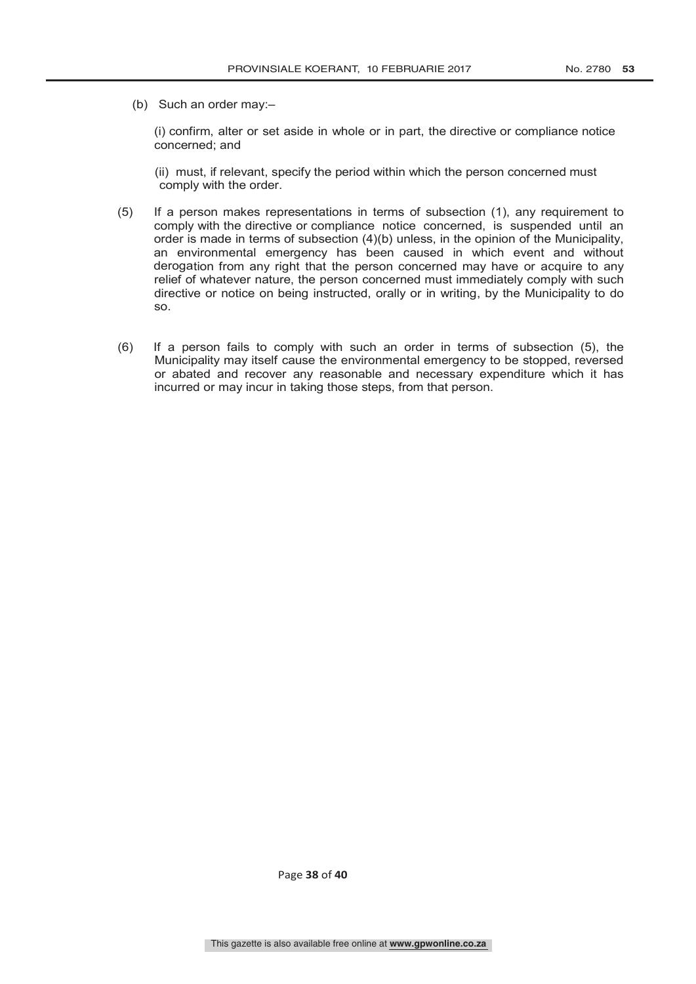(b) Such an order may:–

(i) confirm, alter or set aside in whole or in part, the directive or compliance notice concerned; and

(ii) must, if relevant, specify the period within which the person concerned must comply with the order.

- (5) If a person makes representations in terms of subsection (1), any requirement to comply with the directive or compliance notice concerned, is suspended until an order is made in terms of subsection (4)(b) unless, in the opinion of the Municipality, an environmental emergency has been caused in which event and without derogation from any right that the person concerned may have or acquire to any relief of whatever nature, the person concerned must immediately comply with such directive or notice on being instructed, orally or in writing, by the Municipality to do so.
- (6) If a person fails to comply with such an order in terms of subsection (5), the Municipality may itself cause the environmental emergency to be stopped, reversed or abated and recover any reasonable and necessary expenditure which it has incurred or may incur in taking those steps, from that person.

Page **38** of **40**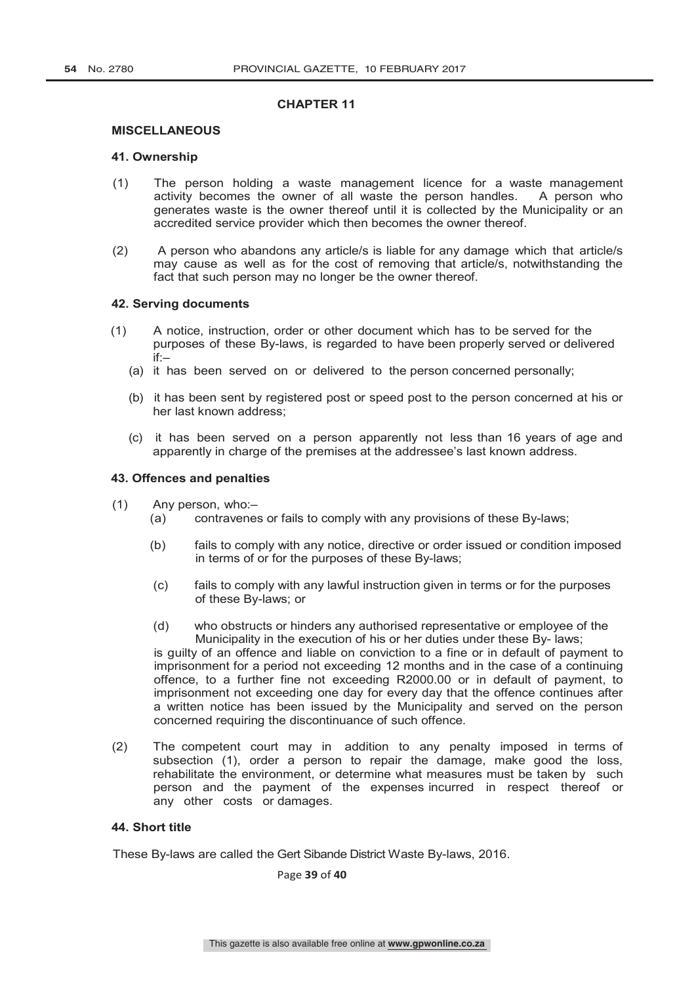#### **MISCELLANEOUS**

#### **41. Ownership**

- (1) The person holding a waste management licence for a waste management activity becomes the owner of all waste the person handles. A person who generates waste is the owner thereof until it is collected by the Municipality or an accredited service provider which then becomes the owner thereof.
- (2) A person who abandons any article/s is liable for any damage which that article/s may cause as well as for the cost of removing that article/s, notwithstanding the fact that such person may no longer be the owner thereof.

#### **42. Serving documents**

- (1) A notice, instruction, order or other document which has to be served for the purposes of these By-laws, is regarded to have been properly served or delivered if:–
	- (a) it has been served on or delivered to the person concerned personally;
	- (b) it has been sent by registered post or speed post to the person concerned at his or her last known address;
	- (c) it has been served on a person apparently not less than 16 years of age and apparently in charge of the premises at the addressee's last known address.

#### **43. Offences and penalties**

- (1) Any person, who:–
	- (a) contravenes or fails to comply with any provisions of these By-laws;
	- (b) fails to comply with any notice, directive or order issued or condition imposed in terms of or for the purposes of these By-laws;
	- (c) fails to comply with any lawful instruction given in terms or for the purposes of these By-laws; or
	- (d) who obstructs or hinders any authorised representative or employee of the Municipality in the execution of his or her duties under these By- laws; is guilty of an offence and liable on conviction to a fine or in default of payment to imprisonment for a period not exceeding 12 months and in the case of a continuing offence, to a further fine not exceeding R2000.00 or in default of payment, to imprisonment not exceeding one day for every day that the offence continues after a written notice has been issued by the Municipality and served on the person concerned requiring the discontinuance of such offence.
- (2) The competent court may in addition to any penalty imposed in terms of subsection (1), order a person to repair the damage, make good the loss, rehabilitate the environment, or determine what measures must be taken by such person and the payment of the expenses incurred in respect thereof or any other costs or damages.

#### **44. Short title**

These By-laws are called the Gert Sibande District Waste By-laws, 2016.

Page **39** of **40**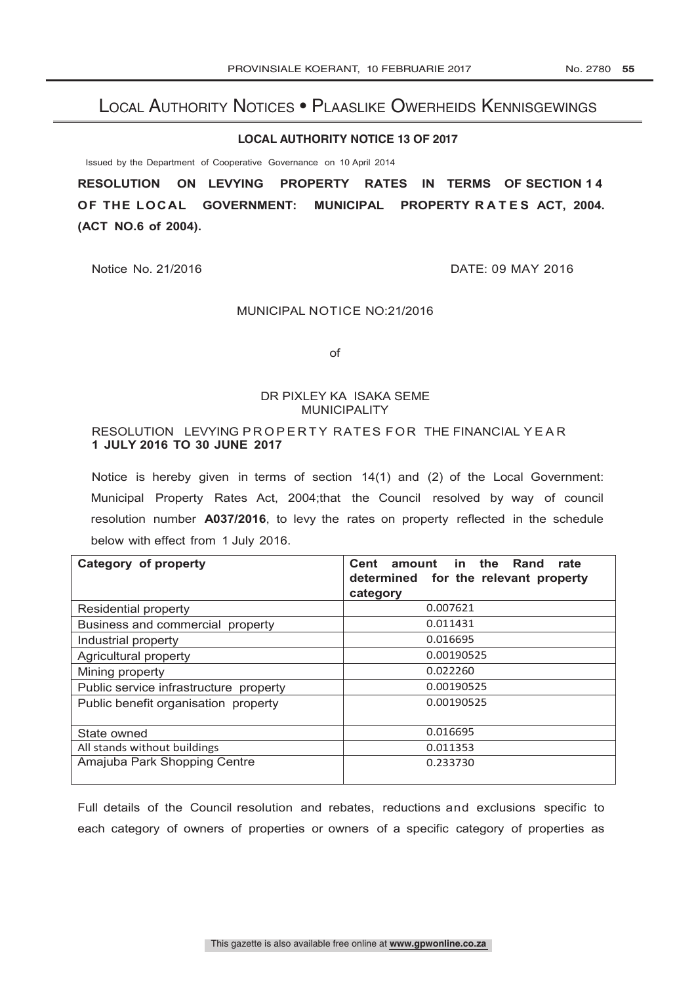# Local Authority Notices • Plaaslike Owerheids Kennisgewings

## **LOCAL AUTHORITY NOTICE 13 OF 2017**

Issued by the Department of Cooperative Governance on 10 April 2014

**RESOLUTION ON LEVYING PROPERTY RATES IN TERMS OF SECTION 1 4 OF THE LOCAL GOVERNMENT: MUNICIPAL PROPERTY RATES ACT, 2004. (ACT NO.6 of 2004).**

Notice No. 21/2016 **DATE: 09 MAY 2016** 

## MUNICIPAL NOTICE NO:21/2016

of

# DR PIXLEY KA ISAKA SEME MUNICIPALITY

# RESOLUTION LEVYING PROPERTY RATES FOR THE FINANCIAL YEAR **1 JULY 2016 TO 30 JUNE 2017**

Notice is hereby given in terms of section 14(1) and (2) of the Local Government: Municipal Property Rates Act, 2004;that the Council resolved by way of council resolution number **A037/2016**, to levy the rates on property reflected in the schedule below with effect from 1 July 2016.

| Category of property                   | amount in the Rand<br>Cent<br>rate<br>determined for the relevant property |
|----------------------------------------|----------------------------------------------------------------------------|
|                                        | category                                                                   |
| Residential property                   | 0.007621                                                                   |
| Business and commercial property       | 0.011431                                                                   |
| Industrial property                    | 0.016695                                                                   |
| Agricultural property                  | 0.00190525                                                                 |
| Mining property                        | 0.022260                                                                   |
| Public service infrastructure property | 0.00190525                                                                 |
| Public benefit organisation property   | 0.00190525                                                                 |
|                                        |                                                                            |
| State owned                            | 0.016695                                                                   |
| All stands without buildings           | 0.011353                                                                   |
| Amajuba Park Shopping Centre           | 0.233730                                                                   |
|                                        |                                                                            |

Full details of the Council resolution and rebates, reductions and exclusions specific to each category of owners of properties or owners of a specific category of properties as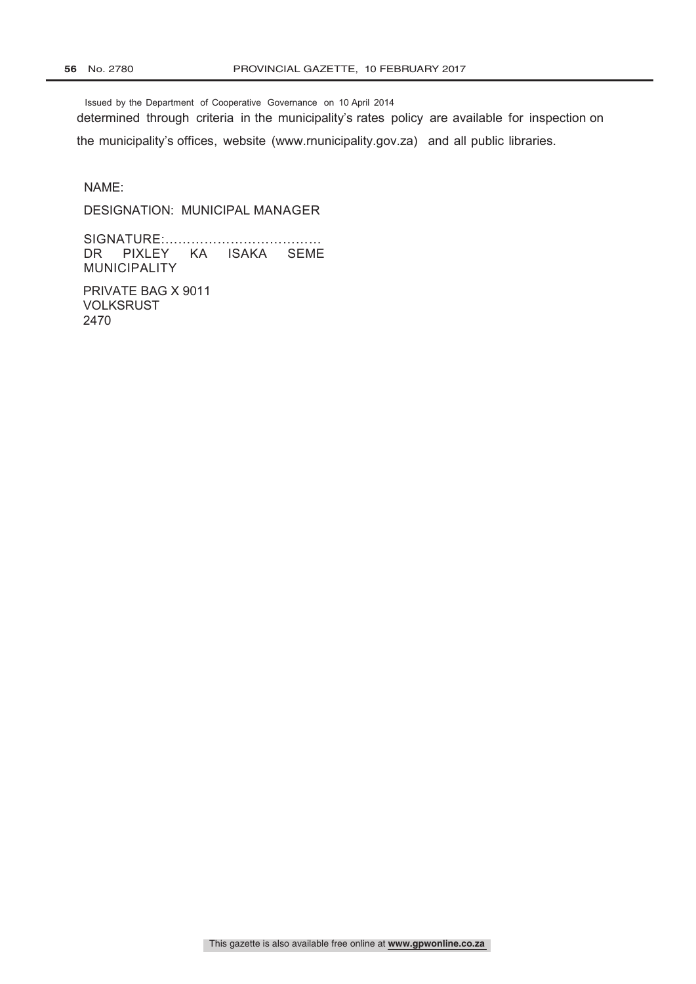Issued by the Department of Cooperative Governance on 10 April 2014

determined through criteria in the municipality's rates policy are available for inspection on the municipality's offices, website (www.rnunicipality.gov.za) and all public libraries.

NAME:

DESIGNATION: MUNICIPAL MANAGER

SIGNATURE:……………………………… DR PIXLEY KA ISAKA SEME MUNICIPALITY

PRIVATE BAG X 9011 VOLKSRUST 2470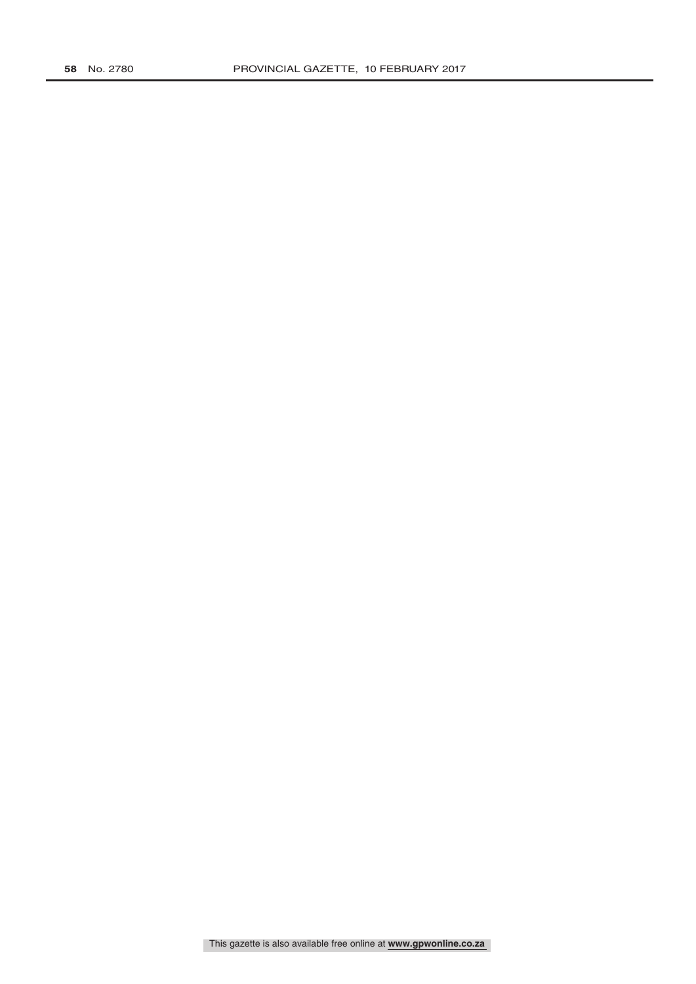This gazette is also available free online at **www.gpwonline.co.za**